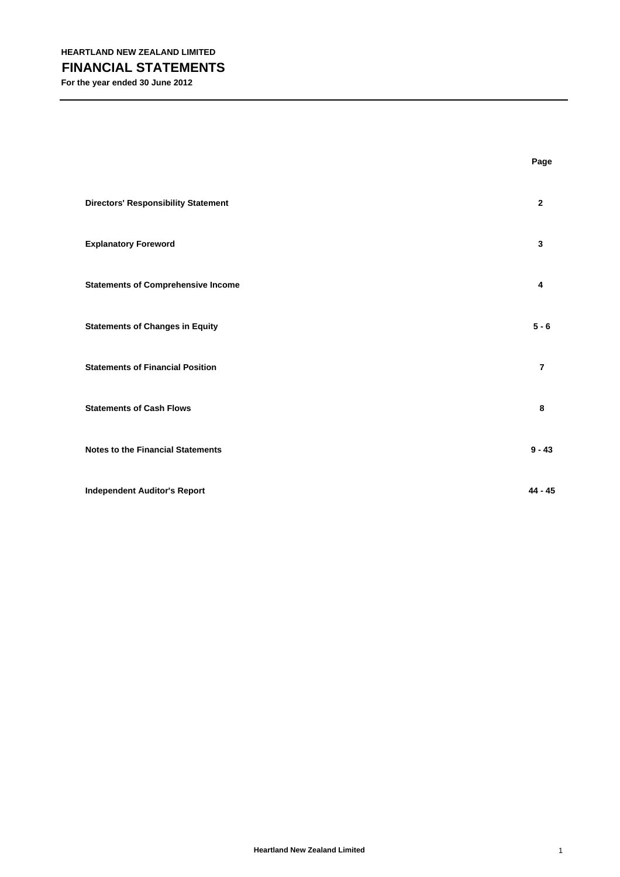|                                            | Page           |
|--------------------------------------------|----------------|
| <b>Directors' Responsibility Statement</b> | $\mathbf{2}$   |
| <b>Explanatory Foreword</b>                | 3              |
| <b>Statements of Comprehensive Income</b>  | 4              |
| <b>Statements of Changes in Equity</b>     | $5 - 6$        |
| <b>Statements of Financial Position</b>    | $\overline{7}$ |
| <b>Statements of Cash Flows</b>            | 8              |
| <b>Notes to the Financial Statements</b>   | $9 - 43$       |
| <b>Independent Auditor's Report</b>        | $44 - 45$      |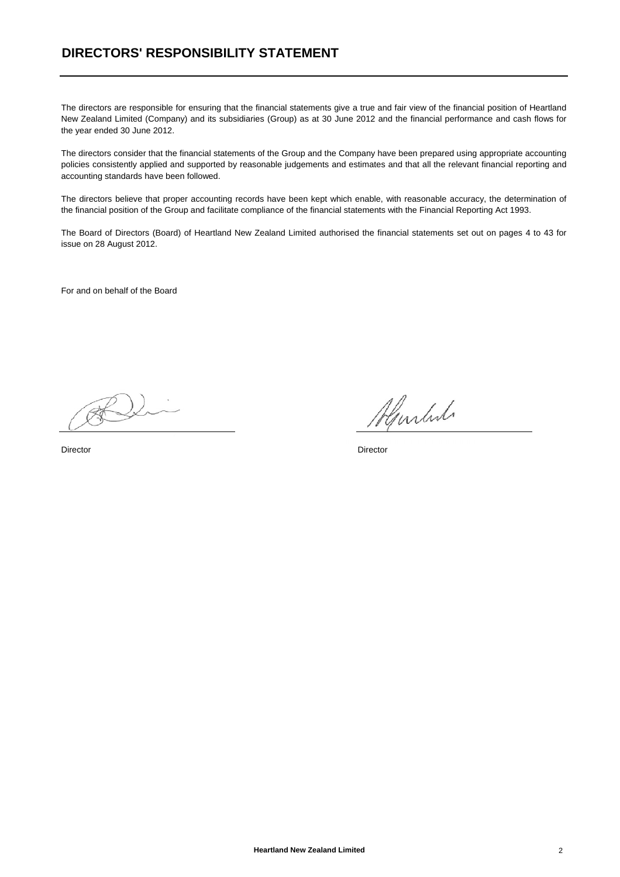## **DIRECTORS' RESPONSIBILITY STATEMENT**

The directors are responsible for ensuring that the financial statements give a true and fair view of the financial position of Heartland New Zealand Limited (Company) and its subsidiaries (Group) as at 30 June 2012 and the financial performance and cash flows for the year ended 30 June 2012.

The directors consider that the financial statements of the Group and the Company have been prepared using appropriate accounting policies consistently applied and supported by reasonable judgements and estimates and that all the relevant financial reporting and accounting standards have been followed.

The directors believe that proper accounting records have been kept which enable, with reasonable accuracy, the determination of the financial position of the Group and facilitate compliance of the financial statements with the Financial Reporting Act 1993.

The Board of Directors (Board) of Heartland New Zealand Limited authorised the financial statements set out on pages 4 to 43 for issue on 28 August 2012.

For and on behalf of the Board

Almlut

Director Director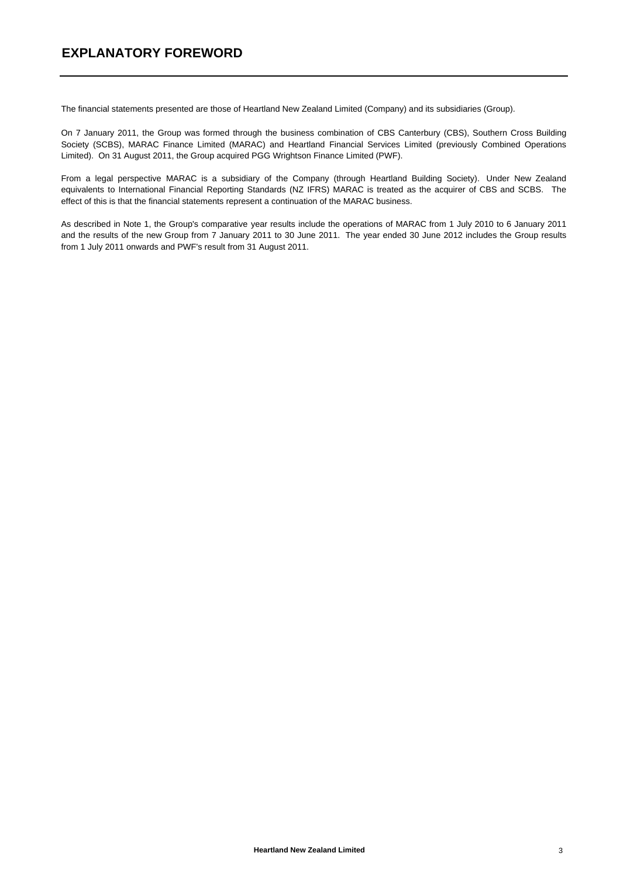## **EXPLANATORY FOREWORD**

The financial statements presented are those of Heartland New Zealand Limited (Company) and its subsidiaries (Group).

On 7 January 2011, the Group was formed through the business combination of CBS Canterbury (CBS), Southern Cross Building Society (SCBS), MARAC Finance Limited (MARAC) and Heartland Financial Services Limited (previously Combined Operations Limited). On 31 August 2011, the Group acquired PGG Wrightson Finance Limited (PWF).

From a legal perspective MARAC is a subsidiary of the Company (through Heartland Building Society). Under New Zealand equivalents to International Financial Reporting Standards (NZ IFRS) MARAC is treated as the acquirer of CBS and SCBS. The effect of this is that the financial statements represent a continuation of the MARAC business.

As described in Note 1, the Group's comparative year results include the operations of MARAC from 1 July 2010 to 6 January 2011 and the results of the new Group from 7 January 2011 to 30 June 2011. The year ended 30 June 2012 includes the Group results from 1 July 2011 onwards and PWF's result from 31 August 2011.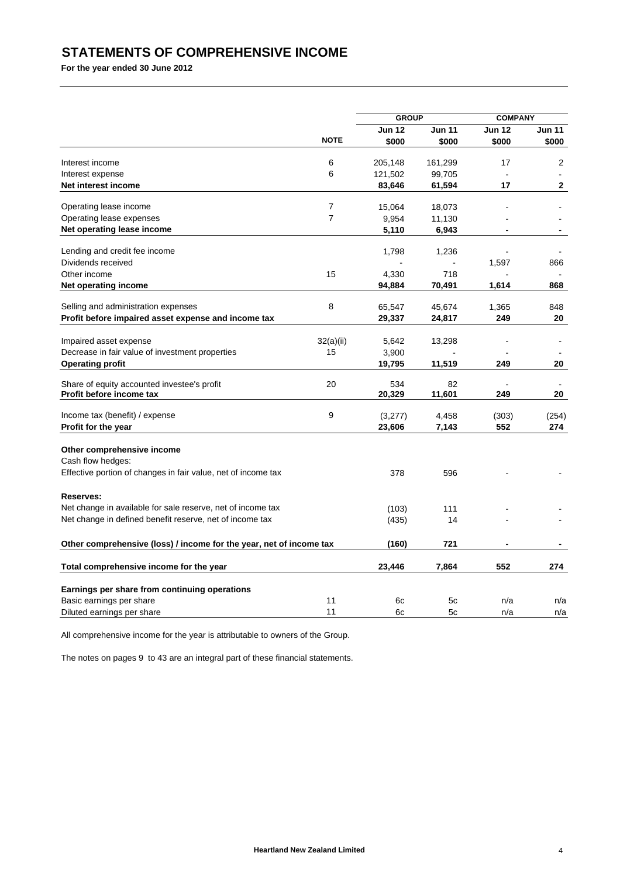# **STATEMENTS OF COMPREHENSIVE INCOME**

**For the year ended 30 June 2012**

|                                                                           |                | <b>GROUP</b>  |               | <b>COMPANY</b> |               |
|---------------------------------------------------------------------------|----------------|---------------|---------------|----------------|---------------|
|                                                                           |                | <b>Jun 12</b> | <b>Jun 11</b> | <b>Jun 12</b>  | <b>Jun 11</b> |
|                                                                           | <b>NOTE</b>    | \$000         | \$000         | \$000          | \$000         |
| Interest income                                                           | 6              | 205,148       |               | 17             | 2             |
|                                                                           | 6              |               | 161,299       |                |               |
| Interest expense                                                          |                | 121,502       | 99,705        |                |               |
| Net interest income                                                       |                | 83,646        | 61,594        | 17             | 2             |
| Operating lease income                                                    | $\overline{7}$ | 15,064        | 18,073        |                |               |
| Operating lease expenses                                                  | $\overline{7}$ | 9,954         | 11,130        |                |               |
| Net operating lease income                                                |                | 5,110         | 6,943         |                |               |
|                                                                           |                |               |               |                |               |
| Lending and credit fee income                                             |                | 1,798         | 1,236         |                |               |
| Dividends received                                                        |                |               |               | 1,597          | 866           |
| Other income                                                              | 15             | 4,330         | 718           |                |               |
| <b>Net operating income</b>                                               |                | 94,884        | 70,491        | 1,614          | 868           |
| Selling and administration expenses                                       | 8              | 65,547        | 45,674        | 1,365          | 848           |
| Profit before impaired asset expense and income tax                       |                | 29,337        | 24,817        | 249            | 20            |
|                                                                           |                |               |               |                |               |
| Impaired asset expense                                                    | 32(a)(ii)      | 5,642         | 13,298        |                |               |
| Decrease in fair value of investment properties                           | 15             | 3,900         |               |                |               |
| <b>Operating profit</b>                                                   |                | 19,795        | 11,519        | 249            | 20            |
|                                                                           |                |               |               |                |               |
| Share of equity accounted investee's profit                               | 20             | 534           | 82            |                |               |
| Profit before income tax                                                  |                | 20,329        | 11,601        | 249            | 20            |
| Income tax (benefit) / expense                                            | 9              | (3,277)       | 4,458         | (303)          | (254)         |
| Profit for the year                                                       |                | 23,606        | 7,143         | 552            | 274           |
|                                                                           |                |               |               |                |               |
| Other comprehensive income                                                |                |               |               |                |               |
| Cash flow hedges:                                                         |                |               |               |                |               |
| Effective portion of changes in fair value, net of income tax             |                | 378           | 596           |                |               |
|                                                                           |                |               |               |                |               |
| <b>Reserves:</b>                                                          |                |               |               |                |               |
| Net change in available for sale reserve, net of income tax               |                | (103)         | 111           |                |               |
| Net change in defined benefit reserve, net of income tax                  |                | (435)         | 14            |                |               |
| Other comprehensive (loss) / income for the year, net of income tax       |                | (160)         | 721           |                |               |
|                                                                           |                |               |               |                |               |
| Total comprehensive income for the year                                   |                | 23,446        | 7,864         | 552            | 274           |
|                                                                           |                |               |               |                |               |
| Earnings per share from continuing operations<br>Basic earnings per share | 11             |               | 5c            | n/a            |               |
|                                                                           | 11             | 6c<br>6c      | 5c            |                | n/a           |
| Diluted earnings per share                                                |                |               |               | n/a            | n/a           |

All comprehensive income for the year is attributable to owners of the Group.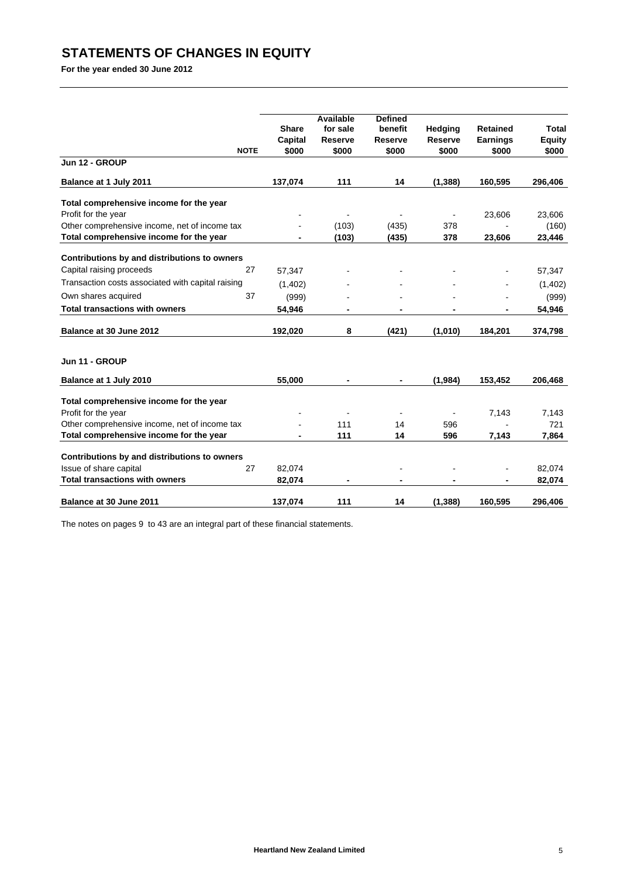# **STATEMENTS OF CHANGES IN EQUITY**

**For the year ended 30 June 2012**

| <b>NOTE</b>                                                                  | <b>Share</b><br>Capital<br>\$000 | <b>Available</b><br>for sale<br><b>Reserve</b><br>\$000 | <b>Defined</b><br>benefit<br><b>Reserve</b><br>\$000 | Hedging<br><b>Reserve</b><br>\$000 | <b>Retained</b><br><b>Earnings</b><br>\$000 | <b>Total</b><br><b>Equity</b><br>\$000 |
|------------------------------------------------------------------------------|----------------------------------|---------------------------------------------------------|------------------------------------------------------|------------------------------------|---------------------------------------------|----------------------------------------|
| Jun 12 - GROUP                                                               |                                  |                                                         |                                                      |                                    |                                             |                                        |
| Balance at 1 July 2011                                                       | 137,074                          | 111                                                     | 14                                                   | (1, 388)                           | 160,595                                     | 296,406                                |
| Total comprehensive income for the year                                      |                                  |                                                         |                                                      |                                    |                                             |                                        |
| Profit for the year                                                          |                                  |                                                         |                                                      |                                    | 23,606                                      | 23,606                                 |
| Other comprehensive income, net of income tax                                |                                  | (103)                                                   | (435)                                                | 378                                |                                             | (160)                                  |
| Total comprehensive income for the year                                      | -                                | (103)                                                   | (435)                                                | 378                                | 23,606                                      | 23,446                                 |
| Contributions by and distributions to owners                                 |                                  |                                                         |                                                      |                                    |                                             |                                        |
| Capital raising proceeds<br>27                                               | 57,347                           |                                                         |                                                      |                                    |                                             | 57,347                                 |
| Transaction costs associated with capital raising                            | (1,402)                          |                                                         |                                                      |                                    |                                             | (1,402)                                |
| 37<br>Own shares acquired                                                    | (999)                            |                                                         |                                                      |                                    |                                             | (999)                                  |
| <b>Total transactions with owners</b>                                        | 54,946                           |                                                         |                                                      |                                    |                                             | 54,946                                 |
| Balance at 30 June 2012                                                      | 192,020                          | 8                                                       | (421)                                                | (1,010)                            | 184,201                                     | 374,798                                |
| Jun 11 - GROUP                                                               |                                  |                                                         |                                                      |                                    |                                             |                                        |
| Balance at 1 July 2010                                                       | 55,000                           |                                                         |                                                      | (1,984)                            | 153,452                                     | 206,468                                |
| Total comprehensive income for the year                                      |                                  |                                                         |                                                      |                                    |                                             |                                        |
| Profit for the year                                                          |                                  |                                                         |                                                      |                                    | 7,143                                       | 7,143                                  |
| Other comprehensive income, net of income tax                                |                                  | 111                                                     | 14                                                   | 596                                |                                             | 721                                    |
| Total comprehensive income for the year                                      |                                  | 111                                                     | 14                                                   | 596                                | 7,143                                       | 7,864                                  |
|                                                                              |                                  |                                                         |                                                      |                                    |                                             |                                        |
| Contributions by and distributions to owners<br>Issue of share capital<br>27 | 82,074                           |                                                         |                                                      |                                    |                                             | 82,074                                 |
| <b>Total transactions with owners</b>                                        | 82,074                           |                                                         | -                                                    |                                    |                                             | 82,074                                 |
| Balance at 30 June 2011                                                      | 137,074                          | 111                                                     | 14                                                   | (1, 388)                           | 160,595                                     | 296,406                                |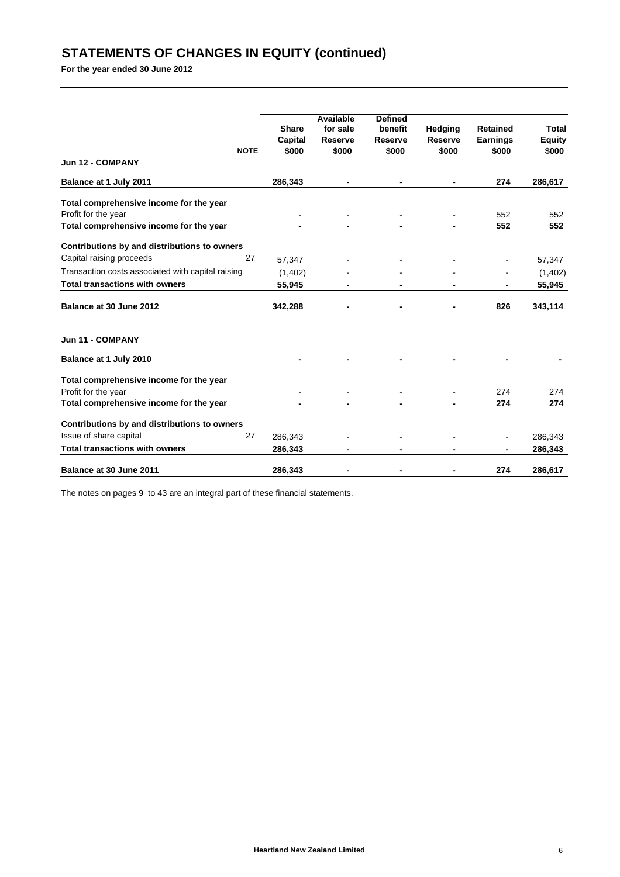# **STATEMENTS OF CHANGES IN EQUITY (continued)**

**For the year ended 30 June 2012**

|                                                   |             |              | <b>Available</b> | <b>Defined</b> |                |                 |               |
|---------------------------------------------------|-------------|--------------|------------------|----------------|----------------|-----------------|---------------|
|                                                   |             | <b>Share</b> | for sale         | benefit        | <b>Hedging</b> | <b>Retained</b> | <b>Total</b>  |
|                                                   |             | Capital      | <b>Reserve</b>   | <b>Reserve</b> | <b>Reserve</b> | <b>Earnings</b> | <b>Equity</b> |
|                                                   | <b>NOTE</b> | \$000        | \$000            | \$000          | \$000          | \$000           | \$000         |
| Jun 12 - COMPANY                                  |             |              |                  |                |                |                 |               |
| Balance at 1 July 2011                            |             | 286,343      |                  |                |                | 274             | 286,617       |
| Total comprehensive income for the year           |             |              |                  |                |                |                 |               |
| Profit for the year                               |             |              |                  |                |                | 552             | 552           |
| Total comprehensive income for the year           |             |              |                  |                |                | 552             | 552           |
| Contributions by and distributions to owners      |             |              |                  |                |                |                 |               |
| Capital raising proceeds                          | 27          | 57,347       |                  |                |                |                 | 57,347        |
| Transaction costs associated with capital raising |             | (1, 402)     |                  |                |                |                 | (1,402)       |
| <b>Total transactions with owners</b>             |             | 55,945       |                  |                |                |                 | 55,945        |
| Balance at 30 June 2012                           |             | 342,288      |                  |                |                | 826             | 343,114       |
| Jun 11 - COMPANY                                  |             |              |                  |                |                |                 |               |
| Balance at 1 July 2010                            |             |              |                  |                |                |                 |               |
| Total comprehensive income for the year           |             |              |                  |                |                |                 |               |
| Profit for the year                               |             |              |                  |                |                | 274             | 274           |
| Total comprehensive income for the year           |             |              |                  |                |                | 274             | 274           |
| Contributions by and distributions to owners      |             |              |                  |                |                |                 |               |
| Issue of share capital                            | 27          | 286,343      |                  |                |                |                 | 286,343       |
| <b>Total transactions with owners</b>             |             | 286,343      |                  |                |                |                 | 286,343       |
| Balance at 30 June 2011                           |             | 286,343      |                  |                |                | 274             | 286,617       |
|                                                   |             |              |                  |                |                |                 |               |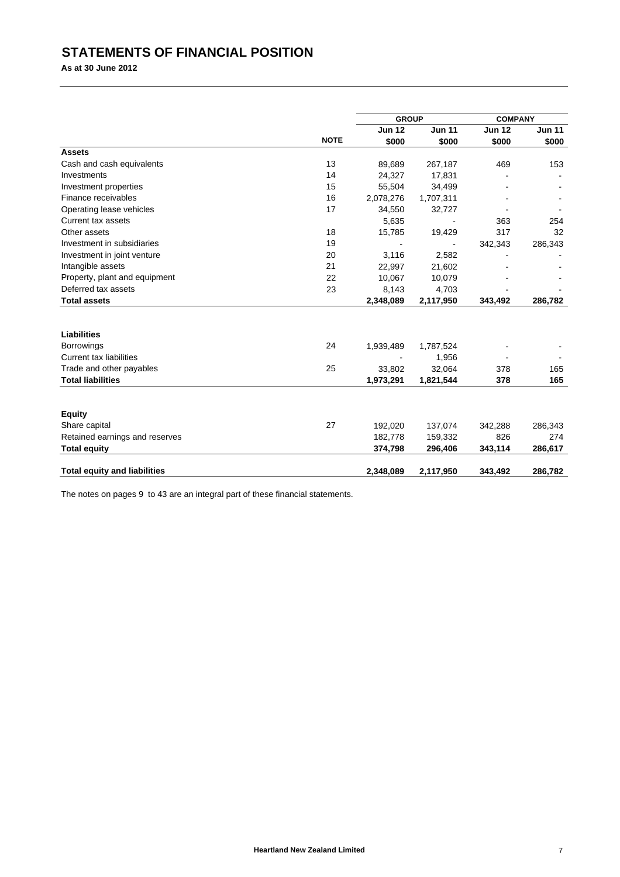# **STATEMENTS OF FINANCIAL POSITION**

**As at 30 June 2012**

|                                     |             | <b>GROUP</b>  |               | <b>COMPANY</b> |               |
|-------------------------------------|-------------|---------------|---------------|----------------|---------------|
|                                     |             | <b>Jun 12</b> | <b>Jun 11</b> | <b>Jun 12</b>  | <b>Jun 11</b> |
|                                     | <b>NOTE</b> | \$000         | \$000         | \$000          | \$000         |
| <b>Assets</b>                       |             |               |               |                |               |
| Cash and cash equivalents           | 13          | 89,689        | 267,187       | 469            | 153           |
| Investments                         | 14          | 24,327        | 17,831        |                |               |
| Investment properties               | 15          | 55,504        | 34,499        |                |               |
| Finance receivables                 | 16          | 2,078,276     | 1,707,311     |                |               |
| Operating lease vehicles            | 17          | 34,550        | 32,727        |                |               |
| Current tax assets                  |             | 5,635         |               | 363            | 254           |
| Other assets                        | 18          | 15,785        | 19,429        | 317            | 32            |
| Investment in subsidiaries          | 19          |               |               | 342,343        | 286,343       |
| Investment in joint venture         | 20          | 3,116         | 2,582         |                |               |
| Intangible assets                   | 21          | 22,997        | 21,602        |                |               |
| Property, plant and equipment       | 22          | 10,067        | 10,079        |                |               |
| Deferred tax assets                 | 23          | 8,143         | 4,703         |                |               |
| <b>Total assets</b>                 |             | 2,348,089     | 2,117,950     | 343,492        | 286,782       |
|                                     |             |               |               |                |               |
| Liabilities                         |             |               |               |                |               |
| <b>Borrowings</b>                   | 24          | 1,939,489     | 1,787,524     |                |               |
| <b>Current tax liabilities</b>      |             |               | 1,956         |                |               |
| Trade and other payables            | 25          | 33,802        | 32,064        | 378            | 165           |
| <b>Total liabilities</b>            |             | 1,973,291     | 1,821,544     | 378            | 165           |
| <b>Equity</b>                       |             |               |               |                |               |
| Share capital                       | 27          | 192,020       | 137,074       | 342,288        | 286,343       |
| Retained earnings and reserves      |             | 182,778       | 159,332       | 826            | 274           |
| <b>Total equity</b>                 |             | 374,798       | 296,406       | 343,114        | 286,617       |
|                                     |             |               |               |                |               |
| <b>Total equity and liabilities</b> |             | 2,348,089     | 2,117,950     | 343.492        | 286.782       |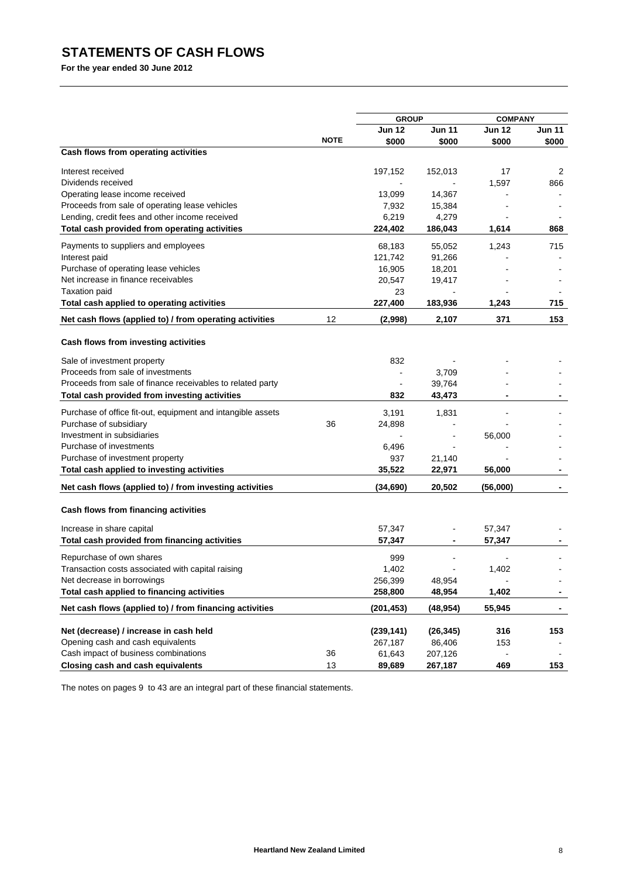# **STATEMENTS OF CASH FLOWS**

**For the year ended 30 June 2012**

|                                                             |             | <b>GROUP</b>   |               | <b>COMPANY</b> |               |
|-------------------------------------------------------------|-------------|----------------|---------------|----------------|---------------|
|                                                             |             | Jun 12         | <b>Jun 11</b> | <b>Jun 12</b>  | <b>Jun 11</b> |
|                                                             | <b>NOTE</b> | \$000          | \$000         | \$000          | \$000         |
| Cash flows from operating activities                        |             |                |               |                |               |
| Interest received                                           |             | 197,152        | 152,013       | 17             | 2             |
| Dividends received                                          |             |                |               | 1,597          | 866           |
| Operating lease income received                             |             | 13,099         | 14,367        |                |               |
| Proceeds from sale of operating lease vehicles              |             | 7,932          | 15,384        |                |               |
| Lending, credit fees and other income received              |             | 6,219          | 4,279         |                |               |
| Total cash provided from operating activities               |             | 224,402        | 186,043       | 1,614          | 868           |
| Payments to suppliers and employees                         |             | 68,183         | 55,052        | 1,243          | 715           |
| Interest paid                                               |             | 121,742        | 91,266        |                |               |
| Purchase of operating lease vehicles                        |             | 16,905         | 18,201        |                |               |
| Net increase in finance receivables                         |             | 20,547         | 19,417        |                |               |
| <b>Taxation paid</b>                                        |             | 23             |               |                |               |
| Total cash applied to operating activities                  |             | 227,400        | 183,936       | 1,243          | 715           |
| Net cash flows (applied to) / from operating activities     | 12          | (2,998)        | 2,107         | 371            | 153           |
| Cash flows from investing activities                        |             |                |               |                |               |
| Sale of investment property                                 |             | 832            |               |                |               |
| Proceeds from sale of investments                           |             | $\blacksquare$ | 3,709         |                |               |
| Proceeds from sale of finance receivables to related party  |             |                | 39,764        |                |               |
| Total cash provided from investing activities               |             | 832            | 43,473        |                |               |
| Purchase of office fit-out, equipment and intangible assets |             | 3,191          | 1,831         |                |               |
| Purchase of subsidiary                                      | 36          | 24,898         |               |                |               |
| Investment in subsidiaries                                  |             |                |               | 56,000         |               |
| Purchase of investments                                     |             | 6,496          |               |                |               |
| Purchase of investment property                             |             | 937            | 21,140        |                |               |
| Total cash applied to investing activities                  |             | 35,522         | 22,971        | 56,000         |               |
| Net cash flows (applied to) / from investing activities     |             | (34,690)       | 20,502        | (56,000)       |               |
|                                                             |             |                |               |                |               |
| Cash flows from financing activities                        |             |                |               |                |               |
| Increase in share capital                                   |             | 57,347         |               | 57,347         |               |
| Total cash provided from financing activities               |             | 57,347         | ۰             | 57,347         |               |
| Repurchase of own shares                                    |             | 999            |               |                |               |
| Transaction costs associated with capital raising           |             | 1,402          |               | 1,402          |               |
| Net decrease in borrowings                                  |             | 256,399        | 48,954        |                |               |
| Total cash applied to financing activities                  |             | 258,800        | 48,954        | 1,402          |               |
| Net cash flows (applied to) / from financing activities     |             | (201, 453)     | (48,954)      | 55,945         | ٠             |
| Net (decrease) / increase in cash held                      |             | (239, 141)     | (26, 345)     | 316            | 153           |
| Opening cash and cash equivalents                           |             | 267,187        | 86,406        | 153            |               |
| Cash impact of business combinations                        | 36          | 61,643         | 207,126       |                |               |
| <b>Closing cash and cash equivalents</b>                    | 13          | 89,689         | 267,187       | 469            | 153           |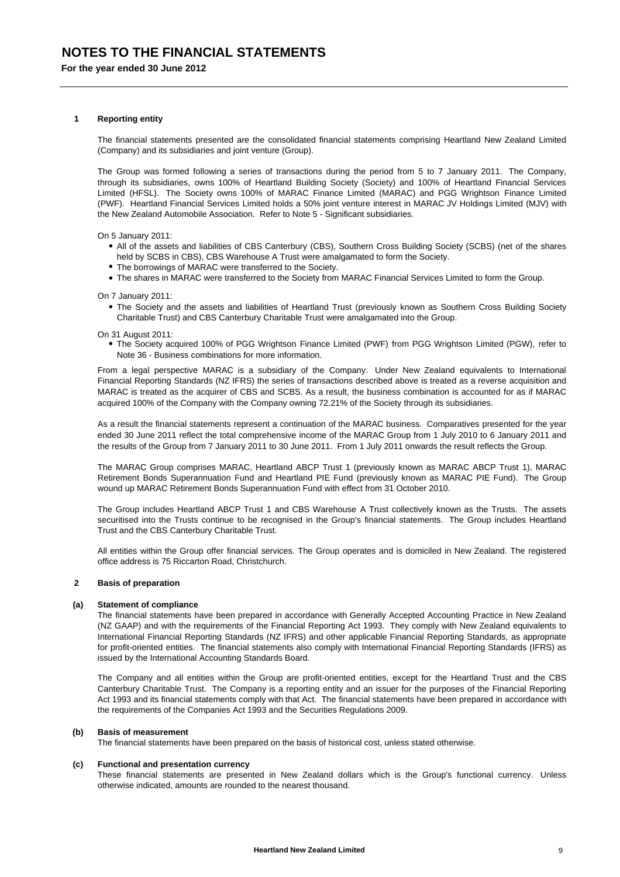#### **1 Reporting entity**

The financial statements presented are the consolidated financial statements comprising Heartland New Zealand Limited (Company) and its subsidiaries and joint venture (Group).

The Group was formed following a series of transactions during the period from 5 to 7 January 2011. The Company, through its subsidiaries, owns 100% of Heartland Building Society (Society) and 100% of Heartland Financial Services Limited (HFSL). The Society owns 100% of MARAC Finance Limited (MARAC) and PGG Wrightson Finance Limited (PWF). Heartland Financial Services Limited holds a 50% joint venture interest in MARAC JV Holdings Limited (MJV) with the New Zealand Automobile Association. Refer to Note 5 - Significant subsidiaries.

On 5 January 2011:

- All of the assets and liabilities of CBS Canterbury (CBS), Southern Cross Building Society (SCBS) (net of the shares held by SCBS in CBS), CBS Warehouse A Trust were amalgamated to form the Society.
- The borrowings of MARAC were transferred to the Society.
- The shares in MARAC were transferred to the Society from MARAC Financial Services Limited to form the Group.

On 7 January 2011:

 The Society and the assets and liabilities of Heartland Trust (previously known as Southern Cross Building Society Charitable Trust) and CBS Canterbury Charitable Trust were amalgamated into the Group.

On 31 August 2011:

 The Society acquired 100% of PGG Wrightson Finance Limited (PWF) from PGG Wrightson Limited (PGW), refer to Note 36 - Business combinations for more information.

From a legal perspective MARAC is a subsidiary of the Company. Under New Zealand equivalents to International Financial Reporting Standards (NZ IFRS) the series of transactions described above is treated as a reverse acquisition and MARAC is treated as the acquirer of CBS and SCBS. As a result, the business combination is accounted for as if MARAC acquired 100% of the Company with the Company owning 72.21% of the Society through its subsidiaries.

As a result the financial statements represent a continuation of the MARAC business. Comparatives presented for the year ended 30 June 2011 reflect the total comprehensive income of the MARAC Group from 1 July 2010 to 6 January 2011 and the results of the Group from 7 January 2011 to 30 June 2011. From 1 July 2011 onwards the result reflects the Group.

The MARAC Group comprises MARAC, Heartland ABCP Trust 1 (previously known as MARAC ABCP Trust 1), MARAC Retirement Bonds Superannuation Fund and Heartland PIE Fund (previously known as MARAC PIE Fund). The Group wound up MARAC Retirement Bonds Superannuation Fund with effect from 31 October 2010.

The Group includes Heartland ABCP Trust 1 and CBS Warehouse A Trust collectively known as the Trusts. The assets securitised into the Trusts continue to be recognised in the Group's financial statements. The Group includes Heartland Trust and the CBS Canterbury Charitable Trust.

All entities within the Group offer financial services. The Group operates and is domiciled in New Zealand. The registered office address is 75 Riccarton Road, Christchurch.

#### **2 Basis of preparation**

### **(a) Statement of compliance**

The financial statements have been prepared in accordance with Generally Accepted Accounting Practice in New Zealand (NZ GAAP) and with the requirements of the Financial Reporting Act 1993. They comply with New Zealand equivalents to International Financial Reporting Standards (NZ IFRS) and other applicable Financial Reporting Standards, as appropriate for profit-oriented entities. The financial statements also comply with International Financial Reporting Standards (IFRS) as issued by the International Accounting Standards Board.

The Company and all entities within the Group are profit-oriented entities, except for the Heartland Trust and the CBS Canterbury Charitable Trust. The Company is a reporting entity and an issuer for the purposes of the Financial Reporting Act 1993 and its financial statements comply with that Act. The financial statements have been prepared in accordance with the requirements of the Companies Act 1993 and the Securities Regulations 2009.

### **(b) Basis of measurement**

The financial statements have been prepared on the basis of historical cost, unless stated otherwise.

#### **(c) Functional and presentation currency**

These financial statements are presented in New Zealand dollars which is the Group's functional currency. Unless otherwise indicated, amounts are rounded to the nearest thousand.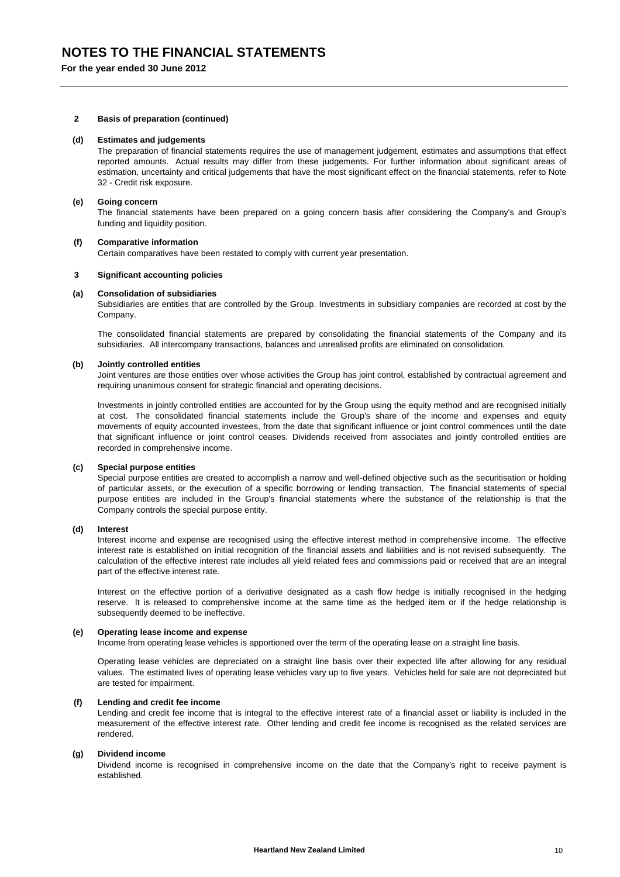## **NOTES TO THE FINANCIAL STATEMENTS**

**For the year ended 30 June 2012**

## **2 Basis of preparation (continued)**

#### **(d) Estimates and judgements**

The preparation of financial statements requires the use of management judgement, estimates and assumptions that effect reported amounts. Actual results may differ from these judgements. For further information about significant areas of estimation, uncertainty and critical judgements that have the most significant effect on the financial statements, refer to Note 32 - Credit risk exposure.

#### **(e) Going concern**

The financial statements have been prepared on a going concern basis after considering the Company's and Group's funding and liquidity position.

#### **(f) Comparative information**

Certain comparatives have been restated to comply with current year presentation.

#### **3 Significant accounting policies**

#### **(a) Consolidation of subsidiaries**

Subsidiaries are entities that are controlled by the Group. Investments in subsidiary companies are recorded at cost by the Company.

The consolidated financial statements are prepared by consolidating the financial statements of the Company and its subsidiaries. All intercompany transactions, balances and unrealised profits are eliminated on consolidation.

#### **(b) Jointly controlled entities**

Joint ventures are those entities over whose activities the Group has joint control, established by contractual agreement and requiring unanimous consent for strategic financial and operating decisions.

Investments in jointly controlled entities are accounted for by the Group using the equity method and are recognised initially at cost. The consolidated financial statements include the Group's share of the income and expenses and equity movements of equity accounted investees, from the date that significant influence or joint control commences until the date that significant influence or joint control ceases. Dividends received from associates and jointly controlled entities are recorded in comprehensive income.

#### **(c) Special purpose entities**

Special purpose entities are created to accomplish a narrow and well-defined objective such as the securitisation or holding of particular assets, or the execution of a specific borrowing or lending transaction. The financial statements of special purpose entities are included in the Group's financial statements where the substance of the relationship is that the Company controls the special purpose entity.

#### **(d) Interest**

Interest income and expense are recognised using the effective interest method in comprehensive income. The effective interest rate is established on initial recognition of the financial assets and liabilities and is not revised subsequently. The calculation of the effective interest rate includes all yield related fees and commissions paid or received that are an integral part of the effective interest rate.

Interest on the effective portion of a derivative designated as a cash flow hedge is initially recognised in the hedging reserve. It is released to comprehensive income at the same time as the hedged item or if the hedge relationship is subsequently deemed to be ineffective.

### **(e) Operating lease income and expense**

Income from operating lease vehicles is apportioned over the term of the operating lease on a straight line basis.

Operating lease vehicles are depreciated on a straight line basis over their expected life after allowing for any residual values. The estimated lives of operating lease vehicles vary up to five years. Vehicles held for sale are not depreciated but are tested for impairment.

## **(f) Lending and credit fee income**

Lending and credit fee income that is integral to the effective interest rate of a financial asset or liability is included in the measurement of the effective interest rate. Other lending and credit fee income is recognised as the related services are rendered.

#### **(g) Dividend income**

Dividend income is recognised in comprehensive income on the date that the Company's right to receive payment is established.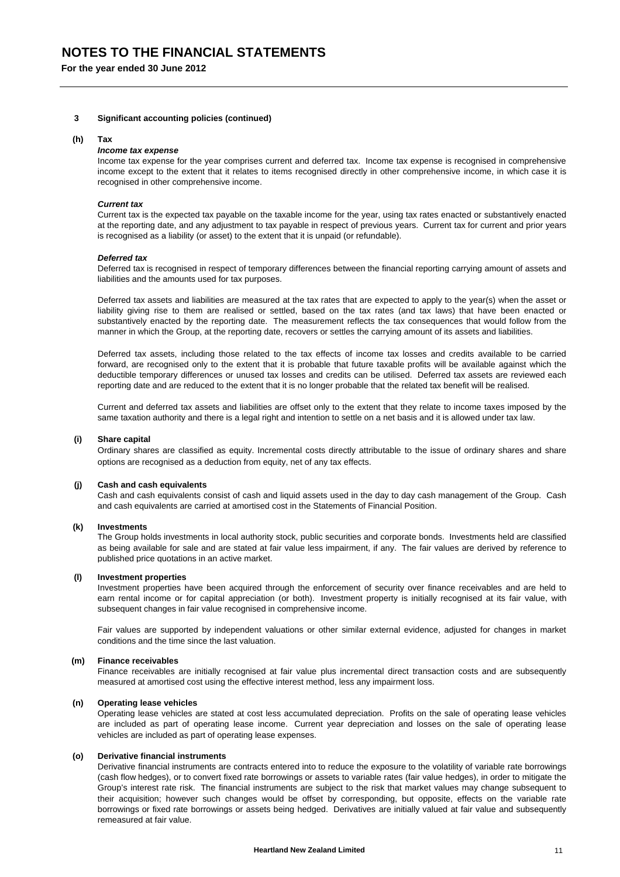## **NOTES TO THE FINANCIAL STATEMENTS**

**For the year ended 30 June 2012**

### **3 Significant accounting policies (continued)**

#### **(h) Tax**

## *Income tax expense*

Income tax expense for the year comprises current and deferred tax. Income tax expense is recognised in comprehensive income except to the extent that it relates to items recognised directly in other comprehensive income, in which case it is recognised in other comprehensive income.

#### *Current tax*

Current tax is the expected tax payable on the taxable income for the year, using tax rates enacted or substantively enacted at the reporting date, and any adjustment to tax payable in respect of previous years. Current tax for current and prior years is recognised as a liability (or asset) to the extent that it is unpaid (or refundable).

#### *Deferred tax*

Deferred tax is recognised in respect of temporary differences between the financial reporting carrying amount of assets and liabilities and the amounts used for tax purposes.

Deferred tax assets and liabilities are measured at the tax rates that are expected to apply to the year(s) when the asset or liability giving rise to them are realised or settled, based on the tax rates (and tax laws) that have been enacted or substantively enacted by the reporting date. The measurement reflects the tax consequences that would follow from the manner in which the Group, at the reporting date, recovers or settles the carrying amount of its assets and liabilities.

Deferred tax assets, including those related to the tax effects of income tax losses and credits available to be carried forward, are recognised only to the extent that it is probable that future taxable profits will be available against which the deductible temporary differences or unused tax losses and credits can be utilised. Deferred tax assets are reviewed each reporting date and are reduced to the extent that it is no longer probable that the related tax benefit will be realised.

Current and deferred tax assets and liabilities are offset only to the extent that they relate to income taxes imposed by the same taxation authority and there is a legal right and intention to settle on a net basis and it is allowed under tax law.

#### **(i) Share capital**

Ordinary shares are classified as equity. Incremental costs directly attributable to the issue of ordinary shares and share options are recognised as a deduction from equity, net of any tax effects.

### **(j) Cash and cash equivalents**

Cash and cash equivalents consist of cash and liquid assets used in the day to day cash management of the Group. Cash and cash equivalents are carried at amortised cost in the Statements of Financial Position.

#### **(k) Investments**

The Group holds investments in local authority stock, public securities and corporate bonds. Investments held are classified as being available for sale and are stated at fair value less impairment, if any. The fair values are derived by reference to published price quotations in an active market.

#### **(l) Investment properties**

Investment properties have been acquired through the enforcement of security over finance receivables and are held to earn rental income or for capital appreciation (or both). Investment property is initially recognised at its fair value, with subsequent changes in fair value recognised in comprehensive income.

Fair values are supported by independent valuations or other similar external evidence, adjusted for changes in market conditions and the time since the last valuation.

#### **(m) Finance receivables**

Finance receivables are initially recognised at fair value plus incremental direct transaction costs and are subsequently measured at amortised cost using the effective interest method, less any impairment loss.

#### **(n) Operating lease vehicles**

Operating lease vehicles are stated at cost less accumulated depreciation. Profits on the sale of operating lease vehicles are included as part of operating lease income. Current year depreciation and losses on the sale of operating lease vehicles are included as part of operating lease expenses.

#### **(o) Derivative financial instruments**

Derivative financial instruments are contracts entered into to reduce the exposure to the volatility of variable rate borrowings (cash flow hedges), or to convert fixed rate borrowings or assets to variable rates (fair value hedges), in order to mitigate the Group's interest rate risk. The financial instruments are subject to the risk that market values may change subsequent to their acquisition; however such changes would be offset by corresponding, but opposite, effects on the variable rate borrowings or fixed rate borrowings or assets being hedged. Derivatives are initially valued at fair value and subsequently remeasured at fair value.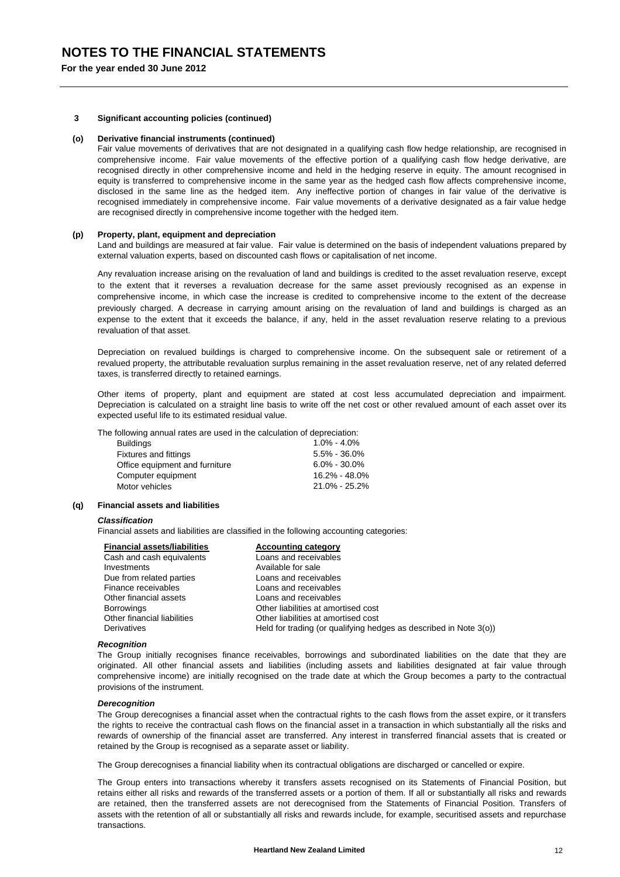#### **3 Significant accounting policies (continued)**

#### **(o) Derivative financial instruments (continued)**

Fair value movements of derivatives that are not designated in a qualifying cash flow hedge relationship, are recognised in comprehensive income. Fair value movements of the effective portion of a qualifying cash flow hedge derivative, are recognised directly in other comprehensive income and held in the hedging reserve in equity. The amount recognised in equity is transferred to comprehensive income in the same year as the hedged cash flow affects comprehensive income, disclosed in the same line as the hedged item. Any ineffective portion of changes in fair value of the derivative is recognised immediately in comprehensive income. Fair value movements of a derivative designated as a fair value hedge are recognised directly in comprehensive income together with the hedged item.

## **(p) Property, plant, equipment and depreciation**

Land and buildings are measured at fair value. Fair value is determined on the basis of independent valuations prepared by external valuation experts, based on discounted cash flows or capitalisation of net income.

Any revaluation increase arising on the revaluation of land and buildings is credited to the asset revaluation reserve, except to the extent that it reverses a revaluation decrease for the same asset previously recognised as an expense in comprehensive income, in which case the increase is credited to comprehensive income to the extent of the decrease previously charged. A decrease in carrying amount arising on the revaluation of land and buildings is charged as an expense to the extent that it exceeds the balance, if any, held in the asset revaluation reserve relating to a previous revaluation of that asset.

Depreciation on revalued buildings is charged to comprehensive income. On the subsequent sale or retirement of a revalued property, the attributable revaluation surplus remaining in the asset revaluation reserve, net of any related deferred taxes, is transferred directly to retained earnings.

Other items of property, plant and equipment are stated at cost less accumulated depreciation and impairment. Depreciation is calculated on a straight line basis to write off the net cost or other revalued amount of each asset over its expected useful life to its estimated residual value.

The following annual rates are used in the calculation of depreciation:

| <b>Buildings</b>               | $1.0\% - 4.0\%$   |
|--------------------------------|-------------------|
| <b>Fixtures and fittings</b>   | $5.5\% - 36.0\%$  |
| Office equipment and furniture | $6.0\% - 30.0\%$  |
| Computer equipment             | $16.2\% - 48.0\%$ |
| Motor vehicles                 | 21.0% - 25.2%     |
|                                |                   |

## **(q) Financial assets and liabilities**

#### *Classification*

Financial assets and liabilities are classified in the following accounting categories:

| <b>Financial assets/liabilities</b> | <b>Accounting category</b>                                        |
|-------------------------------------|-------------------------------------------------------------------|
| Cash and cash equivalents           | Loans and receivables                                             |
| Investments                         | Available for sale                                                |
| Due from related parties            | Loans and receivables                                             |
| Finance receivables                 | Loans and receivables                                             |
| Other financial assets              | Loans and receivables                                             |
| <b>Borrowings</b>                   | Other liabilities at amortised cost                               |
| Other financial liabilities         | Other liabilities at amortised cost                               |
| Derivatives                         | Held for trading (or qualifying hedges as described in Note 3(0)) |

#### *Recognition*

The Group initially recognises finance receivables, borrowings and subordinated liabilities on the date that they are originated. All other financial assets and liabilities (including assets and liabilities designated at fair value through comprehensive income) are initially recognised on the trade date at which the Group becomes a party to the contractual provisions of the instrument.

#### *Derecognition*

The Group derecognises a financial asset when the contractual rights to the cash flows from the asset expire, or it transfers the rights to receive the contractual cash flows on the financial asset in a transaction in which substantially all the risks and rewards of ownership of the financial asset are transferred. Any interest in transferred financial assets that is created or retained by the Group is recognised as a separate asset or liability.

The Group derecognises a financial liability when its contractual obligations are discharged or cancelled or expire.

The Group enters into transactions whereby it transfers assets recognised on its Statements of Financial Position, but retains either all risks and rewards of the transferred assets or a portion of them. If all or substantially all risks and rewards are retained, then the transferred assets are not derecognised from the Statements of Financial Position. Transfers of assets with the retention of all or substantially all risks and rewards include, for example, securitised assets and repurchase transactions.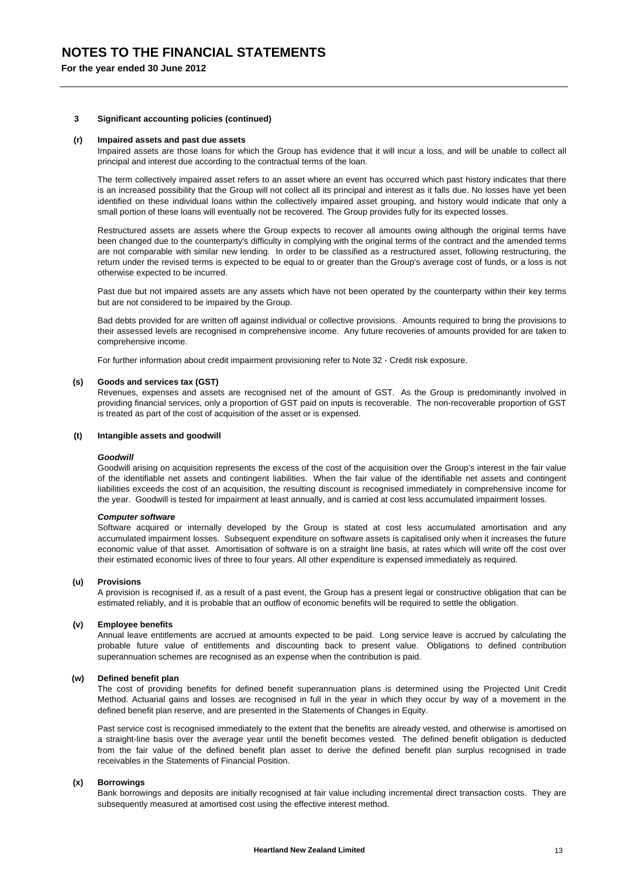## **NOTES TO THE FINANCIAL STATEMENTS**

**For the year ended 30 June 2012**

### **3 Significant accounting policies (continued)**

#### **(r) Impaired assets and past due assets**

Impaired assets are those loans for which the Group has evidence that it will incur a loss, and will be unable to collect all principal and interest due according to the contractual terms of the loan.

The term collectively impaired asset refers to an asset where an event has occurred which past history indicates that there is an increased possibility that the Group will not collect all its principal and interest as it falls due. No losses have yet been identified on these individual loans within the collectively impaired asset grouping, and history would indicate that only a small portion of these loans will eventually not be recovered. The Group provides fully for its expected losses.

Restructured assets are assets where the Group expects to recover all amounts owing although the original terms have been changed due to the counterparty's difficulty in complying with the original terms of the contract and the amended terms are not comparable with similar new lending. In order to be classified as a restructured asset, following restructuring, the return under the revised terms is expected to be equal to or greater than the Group's average cost of funds, or a loss is not otherwise expected to be incurred.

Past due but not impaired assets are any assets which have not been operated by the counterparty within their key terms but are not considered to be impaired by the Group.

Bad debts provided for are written off against individual or collective provisions. Amounts required to bring the provisions to their assessed levels are recognised in comprehensive income. Any future recoveries of amounts provided for are taken to comprehensive income.

For further information about credit impairment provisioning refer to Note 32 - Credit risk exposure.

#### **(s) Goods and services tax (GST)**

Revenues, expenses and assets are recognised net of the amount of GST. As the Group is predominantly involved in providing financial services, only a proportion of GST paid on inputs is recoverable. The non-recoverable proportion of GST is treated as part of the cost of acquisition of the asset or is expensed.

#### **(t) Intangible assets and goodwill**

#### *Goodwill*

Goodwill arising on acquisition represents the excess of the cost of the acquisition over the Group's interest in the fair value of the identifiable net assets and contingent liabilities. When the fair value of the identifiable net assets and contingent liabilities exceeds the cost of an acquisition, the resulting discount is recognised immediately in comprehensive income for the year. Goodwill is tested for impairment at least annually, and is carried at cost less accumulated impairment losses.

#### *Computer software*

Software acquired or internally developed by the Group is stated at cost less accumulated amortisation and any accumulated impairment losses. Subsequent expenditure on software assets is capitalised only when it increases the future economic value of that asset. Amortisation of software is on a straight line basis, at rates which will write off the cost over their estimated economic lives of three to four years. All other expenditure is expensed immediately as required.

#### **(u) Provisions**

A provision is recognised if, as a result of a past event, the Group has a present legal or constructive obligation that can be estimated reliably, and it is probable that an outflow of economic benefits will be required to settle the obligation.

#### **(v) Employee benefits**

Annual leave entitlements are accrued at amounts expected to be paid. Long service leave is accrued by calculating the probable future value of entitlements and discounting back to present value. Obligations to defined contribution superannuation schemes are recognised as an expense when the contribution is paid.

## **(w) Defined benefit plan**

The cost of providing benefits for defined benefit superannuation plans is determined using the Projected Unit Credit Method. Actuarial gains and losses are recognised in full in the year in which they occur by way of a movement in the defined benefit plan reserve, and are presented in the Statements of Changes in Equity.

Past service cost is recognised immediately to the extent that the benefits are already vested, and otherwise is amortised on a straight-line basis over the average year until the benefit becomes vested. The defined benefit obligation is deducted from the fair value of the defined benefit plan asset to derive the defined benefit plan surplus recognised in trade receivables in the Statements of Financial Position.

#### **(x) Borrowings**

Bank borrowings and deposits are initially recognised at fair value including incremental direct transaction costs. They are subsequently measured at amortised cost using the effective interest method.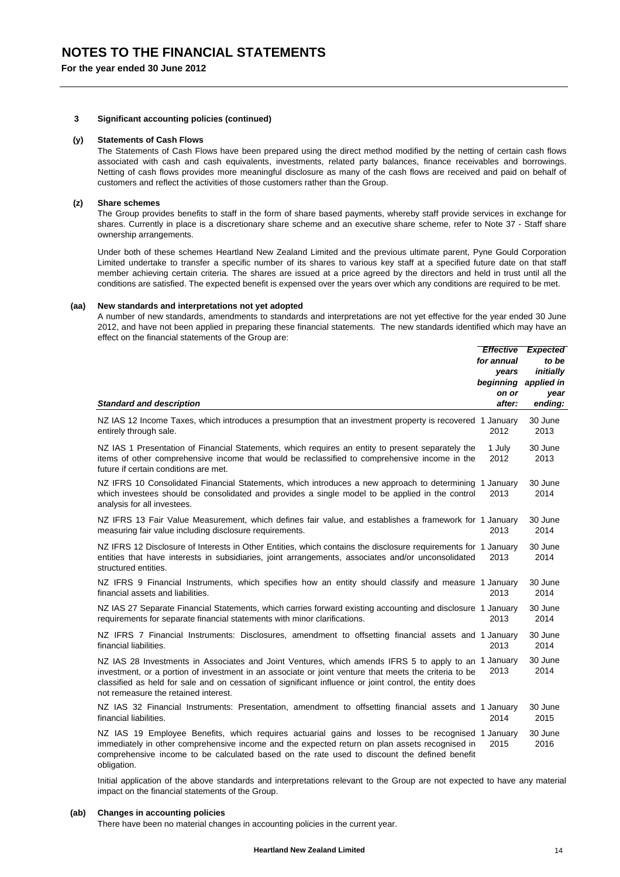## **NOTES TO THE FINANCIAL STATEMENTS**

**For the year ended 30 June 2012**

#### **3 Significant accounting policies (continued)**

#### **(y) Statements of Cash Flows**

The Statements of Cash Flows have been prepared using the direct method modified by the netting of certain cash flows associated with cash and cash equivalents, investments, related party balances, finance receivables and borrowings. Netting of cash flows provides more meaningful disclosure as many of the cash flows are received and paid on behalf of customers and reflect the activities of those customers rather than the Group.

#### **(z) Share schemes**

The Group provides benefits to staff in the form of share based payments, whereby staff provide services in exchange for shares. Currently in place is a discretionary share scheme and an executive share scheme, refer to Note 37 - Staff share ownership arrangements.

Under both of these schemes Heartland New Zealand Limited and the previous ultimate parent, Pyne Gould Corporation Limited undertake to transfer a specific number of its shares to various key staff at a specified future date on that staff member achieving certain criteria. The shares are issued at a price agreed by the directors and held in trust until all the conditions are satisfied. The expected benefit is expensed over the years over which any conditions are required to be met.

#### **(aa) New standards and interpretations not yet adopted**

A number of new standards, amendments to standards and interpretations are not yet effective for the year ended 30 June 2012, and have not been applied in preparing these financial statements. The new standards identified which may have an effect on the financial statements of the Group are:

| <b>Standard and description</b>                                                                                                                                                                                                                                                                                                                                  | <b>Effective</b><br>for annual<br>years<br>beginning<br>on or<br>after: | <b>Expected</b><br>to be<br>initially<br>applied in<br>year<br>ending: |
|------------------------------------------------------------------------------------------------------------------------------------------------------------------------------------------------------------------------------------------------------------------------------------------------------------------------------------------------------------------|-------------------------------------------------------------------------|------------------------------------------------------------------------|
| NZ IAS 12 Income Taxes, which introduces a presumption that an investment property is recovered 1 January<br>entirely through sale.                                                                                                                                                                                                                              | 2012                                                                    | 30 June<br>2013                                                        |
| NZ IAS 1 Presentation of Financial Statements, which requires an entity to present separately the<br>items of other comprehensive income that would be reclassified to comprehensive income in the<br>future if certain conditions are met.                                                                                                                      | 1 July<br>2012                                                          | 30 June<br>2013                                                        |
| NZ IFRS 10 Consolidated Financial Statements, which introduces a new approach to determining 1 January<br>which investees should be consolidated and provides a single model to be applied in the control<br>analysis for all investees.                                                                                                                         | 2013                                                                    | 30 June<br>2014                                                        |
| NZ IFRS 13 Fair Value Measurement, which defines fair value, and establishes a framework for 1 January<br>measuring fair value including disclosure requirements.                                                                                                                                                                                                | 2013                                                                    | 30 June<br>2014                                                        |
| NZ IFRS 12 Disclosure of Interests in Other Entities, which contains the disclosure requirements for 1 January<br>entities that have interests in subsidiaries, joint arrangements, associates and/or unconsolidated<br>structured entities.                                                                                                                     | 2013                                                                    | 30 June<br>2014                                                        |
| NZ IFRS 9 Financial Instruments, which specifies how an entity should classify and measure 1 January<br>financial assets and liabilities.                                                                                                                                                                                                                        | 2013                                                                    | 30 June<br>2014                                                        |
| NZ IAS 27 Separate Financial Statements, which carries forward existing accounting and disclosure 1 January<br>requirements for separate financial statements with minor clarifications.                                                                                                                                                                         | 2013                                                                    | 30 June<br>2014                                                        |
| NZ IFRS 7 Financial Instruments: Disclosures, amendment to offsetting financial assets and 1 January<br>financial liabilities.                                                                                                                                                                                                                                   | 2013                                                                    | 30 June<br>2014                                                        |
| NZ IAS 28 Investments in Associates and Joint Ventures, which amends IFRS 5 to apply to an 1 January<br>investment, or a portion of investment in an associate or joint venture that meets the criteria to be<br>classified as held for sale and on cessation of significant influence or joint control, the entity does<br>not remeasure the retained interest. | 2013                                                                    | 30 June<br>2014                                                        |
| NZ IAS 32 Financial Instruments: Presentation, amendment to offsetting financial assets and 1 January<br>financial liabilities.                                                                                                                                                                                                                                  | 2014                                                                    | 30 June<br>2015                                                        |
| NZ IAS 19 Employee Benefits, which requires actuarial gains and losses to be recognised 1 January<br>immediately in other comprehensive income and the expected return on plan assets recognised in<br>comprehensive income to be calculated based on the rate used to discount the defined benefit<br>obligation.                                               | 2015                                                                    | 30 June<br>2016                                                        |

Initial application of the above standards and interpretations relevant to the Group are not expected to have any material impact on the financial statements of the Group.

### **(ab) Changes in accounting policies**

There have been no material changes in accounting policies in the current year.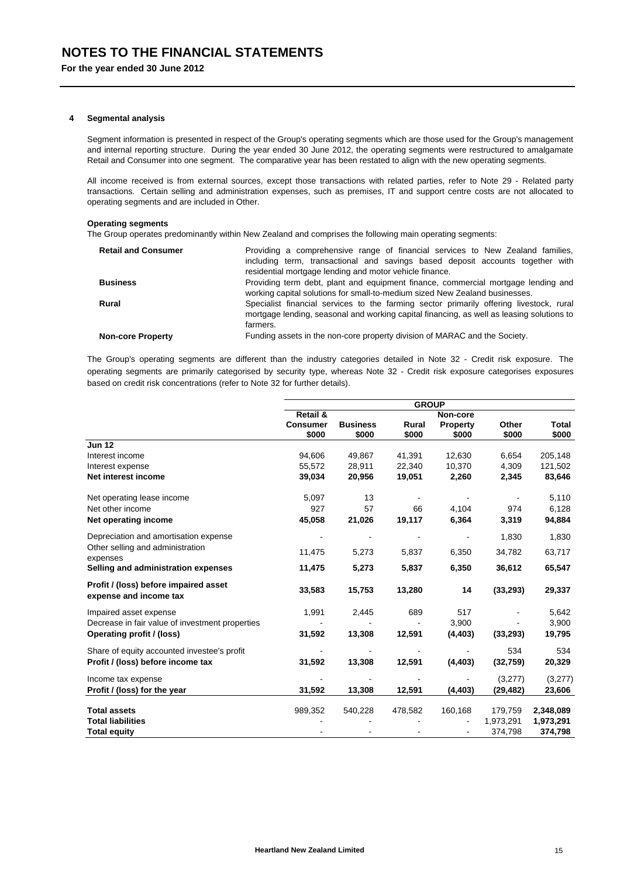#### **4 Segmental analysis**

Segment information is presented in respect of the Group's operating segments which are those used for the Group's management and internal reporting structure. During the year ended 30 June 2012, the operating segments were restructured to amalgamate Retail and Consumer into one segment. The comparative year has been restated to align with the new operating segments.

All income received is from external sources, except those transactions with related parties, refer to Note 29 - Related party transactions. Certain selling and administration expenses, such as premises, IT and support centre costs are not allocated to operating segments and are included in Other.

#### **Operating segments**

The Group operates predominantly within New Zealand and comprises the following main operating segments:

| <b>Retail and Consumer</b> | Providing a comprehensive range of financial services to New Zealand families,                                                                                                                   |
|----------------------------|--------------------------------------------------------------------------------------------------------------------------------------------------------------------------------------------------|
|                            | including term, transactional and savings based deposit accounts together with                                                                                                                   |
|                            | residential mortgage lending and motor vehicle finance.                                                                                                                                          |
| <b>Business</b>            | Providing term debt, plant and equipment finance, commercial mortgage lending and<br>working capital solutions for small-to-medium sized New Zealand businesses.                                 |
| Rural                      | Specialist financial services to the farming sector primarily offering livestock, rural<br>mortgage lending, seasonal and working capital financing, as well as leasing solutions to<br>farmers. |
| <b>Non-core Property</b>   | Funding assets in the non-core property division of MARAC and the Society.                                                                                                                       |

The Group's operating segments are different than the industry categories detailed in Note 32 - Credit risk exposure. The operating segments are primarily categorised by security type, whereas Note 32 - Credit risk exposure categorises exposures based on credit risk concentrations (refer to Note 32 for further details).

|                                                                 | <b>GROUP</b>        |                 |         |                 |           |           |  |
|-----------------------------------------------------------------|---------------------|-----------------|---------|-----------------|-----------|-----------|--|
|                                                                 | <b>Retail &amp;</b> |                 |         | Non-core        |           |           |  |
|                                                                 | <b>Consumer</b>     | <b>Business</b> | Rural   | <b>Property</b> | Other     | Total     |  |
|                                                                 | \$000               | \$000           | \$000   | \$000           | \$000     | \$000     |  |
| <b>Jun 12</b>                                                   |                     |                 |         |                 |           |           |  |
| Interest income                                                 | 94,606              | 49,867          | 41,391  | 12,630          | 6,654     | 205,148   |  |
| Interest expense                                                | 55,572              | 28,911          | 22,340  | 10,370          | 4,309     | 121,502   |  |
| Net interest income                                             | 39,034              | 20,956          | 19,051  | 2,260           | 2,345     | 83,646    |  |
| Net operating lease income                                      | 5,097               | 13              |         |                 |           | 5,110     |  |
| Net other income                                                | 927                 | 57              | 66      | 4,104           | 974       | 6,128     |  |
| Net operating income                                            | 45,058              | 21,026          | 19,117  | 6,364           | 3,319     | 94,884    |  |
| Depreciation and amortisation expense                           |                     |                 |         |                 | 1,830     | 1,830     |  |
| Other selling and administration<br>expenses                    | 11,475              | 5,273           | 5,837   | 6,350           | 34,782    | 63,717    |  |
| Selling and administration expenses                             | 11,475              | 5,273           | 5,837   | 6,350           | 36,612    | 65,547    |  |
| Profit / (loss) before impaired asset<br>expense and income tax | 33,583              | 15,753          | 13,280  | 14              | (33, 293) | 29,337    |  |
| Impaired asset expense                                          | 1,991               | 2,445           | 689     | 517             |           | 5,642     |  |
| Decrease in fair value of investment properties                 |                     |                 |         | 3,900           |           | 3,900     |  |
| Operating profit / (loss)                                       | 31,592              | 13,308          | 12,591  | (4, 403)        | (33, 293) | 19,795    |  |
| Share of equity accounted investee's profit                     |                     |                 |         |                 | 534       | 534       |  |
| Profit / (loss) before income tax                               | 31,592              | 13,308          | 12,591  | (4, 403)        | (32, 759) | 20,329    |  |
| Income tax expense                                              |                     |                 |         |                 | (3,277)   | (3,277)   |  |
| Profit / (loss) for the year                                    | 31,592              | 13,308          | 12,591  | (4, 403)        | (29, 482) | 23,606    |  |
| <b>Total assets</b>                                             | 989,352             | 540,228         | 478,582 | 160,168         | 179,759   | 2,348,089 |  |
| <b>Total liabilities</b>                                        |                     |                 |         |                 | 1,973,291 | 1,973,291 |  |
| <b>Total equity</b>                                             |                     |                 |         |                 | 374,798   | 374,798   |  |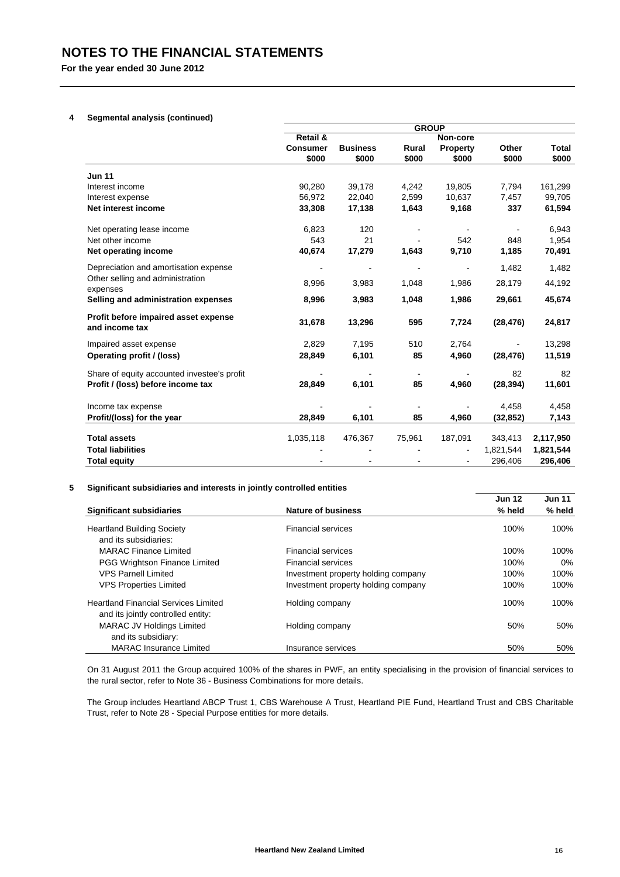## **4 Segmental analysis (continued)**

|                                                        | <b>GROUP</b>    |                 |                          |                |           |              |  |
|--------------------------------------------------------|-----------------|-----------------|--------------------------|----------------|-----------|--------------|--|
|                                                        | Retail &        |                 |                          | Non-core       |           |              |  |
|                                                        | <b>Consumer</b> | <b>Business</b> | Rural                    | Property       | Other     | <b>Total</b> |  |
|                                                        | \$000           | \$000           | \$000                    | \$000          | \$000     | \$000        |  |
| <b>Jun 11</b>                                          |                 |                 |                          |                |           |              |  |
| Interest income                                        | 90,280          | 39,178          | 4,242                    | 19,805         | 7,794     | 161,299      |  |
| Interest expense                                       | 56,972          | 22,040          | 2,599                    | 10,637         | 7,457     | 99,705       |  |
| Net interest income                                    | 33,308          | 17,138          | 1,643                    | 9,168          | 337       | 61,594       |  |
| Net operating lease income                             | 6,823           | 120             |                          |                |           | 6,943        |  |
| Net other income                                       | 543             | 21              |                          | 542            | 848       | 1,954        |  |
| Net operating income                                   | 40,674          | 17,279          | 1,643                    | 9,710          | 1,185     | 70,491       |  |
| Depreciation and amortisation expense                  |                 |                 |                          |                | 1,482     | 1,482        |  |
| Other selling and administration<br>expenses           | 8,996           | 3,983           | 1,048                    | 1,986          | 28,179    | 44,192       |  |
| Selling and administration expenses                    | 8,996           | 3,983           | 1,048                    | 1,986          | 29,661    | 45,674       |  |
| Profit before impaired asset expense<br>and income tax | 31,678          | 13,296          | 595                      | 7,724          | (28, 476) | 24,817       |  |
| Impaired asset expense                                 | 2,829           | 7,195           | 510                      | 2,764          |           | 13,298       |  |
| Operating profit / (loss)                              | 28,849          | 6,101           | 85                       | 4,960          | (28, 476) | 11,519       |  |
| Share of equity accounted investee's profit            |                 |                 | $\overline{\phantom{a}}$ | $\overline{a}$ | 82        | 82           |  |
| Profit / (loss) before income tax                      | 28,849          | 6,101           | 85                       | 4,960          | (28, 394) | 11,601       |  |
| Income tax expense                                     |                 |                 |                          |                | 4,458     | 4,458        |  |
| Profit/(loss) for the year                             | 28,849          | 6,101           | 85                       | 4,960          | (32, 852) | 7,143        |  |
|                                                        |                 |                 |                          |                |           |              |  |
| <b>Total assets</b>                                    | 1,035,118       | 476,367         | 75,961                   | 187,091        | 343,413   | 2,117,950    |  |
| <b>Total liabilities</b>                               |                 |                 |                          |                | 1,821,544 | 1,821,544    |  |
| <b>Total equity</b>                                    |                 |                 |                          |                | 296,406   | 296,406      |  |

## **5 Significant subsidiaries and interests in jointly controlled entities**

|                                                                                   |                                     | <b>Jun 12</b> | <b>Jun 11</b> |  |
|-----------------------------------------------------------------------------------|-------------------------------------|---------------|---------------|--|
| <b>Significant subsidiaries</b>                                                   | <b>Nature of business</b>           | % held        | % held        |  |
| <b>Heartland Building Society</b><br>and its subsidiaries:                        | <b>Financial services</b>           | 100%          | 100%          |  |
| <b>MARAC Finance Limited</b>                                                      | <b>Financial services</b>           | 100%          | 100%          |  |
| <b>PGG Wrightson Finance Limited</b>                                              | <b>Financial services</b>           | 100%          | $0\%$         |  |
| <b>VPS Parnell Limited</b>                                                        | Investment property holding company | 100%          | 100%          |  |
| <b>VPS Properties Limited</b>                                                     | Investment property holding company | 100%          | 100%          |  |
| <b>Heartland Financial Services Limited</b><br>and its jointly controlled entity: | Holding company                     | 100%          | 100%          |  |
| <b>MARAC JV Holdings Limited</b><br>and its subsidiary:                           | Holding company                     | 50%           | 50%           |  |
| <b>MARAC Insurance Limited</b>                                                    | Insurance services                  | 50%           | 50%           |  |

On 31 August 2011 the Group acquired 100% of the shares in PWF, an entity specialising in the provision of financial services to the rural sector, refer to Note 36 - Business Combinations for more details.

The Group includes Heartland ABCP Trust 1, CBS Warehouse A Trust, Heartland PIE Fund, Heartland Trust and CBS Charitable Trust, refer to Note 28 - Special Purpose entities for more details.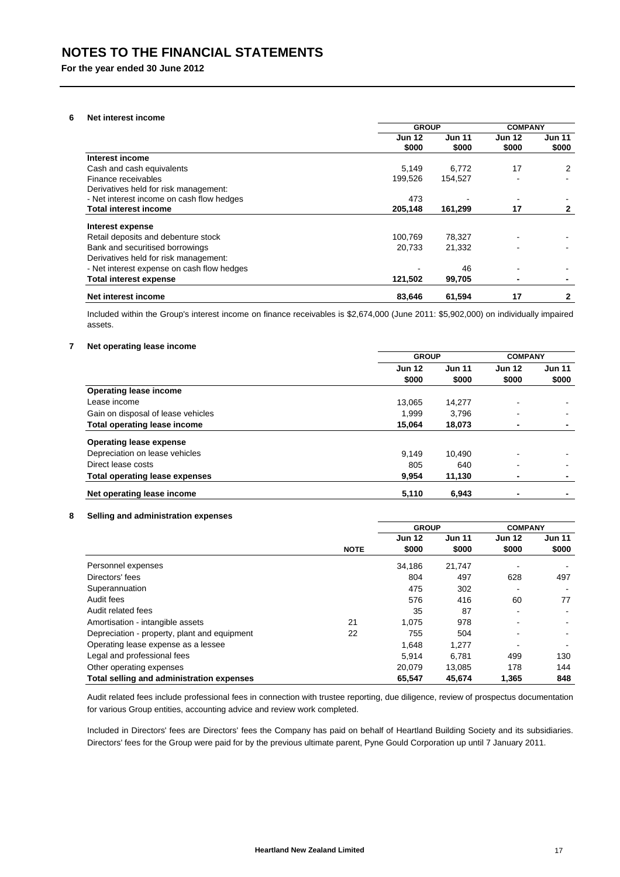## **6 Net interest income**

|                                            | <b>GROUP</b>  |               |               | <b>COMPANY</b> |  |
|--------------------------------------------|---------------|---------------|---------------|----------------|--|
|                                            | <b>Jun 12</b> | <b>Jun 11</b> | <b>Jun 12</b> | <b>Jun 11</b>  |  |
|                                            | \$000         | \$000         | \$000         | \$000          |  |
| Interest income                            |               |               |               |                |  |
| Cash and cash equivalents                  | 5,149         | 6,772         | 17            | 2              |  |
| Finance receivables                        | 199,526       | 154,527       |               |                |  |
| Derivatives held for risk management:      |               |               |               |                |  |
| - Net interest income on cash flow hedges  | 473           |               |               |                |  |
| <b>Total interest income</b>               | 205,148       | 161,299       | 17            | 2              |  |
| Interest expense                           |               |               |               |                |  |
| Retail deposits and debenture stock        | 100,769       | 78,327        |               |                |  |
| Bank and securitised borrowings            | 20,733        | 21,332        |               |                |  |
| Derivatives held for risk management:      |               |               |               |                |  |
| - Net interest expense on cash flow hedges |               | 46            |               |                |  |
| <b>Total interest expense</b>              | 121,502       | 99,705        | ٠             |                |  |
| Net interest income                        | 83.646        | 61,594        | 17            | 2              |  |

Included within the Group's interest income on finance receivables is \$2,674,000 (June 2011: \$5,902,000) on individually impaired assets.

## **7 Net operating lease income**

|                                       | <b>GROUP</b>  |               | <b>COMPANY</b>           |                          |
|---------------------------------------|---------------|---------------|--------------------------|--------------------------|
|                                       | <b>Jun 12</b> | <b>Jun 11</b> | <b>Jun 12</b>            | <b>Jun 11</b>            |
|                                       | \$000         | \$000         | \$000                    | \$000                    |
| <b>Operating lease income</b>         |               |               |                          |                          |
| Lease income                          | 13,065        | 14,277        | $\blacksquare$           | $\blacksquare$           |
| Gain on disposal of lease vehicles    | 1.999         | 3,796         | $\overline{\phantom{0}}$ | $\blacksquare$           |
| <b>Total operating lease income</b>   | 15.064        | 18.073        | ٠                        | ۰                        |
| <b>Operating lease expense</b>        |               |               |                          |                          |
| Depreciation on lease vehicles        | 9.149         | 10.490        | $\overline{\phantom{0}}$ | $\blacksquare$           |
| Direct lease costs                    | 805           | 640           | $\overline{\phantom{0}}$ | $\blacksquare$           |
| <b>Total operating lease expenses</b> | 9,954         | 11,130        | ٠                        | $\overline{\phantom{0}}$ |
| Net operating lease income            | 5,110         | 6,943         | ۰                        | ۰                        |

## **8 Selling and administration expenses**

|                                              |             | <b>GROUP</b>  |               | <b>COMPANY</b> |        |
|----------------------------------------------|-------------|---------------|---------------|----------------|--------|
|                                              |             | <b>Jun 12</b> | <b>Jun 11</b> | <b>Jun 12</b>  | Jun 11 |
|                                              | <b>NOTE</b> | \$000         | \$000         | \$000          | \$000  |
| Personnel expenses                           |             | 34.186        | 21,747        |                |        |
| Directors' fees                              |             | 804           | 497           | 628            | 497    |
| Superannuation                               |             | 475           | 302           | -              |        |
| Audit fees                                   |             | 576           | 416           | 60             | 77     |
| Audit related fees                           |             | 35            | 87            |                |        |
| Amortisation - intangible assets             | 21          | 1.075         | 978           | -              |        |
| Depreciation - property, plant and equipment | 22          | 755           | 504           |                |        |
| Operating lease expense as a lessee          |             | 1.648         | 1,277         |                |        |
| Legal and professional fees                  |             | 5.914         | 6.781         | 499            | 130    |
| Other operating expenses                     |             | 20.079        | 13.085        | 178            | 144    |
| Total selling and administration expenses    |             | 65.547        | 45.674        | 1,365          | 848    |

Audit related fees include professional fees in connection with trustee reporting, due diligence, review of prospectus documentation for various Group entities, accounting advice and review work completed.

Included in Directors' fees are Directors' fees the Company has paid on behalf of Heartland Building Society and its subsidiaries. Directors' fees for the Group were paid for by the previous ultimate parent, Pyne Gould Corporation up until 7 January 2011.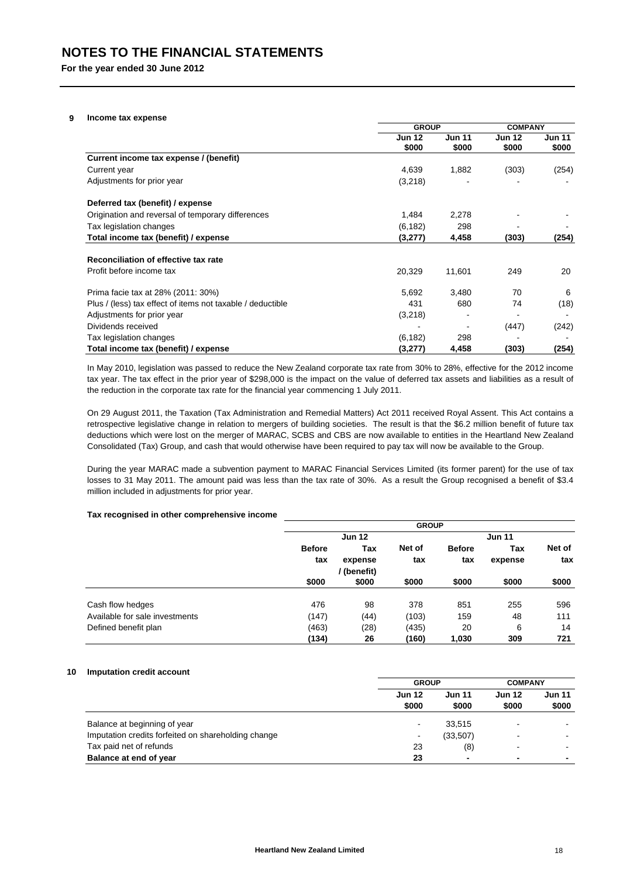#### **9 Income tax expense**

|                                                            | <b>GROUP</b>  |               | <b>COMPANY</b> |        |
|------------------------------------------------------------|---------------|---------------|----------------|--------|
|                                                            | <b>Jun 12</b> | <b>Jun 11</b> | <b>Jun 12</b>  | Jun 11 |
|                                                            | \$000         | \$000         | \$000          | \$000  |
| Current income tax expense / (benefit)                     |               |               |                |        |
| Current year                                               | 4,639         | 1,882         | (303)          | (254)  |
| Adjustments for prior year                                 | (3,218)       |               |                |        |
| Deferred tax (benefit) / expense                           |               |               |                |        |
| Origination and reversal of temporary differences          | 1,484         | 2,278         |                |        |
| Tax legislation changes                                    | (6, 182)      | 298           |                |        |
| Total income tax (benefit) / expense                       | (3,277)       | 4,458         | (303)          | (254)  |
| Reconciliation of effective tax rate                       |               |               |                |        |
| Profit before income tax                                   | 20,329        | 11,601        | 249            | 20     |
| Prima facie tax at 28% (2011: 30%)                         | 5,692         | 3,480         | 70             | 6      |
| Plus / (less) tax effect of items not taxable / deductible | 431           | 680           | 74             | (18)   |
| Adjustments for prior year                                 | (3,218)       |               |                |        |
| Dividends received                                         |               |               | (447)          | (242)  |
| Tax legislation changes                                    | (6, 182)      | 298           |                |        |
| Total income tax (benefit) / expense                       | (3,277)       | 4,458         | (303)          | (254)  |

In May 2010, legislation was passed to reduce the New Zealand corporate tax rate from 30% to 28%, effective for the 2012 income tax year. The tax effect in the prior year of \$298,000 is the impact on the value of deferred tax assets and liabilities as a result of the reduction in the corporate tax rate for the financial year commencing 1 July 2011.

On 29 August 2011, the Taxation (Tax Administration and Remedial Matters) Act 2011 received Royal Assent. This Act contains a retrospective legislative change in relation to mergers of building societies. The result is that the \$6.2 million benefit of future tax deductions which were lost on the merger of MARAC, SCBS and CBS are now available to entities in the Heartland New Zealand Consolidated (Tax) Group, and cash that would otherwise have been required to pay tax will now be available to the Group.

During the year MARAC made a subvention payment to MARAC Financial Services Limited (its former parent) for the use of tax losses to 31 May 2011. The amount paid was less than the tax rate of 30%. As a result the Group recognised a benefit of \$3.4 million included in adjustments for prior year.

#### **Tax recognised in other comprehensive income**

|                                |               |               | <b>GROUP</b> |               |               |        |  |
|--------------------------------|---------------|---------------|--------------|---------------|---------------|--------|--|
|                                |               | <b>Jun 12</b> |              |               | <b>Jun 11</b> |        |  |
|                                | <b>Before</b> | Tax           | Net of       | <b>Before</b> | Tax           | Net of |  |
|                                | tax           | expense       | tax          | tax           | expense       | tax    |  |
|                                |               | (benefit)     |              |               |               |        |  |
|                                | \$000         | \$000         | \$000        | \$000         | \$000         | \$000  |  |
| Cash flow hedges               | 476           | 98            | 378          | 851           | 255           | 596    |  |
| Available for sale investments | (147)         | (44)          | (103)        | 159           | 48            | 111    |  |
| Defined benefit plan           | (463)         | (28)          | (435)        | 20            | 6             | 14     |  |
|                                | (134)         | 26            | (160)        | 1,030         | 309           | 721    |  |

## **10 Imputation credit account**

|                                                     | <b>GROUP</b>  |                | <b>COMPANY</b>           |                          |               |
|-----------------------------------------------------|---------------|----------------|--------------------------|--------------------------|---------------|
|                                                     | <b>Jun 12</b> | <b>Jun 11</b>  |                          | <b>Jun 12</b>            | <b>Jun 11</b> |
|                                                     | \$000         | \$000<br>\$000 |                          | \$000                    |               |
| Balance at beginning of year                        | -             | 33,515         |                          |                          |               |
| Imputation credits forfeited on shareholding change | ٠             | (33,507)       | $\overline{\phantom{0}}$ |                          |               |
| Tax paid net of refunds                             | 23            | (8)            |                          | $\overline{\phantom{0}}$ |               |
| Balance at end of year                              | 23            | $\blacksquare$ |                          | ۰                        |               |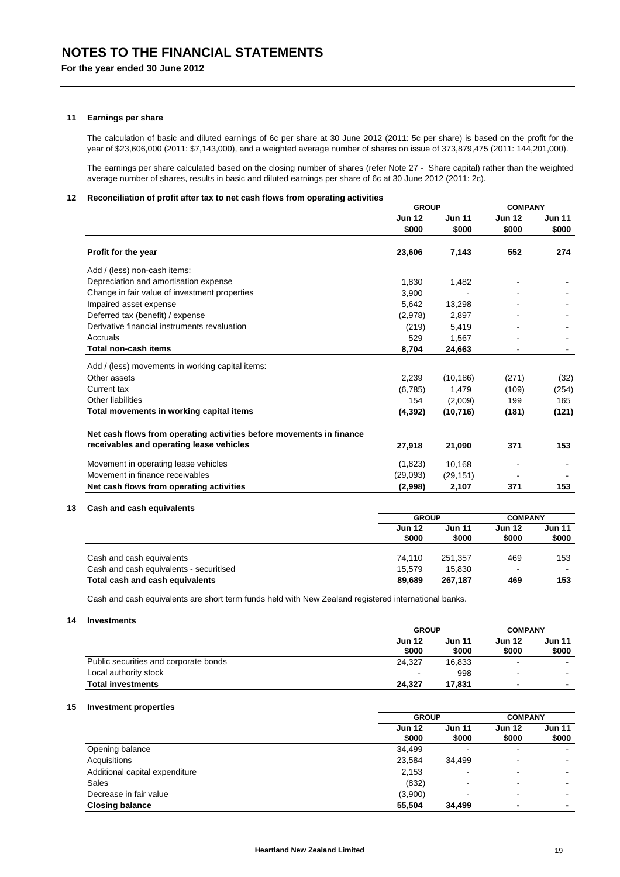#### **11 Earnings per share**

The calculation of basic and diluted earnings of 6c per share at 30 June 2012 (2011: 5c per share) is based on the profit for the year of \$23,606,000 (2011: \$7,143,000), and a weighted average number of shares on issue of 373,879,475 (2011: 144,201,000).

The earnings per share calculated based on the closing number of shares (refer Note 27 - Share capital) rather than the weighted average number of shares, results in basic and diluted earnings per share of 6c at 30 June 2012 (2011: 2c).

## **12 Reconciliation of profit after tax to net cash flows from operating activities**

|                                                                      | <b>GROUP</b>           |                        | <b>COMPANY</b>         |                        |
|----------------------------------------------------------------------|------------------------|------------------------|------------------------|------------------------|
|                                                                      | <b>Jun 12</b><br>\$000 | <b>Jun 11</b><br>\$000 | <b>Jun 12</b><br>\$000 | <b>Jun 11</b><br>\$000 |
| Profit for the year                                                  | 23,606                 | 7,143                  | 552                    | 274                    |
| Add / (less) non-cash items:                                         |                        |                        |                        |                        |
| Depreciation and amortisation expense                                | 1,830                  | 1,482                  |                        |                        |
| Change in fair value of investment properties                        | 3,900                  |                        |                        |                        |
| Impaired asset expense                                               | 5,642                  | 13,298                 |                        |                        |
| Deferred tax (benefit) / expense                                     | (2,978)                | 2,897                  |                        |                        |
| Derivative financial instruments revaluation                         | (219)                  | 5,419                  |                        |                        |
| Accruals                                                             | 529                    | 1,567                  |                        |                        |
| <b>Total non-cash items</b>                                          | 8,704                  | 24,663                 |                        |                        |
| Add / (less) movements in working capital items:                     |                        |                        |                        |                        |
| Other assets                                                         | 2,239                  | (10, 186)              | (271)                  | (32)                   |
| Current tax                                                          | (6,785)                | 1,479                  | (109)                  | (254)                  |
| <b>Other liabilities</b>                                             | 154                    | (2,009)                | 199                    | 165                    |
| Total movements in working capital items                             | (4, 392)               | (10, 716)              | (181)                  | (121)                  |
| Net cash flows from operating activities before movements in finance |                        |                        |                        |                        |
| receivables and operating lease vehicles                             | 27,918                 | 21,090                 | 371                    | 153                    |
| Movement in operating lease vehicles                                 | (1,823)                | 10,168                 |                        |                        |
| Movement in finance receivables                                      | (29,093)               | (29, 151)              |                        |                        |
| Net cash flows from operating activities                             | (2,998)                | 2,107                  | 371                    | 153                    |
|                                                                      |                        |                        |                        |                        |
| Cash and cash equivalents                                            | <b>GROUP</b>           |                        | <b>COMPANY</b>         |                        |
|                                                                      | <b>Jun 12</b><br>\$000 | <b>Jun 11</b><br>\$000 | <b>Jun 12</b><br>\$000 | <b>Jun 11</b><br>\$000 |
|                                                                      |                        |                        |                        |                        |
| Cash and cash equivalents                                            | 74,110                 | 251,357                | 469                    | 153                    |
| Cash and cash equivalents - securitised                              | 15,579                 | 15,830                 |                        |                        |
| Total cash and cash equivalents                                      | 89,689                 | 267,187                | 469                    | 153                    |

Cash and cash equivalents are short term funds held with New Zealand registered international banks.

## **14 Investments**

|                                       | <b>GROUP</b>           |                        | <b>COMPANY</b>         |                          |
|---------------------------------------|------------------------|------------------------|------------------------|--------------------------|
|                                       | <b>Jun 12</b><br>\$000 | <b>Jun 11</b><br>\$000 | <b>Jun 12</b><br>\$000 | Jun 11<br>\$000          |
| Public securities and corporate bonds | 24.327                 | 16.833                 | $\blacksquare$         | $\sim$                   |
| Local authority stock                 | -                      | 998                    |                        | $\sim$                   |
| <b>Total investments</b>              | 24.327                 | 17.831                 | -                      | $\overline{\phantom{0}}$ |

#### **15 Investment properties**

|                                | <b>GROUP</b>           |                          | <b>COMPANY</b>           |                        |
|--------------------------------|------------------------|--------------------------|--------------------------|------------------------|
|                                | <b>Jun 12</b><br>\$000 | <b>Jun 11</b><br>\$000   | <b>Jun 12</b><br>\$000   | <b>Jun 11</b><br>\$000 |
| Opening balance                | 34,499                 | $\overline{\phantom{a}}$ | $\blacksquare$           |                        |
| Acquisitions                   | 23,584                 | 34.499                   | $\overline{\phantom{0}}$ |                        |
| Additional capital expenditure | 2,153                  | ٠                        | $\,$                     |                        |
| Sales                          | (832)                  | $\overline{\phantom{0}}$ | $\blacksquare$           |                        |
| Decrease in fair value         | (3,900)                | $\overline{\phantom{a}}$ | $\overline{\phantom{0}}$ |                        |
| <b>Closing balance</b>         | 55,504                 | 34.499                   | ۰                        | $\blacksquare$         |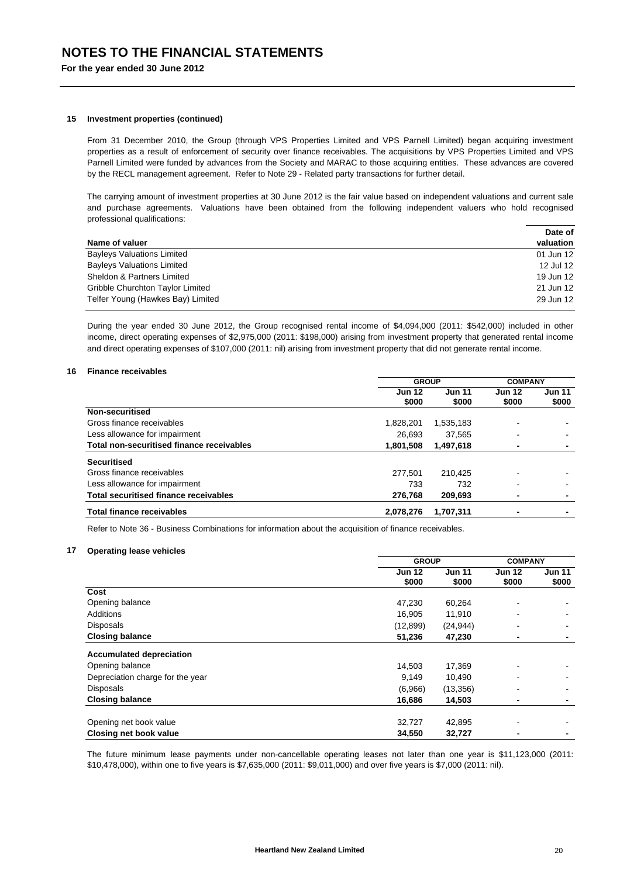#### **15 Investment properties (continued)**

From 31 December 2010, the Group (through VPS Properties Limited and VPS Parnell Limited) began acquiring investment properties as a result of enforcement of security over finance receivables. The acquisitions by VPS Properties Limited and VPS Parnell Limited were funded by advances from the Society and MARAC to those acquiring entities. These advances are covered by the RECL management agreement. Refer to Note 29 - Related party transactions for further detail.

The carrying amount of investment properties at 30 June 2012 is the fair value based on independent valuations and current sale and purchase agreements. Valuations have been obtained from the following independent valuers who hold recognised professional qualifications:

|                                   | Date of   |
|-----------------------------------|-----------|
| Name of valuer                    | valuation |
| <b>Bayleys Valuations Limited</b> | 01 Jun 12 |
| <b>Bayleys Valuations Limited</b> | 12 Jul 12 |
| Sheldon & Partners Limited        | 19 Jun 12 |
| Gribble Churchton Taylor Limited  | 21 Jun 12 |
| Telfer Young (Hawkes Bay) Limited | 29 Jun 12 |

During the year ended 30 June 2012, the Group recognised rental income of \$4,094,000 (2011: \$542,000) included in other income, direct operating expenses of \$2,975,000 (2011: \$198,000) arising from investment property that generated rental income and direct operating expenses of \$107,000 (2011: nil) arising from investment property that did not generate rental income.

### **16 Finance receivables**

|                                              | <b>GROUP</b>           |                        |                        | <b>COMPANY</b>         |  |
|----------------------------------------------|------------------------|------------------------|------------------------|------------------------|--|
|                                              | <b>Jun 12</b><br>\$000 | <b>Jun 11</b><br>\$000 | <b>Jun 12</b><br>\$000 | <b>Jun 11</b><br>\$000 |  |
| Non-securitised                              |                        |                        |                        |                        |  |
| Gross finance receivables                    | 1.828.201              | 1,535,183              |                        |                        |  |
| Less allowance for impairment                | 26.693                 | 37.565                 |                        |                        |  |
| Total non-securitised finance receivables    | 1,801,508              | 1,497,618              | -                      |                        |  |
| <b>Securitised</b>                           |                        |                        |                        |                        |  |
| Gross finance receivables                    | 277.501                | 210.425                |                        |                        |  |
| Less allowance for impairment                | 733                    | 732                    |                        |                        |  |
| <b>Total securitised finance receivables</b> | 276,768                | 209.693                | -                      |                        |  |
| <b>Total finance receivables</b>             | 2,078,276              | 1.707.311              |                        |                        |  |

Refer to Note 36 - Business Combinations for information about the acquisition of finance receivables.

#### **17 Operating lease vehicles**

|                                  | <b>GROUP</b>  |               | <b>COMPANY</b> |                          |
|----------------------------------|---------------|---------------|----------------|--------------------------|
|                                  | <b>Jun 12</b> | <b>Jun 11</b> | <b>Jun 12</b>  | <b>Jun 11</b>            |
|                                  | \$000         | \$000         | \$000          | \$000                    |
| Cost                             |               |               |                |                          |
| Opening balance                  | 47,230        | 60,264        | ۰              |                          |
| <b>Additions</b>                 | 16,905        | 11,910        |                |                          |
| <b>Disposals</b>                 | (12, 899)     | (24, 944)     |                | $\blacksquare$           |
| <b>Closing balance</b>           | 51,236        | 47,230        | ٠              | $\overline{\phantom{0}}$ |
| <b>Accumulated depreciation</b>  |               |               |                |                          |
| Opening balance                  | 14,503        | 17,369        |                |                          |
| Depreciation charge for the year | 9,149         | 10,490        |                |                          |
| <b>Disposals</b>                 | (6,966)       | (13, 356)     |                |                          |
| <b>Closing balance</b>           | 16,686        | 14,503        | ٠              | $\overline{\phantom{0}}$ |
| Opening net book value           | 32,727        | 42,895        |                |                          |
| Closing net book value           | 34,550        | 32,727        | -              |                          |

The future minimum lease payments under non-cancellable operating leases not later than one year is \$11,123,000 (2011: \$10,478,000), within one to five years is \$7,635,000 (2011: \$9,011,000) and over five years is \$7,000 (2011: nil).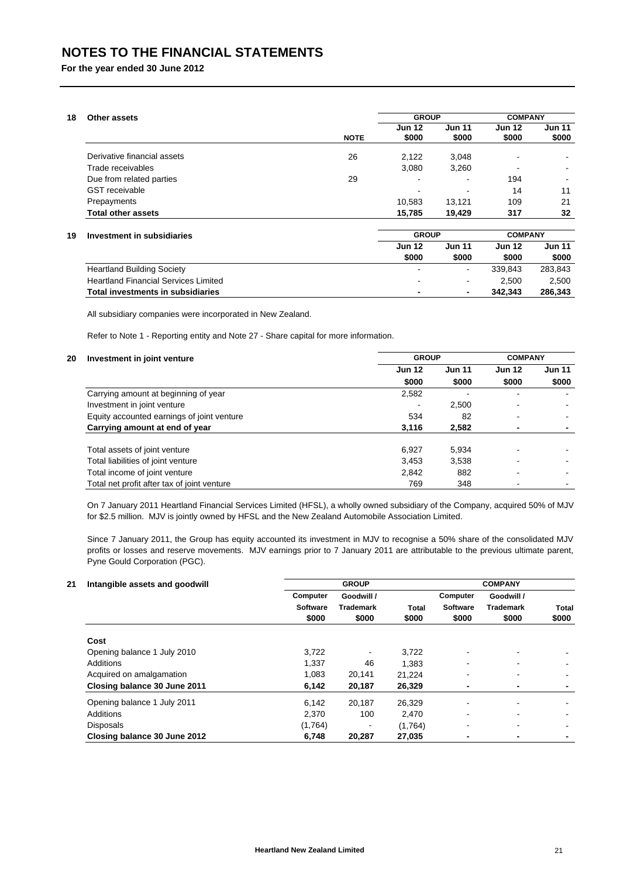## **NOTES TO THE FINANCIAL STATEMENTS**

**For the year ended 30 June 2012**

| 18<br>Other assets               |             |                        | <b>GROUP</b>           |                        | <b>COMPANY</b>           |
|----------------------------------|-------------|------------------------|------------------------|------------------------|--------------------------|
|                                  | <b>NOTE</b> | <b>Jun 12</b><br>\$000 | <b>Jun 11</b><br>\$000 | <b>Jun 12</b><br>\$000 | <b>Jun 11</b><br>\$000   |
| Derivative financial assets      | 26          | 2,122                  | 3,048                  | $\blacksquare$         |                          |
| Trade receivables                |             | 3,080                  | 3,260                  | $\blacksquare$         |                          |
| Due from related parties         | 29          | $\blacksquare$         | -                      | 194                    | $\overline{\phantom{0}}$ |
| <b>GST</b> receivable            |             |                        |                        | 14                     | 11                       |
| Prepayments                      |             | 10,583                 | 13.121                 | 109                    | 21                       |
| <b>Total other assets</b>        |             | 15,785                 | 19,429                 | 317                    | 32                       |
| 19<br>Investment in subsidiaries |             | <b>GROUP</b>           |                        | <b>COMPANY</b>         |                          |

### **19 Investment in subsidiaries**

|                                             | <b>Jun 12</b>            | <b>Jun 11</b>            | <b>Jun 12</b> | <b>Jun 11</b> |
|---------------------------------------------|--------------------------|--------------------------|---------------|---------------|
|                                             | \$000                    | \$000                    | \$000         | \$000         |
| <b>Heartland Building Society</b>           | $\blacksquare$           | $\overline{\phantom{a}}$ | 339.843       | 283.843       |
| <b>Heartland Financial Services Limited</b> | $\sim$                   | $\sim$                   | 2.500         | 2.500         |
| Total investments in subsidiaries           | $\overline{\phantom{0}}$ | $\blacksquare$           | 342.343       | 286.343       |

All subsidiary companies were incorporated in New Zealand.

Refer to Note 1 - Reporting entity and Note 27 - Share capital for more information.

## **20 Investment in joint venture**

| Investment in joint venture                 | <b>GROUP</b>  |               | <b>COMPANY</b> |               |
|---------------------------------------------|---------------|---------------|----------------|---------------|
|                                             | <b>Jun 12</b> | <b>Jun 11</b> | <b>Jun 12</b>  | <b>Jun 11</b> |
|                                             | \$000         | \$000         | \$000          | \$000         |
| Carrying amount at beginning of year        | 2,582         |               |                |               |
| Investment in joint venture                 |               | 2,500         |                |               |
| Equity accounted earnings of joint venture  | 534           | 82            |                |               |
| Carrying amount at end of year              | 3,116         | 2,582         |                |               |
| Total assets of joint venture               | 6,927         | 5.934         |                |               |
| Total liabilities of joint venture          | 3,453         | 3.538         |                |               |
| Total income of joint venture               | 2,842         | 882           | -              |               |
| Total net profit after tax of joint venture | 769           | 348           |                |               |

On 7 January 2011 Heartland Financial Services Limited (HFSL), a wholly owned subsidiary of the Company, acquired 50% of MJV for \$2.5 million. MJV is jointly owned by HFSL and the New Zealand Automobile Association Limited.

Since 7 January 2011, the Group has equity accounted its investment in MJV to recognise a 50% share of the consolidated MJV profits or losses and reserve movements. MJV earnings prior to 7 January 2011 are attributable to the previous ultimate parent, Pyne Gould Corporation (PGC).

## **21 Intangible assets and goodwill**

| Intangible assets and goodwill |                 | <b>GROUP</b>     |         |                          | <b>COMPANY</b>   |                |  |  |
|--------------------------------|-----------------|------------------|---------|--------------------------|------------------|----------------|--|--|
|                                | Computer        | Goodwill /       |         | Computer                 | Goodwill /       |                |  |  |
|                                | <b>Software</b> | <b>Trademark</b> | Total   | <b>Software</b>          | <b>Trademark</b> | Total          |  |  |
|                                | \$000           | \$000            | \$000   | \$000                    | \$000            | \$000          |  |  |
| Cost                           |                 |                  |         |                          |                  |                |  |  |
| Opening balance 1 July 2010    | 3,722           |                  | 3,722   | ۰                        |                  |                |  |  |
| Additions                      | 1.337           | 46               | 1.383   | $\blacksquare$           |                  | $\blacksquare$ |  |  |
| Acquired on amalgamation       | 1,083           | 20,141           | 21.224  | ٠                        | $\blacksquare$   | $\blacksquare$ |  |  |
| Closing balance 30 June 2011   | 6,142           | 20,187           | 26,329  | ٠                        | ٠                | ۰              |  |  |
| Opening balance 1 July 2011    | 6.142           | 20.187           | 26.329  | $\overline{\phantom{a}}$ |                  |                |  |  |
| Additions                      | 2,370           | 100              | 2,470   | ۰                        |                  | $\blacksquare$ |  |  |
| <b>Disposals</b>               | (1,764)         |                  | (1,764) | $\blacksquare$           |                  | $\blacksquare$ |  |  |
| Closing balance 30 June 2012   | 6,748           | 20,287           | 27,035  | ٠                        | -                | ٠              |  |  |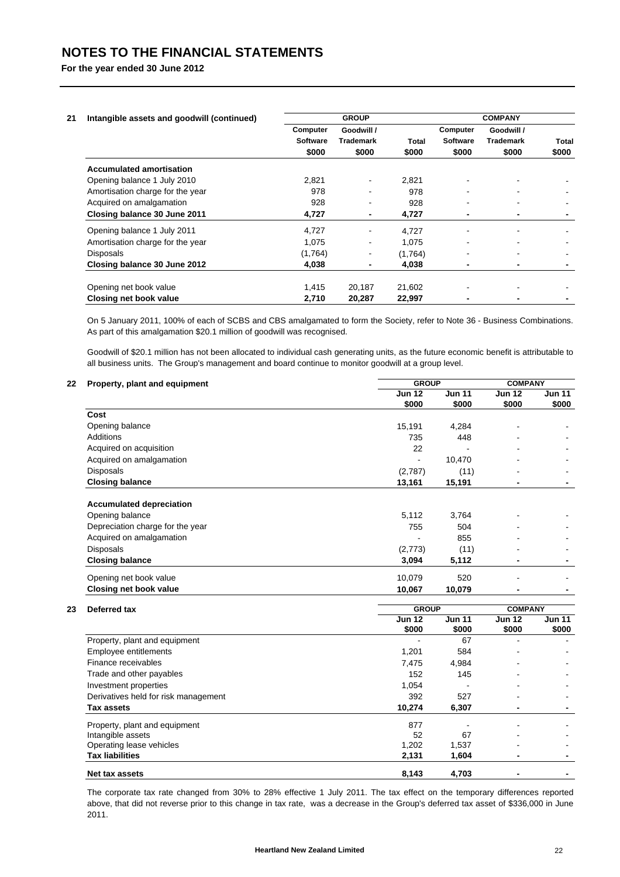| Intangible assets and goodwill (continued) |                 | <b>GROUP</b>     |              |          | <b>COMPANY</b>   |                          |
|--------------------------------------------|-----------------|------------------|--------------|----------|------------------|--------------------------|
|                                            | Computer        | Goodwill /       |              | Computer | Goodwill /       |                          |
|                                            | <b>Software</b> | <b>Trademark</b> | <b>Total</b> | Software | <b>Trademark</b> | Total                    |
|                                            | \$000           | \$000            | \$000        | \$000    | \$000            | \$000                    |
| <b>Accumulated amortisation</b>            |                 |                  |              |          |                  |                          |
| Opening balance 1 July 2010                | 2,821           | $\blacksquare$   | 2,821        |          |                  |                          |
| Amortisation charge for the year           | 978             |                  | 978          |          |                  |                          |
| Acquired on amalgamation                   | 928             | $\blacksquare$   | 928          |          | $\blacksquare$   | $\blacksquare$           |
| Closing balance 30 June 2011               | 4,727           | ٠                | 4,727        |          | ۰                | $\overline{\phantom{a}}$ |
| Opening balance 1 July 2011                | 4,727           | $\blacksquare$   | 4,727        |          |                  |                          |
| Amortisation charge for the year           | 1,075           | $\blacksquare$   | 1.075        |          |                  |                          |
| <b>Disposals</b>                           | (1,764)         | $\blacksquare$   | (1,764)      |          | ۰                | $\blacksquare$           |
| Closing balance 30 June 2012               | 4,038           | ٠                | 4,038        |          |                  |                          |
| Opening net book value                     | 1,415           | 20,187           | 21,602       |          |                  |                          |
| Closing net book value                     | 2,710           | 20,287           | 22,997       |          |                  |                          |

On 5 January 2011, 100% of each of SCBS and CBS amalgamated to form the Society, refer to Note 36 - Business Combinations. As part of this amalgamation \$20.1 million of goodwill was recognised.

Goodwill of \$20.1 million has not been allocated to individual cash generating units, as the future economic benefit is attributable to all business units. The Group's management and board continue to monitor goodwill at a group level.

| Property, plant and equipment    | <b>GROUP</b>  |               | <b>COMPANY</b> |               |
|----------------------------------|---------------|---------------|----------------|---------------|
|                                  | <b>Jun 12</b> | <b>Jun 11</b> | <b>Jun 12</b>  | <b>Jun 11</b> |
|                                  | \$000         | \$000         | \$000          | \$000         |
| Cost                             |               |               |                |               |
| Opening balance                  | 15,191        | 4,284         | $\blacksquare$ |               |
| Additions                        | 735           | 448           | ۰              |               |
| Acquired on acquisition          | 22            |               | $\blacksquare$ |               |
| Acquired on amalgamation         |               | 10,470        | ۰              |               |
| <b>Disposals</b>                 | (2,787)       | (11)          | ۰              |               |
| <b>Closing balance</b>           | 13,161        | 15,191        | ٠              | -             |
| <b>Accumulated depreciation</b>  |               |               |                |               |
| Opening balance                  | 5,112         | 3,764         |                |               |
| Depreciation charge for the year | 755           | 504           |                |               |
| Acquired on amalgamation         |               | 855           | ۰              |               |
| <b>Disposals</b>                 | (2,773)       | (11)          | $\blacksquare$ |               |
| <b>Closing balance</b>           | 3,094         | 5,112         | $\blacksquare$ |               |
| Opening net book value           | 10,079        | 520           |                |               |
| Closing net book value           | 10,067        | 10,079        | -              |               |

## 23 Deferred **\***

| Deferred tax                         | <b>GROUP</b>  | <b>COMPANY</b> |               |               |
|--------------------------------------|---------------|----------------|---------------|---------------|
|                                      | <b>Jun 12</b> | <b>Jun 11</b>  | <b>Jun 12</b> | <b>Jun 11</b> |
|                                      | \$000         | \$000          | \$000         | \$000         |
| Property, plant and equipment        |               | 67             |               |               |
| Employee entitlements                | 1,201         | 584            |               |               |
| Finance receivables                  | 7,475         | 4,984          |               |               |
| Trade and other payables             | 152           | 145            |               |               |
| Investment properties                | 1,054         |                |               |               |
| Derivatives held for risk management | 392           | 527            |               |               |
| Tax assets                           | 10,274        | 6,307          |               |               |
| Property, plant and equipment        | 877           |                |               |               |
| Intangible assets                    | 52            | 67             |               |               |
| Operating lease vehicles             | 1,202         | 1,537          |               |               |
| <b>Tax liabilities</b>               | 2,131         | 1,604          |               |               |
| Net tax assets                       | 8,143         | 4,703          |               |               |

The corporate tax rate changed from 30% to 28% effective 1 July 2011. The tax effect on the temporary differences reported above, that did not reverse prior to this change in tax rate, was a decrease in the Group's deferred tax asset of \$336,000 in June 2011.

**COMPANY**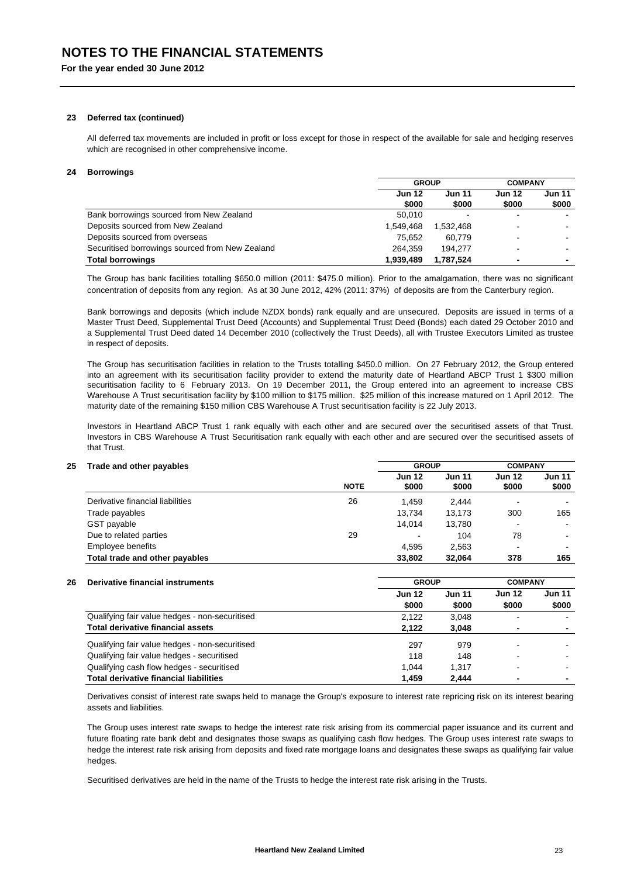#### **23 Deferred tax (continued)**

All deferred tax movements are included in profit or loss except for those in respect of the available for sale and hedging reserves which are recognised in other comprehensive income.

### **24 Borrowings**

|                                                 | <b>GROUP</b>           |                        | <b>COMPANY</b>         |                          |
|-------------------------------------------------|------------------------|------------------------|------------------------|--------------------------|
|                                                 | <b>Jun 12</b><br>\$000 | <b>Jun 11</b><br>\$000 | <b>Jun 12</b><br>\$000 | Jun 11<br>\$000          |
| Bank borrowings sourced from New Zealand        | 50.010                 | $\,$                   |                        |                          |
| Deposits sourced from New Zealand               | 1.549.468              | 1.532.468              |                        |                          |
| Deposits sourced from overseas                  | 75.652                 | 60.779                 |                        |                          |
| Securitised borrowings sourced from New Zealand | 264.359                | 194.277                |                        |                          |
| <b>Total borrowings</b>                         | 1.939.489              | 1,787,524              |                        | $\overline{\phantom{0}}$ |

The Group has bank facilities totalling \$650.0 million (2011: \$475.0 million). Prior to the amalgamation, there was no significant concentration of deposits from any region. As at 30 June 2012, 42% (2011: 37%) of deposits are from the Canterbury region.

Bank borrowings and deposits (which include NZDX bonds) rank equally and are unsecured. Deposits are issued in terms of a Master Trust Deed, Supplemental Trust Deed (Accounts) and Supplemental Trust Deed (Bonds) each dated 29 October 2010 and a Supplemental Trust Deed dated 14 December 2010 (collectively the Trust Deeds), all with Trustee Executors Limited as trustee in respect of deposits.

The Group has securitisation facilities in relation to the Trusts totalling \$450.0 million. On 27 February 2012, the Group entered into an agreement with its securitisation facility provider to extend the maturity date of Heartland ABCP Trust 1 \$300 million securitisation facility to 6 February 2013. On 19 December 2011, the Group entered into an agreement to increase CBS Warehouse A Trust securitisation facility by \$100 million to \$175 million. \$25 million of this increase matured on 1 April 2012. The maturity date of the remaining \$150 million CBS Warehouse A Trust securitisation facility is 22 July 2013.

Investors in Heartland ABCP Trust 1 rank equally with each other and are secured over the securitised assets of that Trust. Investors in CBS Warehouse A Trust Securitisation rank equally with each other and are secured over the securitised assets of that Trust.

## **25 Trade and other payables**

|                                  | <b>NOTE</b> | <b>Jun 12</b><br>\$000 | <b>Jun 11</b><br>\$000 | <b>Jun 12</b><br>\$000 | <b>Jun 11</b><br>\$000 |
|----------------------------------|-------------|------------------------|------------------------|------------------------|------------------------|
| Derivative financial liabilities | 26          | 1.459                  | 2.444                  |                        |                        |
| Trade payables                   |             | 13.734                 | 13.173                 | 300                    | 165                    |
| GST payable                      |             | 14.014                 | 13.780                 |                        | $\blacksquare$         |
| Due to related parties           | 29          |                        | 104                    | 78                     |                        |
| Employee benefits                |             | 4,595                  | 2,563                  |                        | -                      |
| Total trade and other payables   |             | 33,802                 | 32.064                 | 378                    | 165                    |

#### **26 Derivative financial instruments**

| Delivative illianulai Ilistruments             | unuu          |               |               | <b>UUMI ANI</b> |  |
|------------------------------------------------|---------------|---------------|---------------|-----------------|--|
|                                                | <b>Jun 12</b> | <b>Jun 11</b> | <b>Jun 12</b> | Jun 11          |  |
|                                                | \$000         | \$000         | \$000         | \$000           |  |
| Qualifying fair value hedges - non-securitised | 2,122         | 3.048         |               |                 |  |
| <b>Total derivative financial assets</b>       | 2.122         | 3.048         |               | ۰               |  |
| Qualifying fair value hedges - non-securitised | 297           | 979           |               |                 |  |
| Qualifying fair value hedges - securitised     | 118           | 148           |               |                 |  |
| Qualifying cash flow hedges - securitised      | 1.044         | 1.317         |               |                 |  |
| <b>Total derivative financial liabilities</b>  | 1.459         | 2.444         |               | ۰               |  |

**GROUP**

**GROUP**

Derivatives consist of interest rate swaps held to manage the Group's exposure to interest rate repricing risk on its interest bearing assets and liabilities.

The Group uses interest rate swaps to hedge the interest rate risk arising from its commercial paper issuance and its current and future floating rate bank debt and designates those swaps as qualifying cash flow hedges. The Group uses interest rate swaps to hedge the interest rate risk arising from deposits and fixed rate mortgage loans and designates these swaps as qualifying fair value hedges

Securitised derivatives are held in the name of the Trusts to hedge the interest rate risk arising in the Trusts.

**COMPANY**

**COMPANY**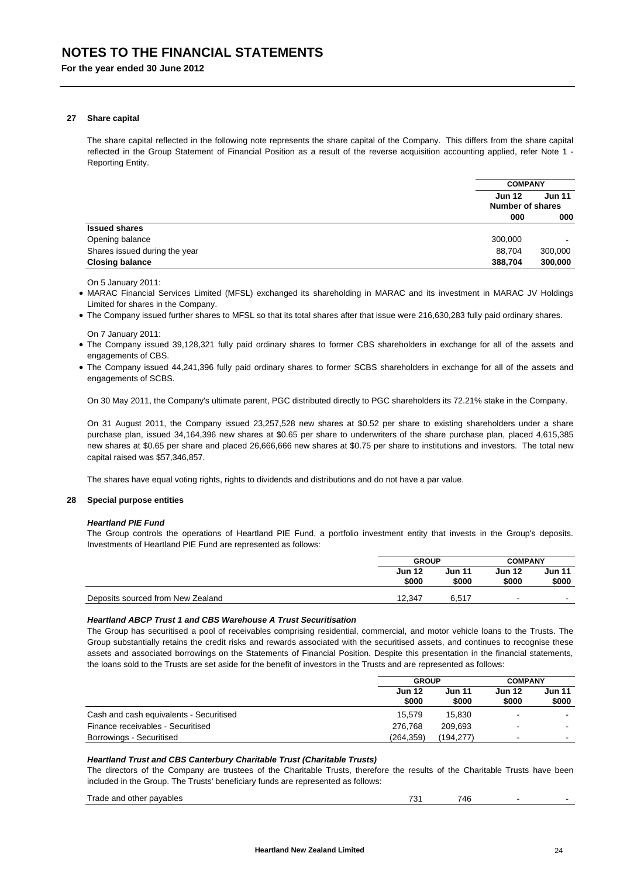#### **27 Share capital**

The share capital reflected in the following note represents the share capital of the Company. This differs from the share capital reflected in the Group Statement of Financial Position as a result of the reverse acquisition accounting applied, refer Note 1 - Reporting Entity.

|                               | <b>COMPANY</b>                           |                          |  |
|-------------------------------|------------------------------------------|--------------------------|--|
|                               | <b>Jun 12</b><br><b>Number of shares</b> | <b>Jun 11</b>            |  |
|                               | 000                                      | 000                      |  |
| <b>Issued shares</b>          |                                          |                          |  |
| Opening balance               | 300,000                                  | $\overline{\phantom{0}}$ |  |
| Shares issued during the year | 88,704                                   | 300,000                  |  |
| <b>Closing balance</b>        | 388,704                                  | 300,000                  |  |

On 5 January 2011:

 MARAC Financial Services Limited (MFSL) exchanged its shareholding in MARAC and its investment in MARAC JV Holdings Limited for shares in the Company.

The Company issued further shares to MFSL so that its total shares after that issue were 216,630,283 fully paid ordinary shares.

On 7 January 2011:

- The Company issued 39,128,321 fully paid ordinary shares to former CBS shareholders in exchange for all of the assets and engagements of CBS.
- The Company issued 44,241,396 fully paid ordinary shares to former SCBS shareholders in exchange for all of the assets and engagements of SCBS.

On 30 May 2011, the Company's ultimate parent, PGC distributed directly to PGC shareholders its 72.21% stake in the Company.

On 31 August 2011, the Company issued 23,257,528 new shares at \$0.52 per share to existing shareholders under a share purchase plan, issued 34,164,396 new shares at \$0.65 per share to underwriters of the share purchase plan, placed 4,615,385 new shares at \$0.65 per share and placed 26,666,666 new shares at \$0.75 per share to institutions and investors. The total new capital raised was \$57,346,857.

The shares have equal voting rights, rights to dividends and distributions and do not have a par value.

#### **28 Special purpose entities**

#### *Heartland PIE Fund*

The Group controls the operations of Heartland PIE Fund, a portfolio investment entity that invests in the Group's deposits. Investments of Heartland PIE Fund are represented as follows:

|                                   | <b>GROUP</b>           |                 | <b>COMPANY</b>         |                 |
|-----------------------------------|------------------------|-----------------|------------------------|-----------------|
|                                   | <b>Jun 12</b><br>\$000 | Jun 11<br>\$000 | <b>Jun 12</b><br>\$000 | Jun 11<br>\$000 |
| Deposits sourced from New Zealand | 12.347                 | 6.517           | -                      | $\blacksquare$  |

## *Heartland ABCP Trust 1 and CBS Warehouse A Trust Securitisation*

The Group has securitised a pool of receivables comprising residential, commercial, and motor vehicle loans to the Trusts. The Group substantially retains the credit risks and rewards associated with the securitised assets, and continues to recognise these assets and associated borrowings on the Statements of Financial Position. Despite this presentation in the financial statements, the loans sold to the Trusts are set aside for the benefit of investors in the Trusts and are represented as follows:

|                                         | <b>GROUP</b>           | <b>COMPANY</b>         |                          |                          |
|-----------------------------------------|------------------------|------------------------|--------------------------|--------------------------|
|                                         | <b>Jun 12</b><br>\$000 | <b>Jun 11</b><br>\$000 | <b>Jun 12</b><br>\$000   | Jun 11<br>\$000          |
| Cash and cash equivalents - Securitised | 15.579                 | 15.830                 | $\overline{\phantom{0}}$ | $\overline{\phantom{0}}$ |
| Finance receivables - Securitised       | 276.768                | 209.693                | $\overline{\phantom{0}}$ | $\blacksquare$           |
| Borrowings - Securitised                | (264, 359)             | (194.277)              | $\overline{\phantom{0}}$ | $\overline{\phantom{0}}$ |

### *Heartland Trust and CBS Canterbury Charitable Trust (Charitable Trusts)*

The directors of the Company are trustees of the Charitable Trusts, therefore the results of the Charitable Trusts have been included in the Group. The Trusts' beneficiary funds are represented as follows:

| $\sim$<br>746<br>70 <sub>1</sub><br>other pavables<br>Trade<br>and<br>᠇. |  |
|--------------------------------------------------------------------------|--|
|--------------------------------------------------------------------------|--|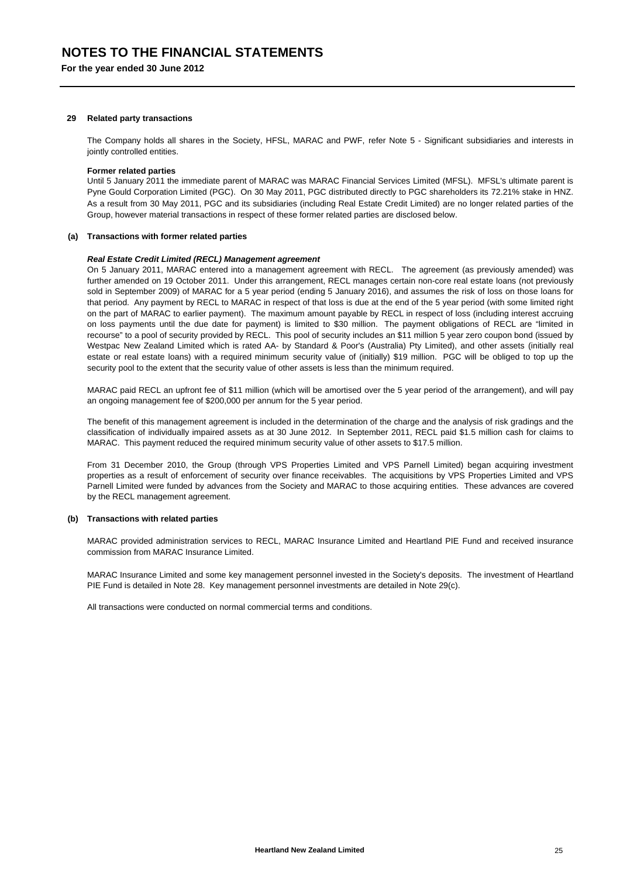#### **29 Related party transactions**

The Company holds all shares in the Society, HFSL, MARAC and PWF, refer Note 5 - Significant subsidiaries and interests in jointly controlled entities.

#### **Former related parties**

Until 5 January 2011 the immediate parent of MARAC was MARAC Financial Services Limited (MFSL). MFSL's ultimate parent is Pyne Gould Corporation Limited (PGC). On 30 May 2011, PGC distributed directly to PGC shareholders its 72.21% stake in HNZ. As a result from 30 May 2011, PGC and its subsidiaries (including Real Estate Credit Limited) are no longer related parties of the Group, however material transactions in respect of these former related parties are disclosed below.

## **(a) Transactions with former related parties**

#### *Real Estate Credit Limited (RECL) Management agreement*

On 5 January 2011, MARAC entered into a management agreement with RECL. The agreement (as previously amended) was further amended on 19 October 2011. Under this arrangement, RECL manages certain non-core real estate loans (not previously sold in September 2009) of MARAC for a 5 year period (ending 5 January 2016), and assumes the risk of loss on those loans for that period. Any payment by RECL to MARAC in respect of that loss is due at the end of the 5 year period (with some limited right on the part of MARAC to earlier payment). The maximum amount payable by RECL in respect of loss (including interest accruing on loss payments until the due date for payment) is limited to \$30 million. The payment obligations of RECL are "limited in recourse" to a pool of security provided by RECL. This pool of security includes an \$11 million 5 year zero coupon bond (issued by Westpac New Zealand Limited which is rated AA- by Standard & Poor's (Australia) Pty Limited), and other assets (initially real estate or real estate loans) with a required minimum security value of (initially) \$19 million. PGC will be obliged to top up the security pool to the extent that the security value of other assets is less than the minimum required.

MARAC paid RECL an upfront fee of \$11 million (which will be amortised over the 5 year period of the arrangement), and will pay an ongoing management fee of \$200,000 per annum for the 5 year period.

The benefit of this management agreement is included in the determination of the charge and the analysis of risk gradings and the classification of individually impaired assets as at 30 June 2012. In September 2011, RECL paid \$1.5 million cash for claims to MARAC. This payment reduced the required minimum security value of other assets to \$17.5 million.

From 31 December 2010, the Group (through VPS Properties Limited and VPS Parnell Limited) began acquiring investment properties as a result of enforcement of security over finance receivables. The acquisitions by VPS Properties Limited and VPS Parnell Limited were funded by advances from the Society and MARAC to those acquiring entities. These advances are covered by the RECL management agreement.

## **(b) Transactions with related parties**

MARAC provided administration services to RECL, MARAC Insurance Limited and Heartland PIE Fund and received insurance commission from MARAC Insurance Limited.

MARAC Insurance Limited and some key management personnel invested in the Society's deposits. The investment of Heartland PIE Fund is detailed in Note 28. Key management personnel investments are detailed in Note 29(c).

All transactions were conducted on normal commercial terms and conditions.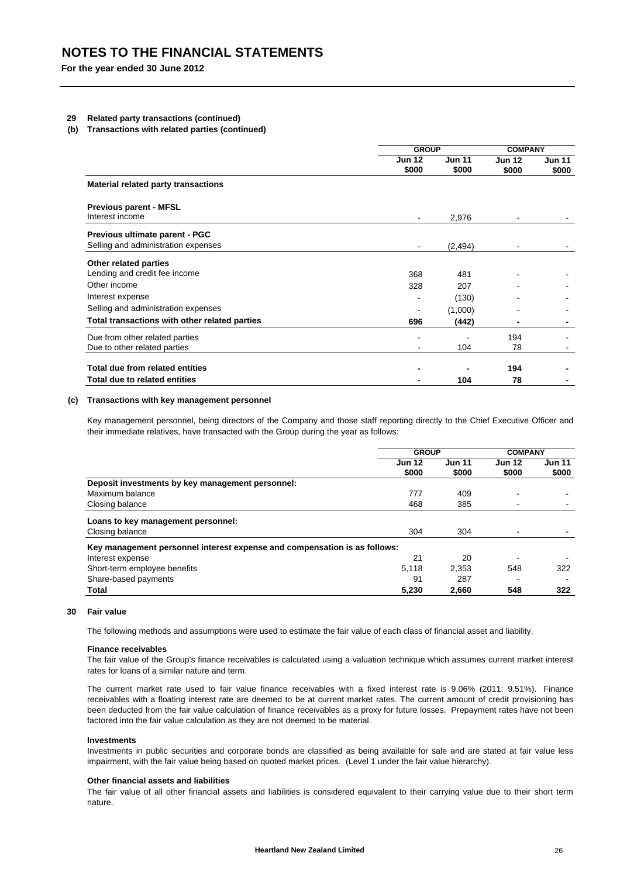## **29 Related party transactions (continued)**

#### **(b) Transactions with related parties (continued)**

|                                               |                        | <b>GROUP</b>           |                        | <b>COMPANY</b>         |  |
|-----------------------------------------------|------------------------|------------------------|------------------------|------------------------|--|
|                                               | <b>Jun 12</b><br>\$000 | <b>Jun 11</b><br>\$000 | <b>Jun 12</b><br>\$000 | <b>Jun 11</b><br>\$000 |  |
| <b>Material related party transactions</b>    |                        |                        |                        |                        |  |
| <b>Previous parent - MFSL</b>                 |                        |                        |                        |                        |  |
| Interest income                               | $\blacksquare$         | 2,976                  |                        |                        |  |
| Previous ultimate parent - PGC                |                        |                        |                        |                        |  |
| Selling and administration expenses           | $\blacksquare$         | (2, 494)               |                        |                        |  |
| Other related parties                         |                        |                        |                        |                        |  |
| Lending and credit fee income                 | 368                    | 481                    |                        |                        |  |
| Other income                                  | 328                    | 207                    |                        |                        |  |
| Interest expense                              |                        | (130)                  |                        |                        |  |
| Selling and administration expenses           |                        | (1,000)                |                        |                        |  |
| Total transactions with other related parties | 696                    | (442)                  |                        |                        |  |
| Due from other related parties                |                        |                        | 194                    |                        |  |
| Due to other related parties                  |                        | 104                    | 78                     |                        |  |
| Total due from related entities               |                        |                        | 194                    |                        |  |
| Total due to related entities                 |                        | 104                    | 78                     |                        |  |

#### **(c) Transactions with key management personnel**

Key management personnel, being directors of the Company and those staff reporting directly to the Chief Executive Officer and their immediate relatives, have transacted with the Group during the year as follows:

|                                                                           | <b>GROUP</b>           |                        | <b>COMPANY</b>           |                        |
|---------------------------------------------------------------------------|------------------------|------------------------|--------------------------|------------------------|
|                                                                           | <b>Jun 12</b><br>\$000 | <b>Jun 11</b><br>\$000 | <b>Jun 12</b><br>\$000   | <b>Jun 11</b><br>\$000 |
| Deposit investments by key management personnel:                          |                        |                        |                          |                        |
| Maximum balance                                                           | 777                    | 409                    |                          |                        |
| Closing balance                                                           | 468                    | 385                    |                          |                        |
| Loans to key management personnel:                                        |                        |                        |                          |                        |
| Closing balance                                                           | 304                    | 304                    | $\overline{\phantom{0}}$ |                        |
| Key management personnel interest expense and compensation is as follows: |                        |                        |                          |                        |
| Interest expense                                                          | 21                     | 20                     |                          |                        |
| Short-term employee benefits                                              | 5.118                  | 2.353                  | 548                      | 322                    |
| Share-based payments                                                      | 91                     | 287                    |                          |                        |
| Total                                                                     | 5.230                  | 2.660                  | 548                      | 322                    |

#### **30 Fair value**

The following methods and assumptions were used to estimate the fair value of each class of financial asset and liability.

#### **Finance receivables**

The fair value of the Group's finance receivables is calculated using a valuation technique which assumes current market interest rates for loans of a similar nature and term.

The current market rate used to fair value finance receivables with a fixed interest rate is 9.06% (2011: 9.51%). Finance receivables with a floating interest rate are deemed to be at current market rates. The current amount of credit provisioning has been deducted from the fair value calculation of finance receivables as a proxy for future losses. Prepayment rates have not been factored into the fair value calculation as they are not deemed to be material.

#### **Investments**

Investments in public securities and corporate bonds are classified as being available for sale and are stated at fair value less impairment, with the fair value being based on quoted market prices. (Level 1 under the fair value hierarchy).

## **Other financial assets and liabilities**

The fair value of all other financial assets and liabilities is considered equivalent to their carrying value due to their short term nature.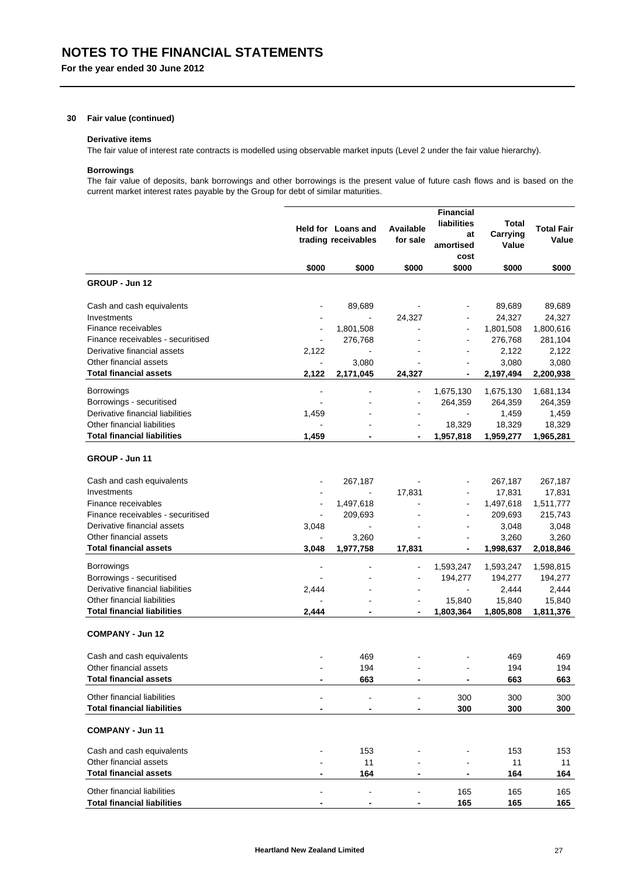## **30 Fair value (continued)**

#### **Derivative items**

The fair value of interest rate contracts is modelled using observable market inputs (Level 2 under the fair value hierarchy).

## **Borrowings**

The fair value of deposits, bank borrowings and other borrowings is the present value of future cash flows and is based on the current market interest rates payable by the Group for debt of similar maturities.

|                                    |                | Held for Loans and<br>trading receivables | Available<br>for sale    | <b>Financial</b><br>liabilities<br>at<br>amortised<br>cost | <b>Total</b><br>Carrying<br>Value | <b>Total Fair</b><br>Value |
|------------------------------------|----------------|-------------------------------------------|--------------------------|------------------------------------------------------------|-----------------------------------|----------------------------|
|                                    | \$000          | \$000                                     | \$000                    | \$000                                                      | \$000                             | \$000                      |
| GROUP - Jun 12                     |                |                                           |                          |                                                            |                                   |                            |
| Cash and cash equivalents          |                | 89,689                                    |                          |                                                            | 89,689                            | 89,689                     |
| Investments                        |                |                                           | 24,327                   |                                                            | 24,327                            | 24,327                     |
| Finance receivables                | $\blacksquare$ | 1,801,508                                 |                          | $\blacksquare$                                             | 1,801,508                         | 1,800,616                  |
| Finance receivables - securitised  | $\blacksquare$ | 276,768                                   |                          |                                                            | 276,768                           | 281,104                    |
| Derivative financial assets        | 2,122          |                                           |                          |                                                            | 2,122                             | 2,122                      |
| Other financial assets             | $\mathbf{r}$   | 3,080                                     |                          |                                                            | 3,080                             | 3,080                      |
| <b>Total financial assets</b>      | 2,122          | 2,171,045                                 | 24,327                   | $\overline{\phantom{a}}$                                   | 2,197,494                         | 2,200,938                  |
| <b>Borrowings</b>                  | $\blacksquare$ |                                           | ÷                        | 1,675,130                                                  | 1,675,130                         | 1,681,134                  |
| Borrowings - securitised           |                |                                           | ٠                        | 264,359                                                    | 264,359                           | 264,359                    |
| Derivative financial liabilities   | 1,459          |                                           |                          | $\overline{\phantom{a}}$                                   | 1,459                             | 1,459                      |
| Other financial liabilities        |                |                                           |                          | 18,329                                                     | 18,329                            | 18,329                     |
| <b>Total financial liabilities</b> | 1,459          |                                           | $\blacksquare$           | 1,957,818                                                  | 1,959,277                         | 1,965,281                  |
| GROUP - Jun 11                     |                |                                           |                          |                                                            |                                   |                            |
| Cash and cash equivalents          |                | 267,187                                   |                          |                                                            | 267,187                           | 267,187                    |
| Investments                        |                | L,                                        | 17,831                   | $\blacksquare$                                             | 17,831                            | 17,831                     |
| Finance receivables                |                | 1,497,618                                 |                          |                                                            | 1,497,618                         | 1,511,777                  |
| Finance receivables - securitised  |                | 209,693                                   | ۰                        | $\overline{a}$                                             | 209,693                           | 215,743                    |
| Derivative financial assets        | 3,048          |                                           |                          |                                                            | 3,048                             | 3,048                      |
| Other financial assets             |                | 3,260                                     |                          |                                                            | 3,260                             | 3,260                      |
| <b>Total financial assets</b>      | 3,048          | 1,977,758                                 | 17,831                   | $\overline{\phantom{a}}$                                   | 1,998,637                         | 2,018,846                  |
| <b>Borrowings</b>                  |                |                                           |                          | 1,593,247                                                  | 1,593,247                         | 1,598,815                  |
| Borrowings - securitised           |                |                                           | $\overline{\phantom{a}}$ | 194,277                                                    | 194,277                           | 194,277                    |
| Derivative financial liabilities   | 2,444          |                                           |                          |                                                            | 2,444                             | 2,444                      |
| Other financial liabilities        |                |                                           | $\blacksquare$           | 15,840                                                     | 15,840                            | 15,840                     |
| <b>Total financial liabilities</b> | 2,444          |                                           |                          | 1,803,364                                                  | 1,805,808                         | 1,811,376                  |
| <b>COMPANY - Jun 12</b>            |                |                                           |                          |                                                            |                                   |                            |
| Cash and cash equivalents          |                | 469                                       |                          |                                                            | 469                               | 469                        |
| Other financial assets             |                | 194                                       |                          |                                                            | 194                               | 194                        |
| <b>Total financial assets</b>      |                | 663                                       | -                        |                                                            | 663                               | 663                        |
| Other financial liabilities        |                | $\blacksquare$                            |                          | 300                                                        | 300                               | 300                        |
| <b>Total financial liabilities</b> |                |                                           | -                        | 300                                                        | 300                               | 300                        |
| <b>COMPANY - Jun 11</b>            |                |                                           |                          |                                                            |                                   |                            |
| Cash and cash equivalents          |                | 153                                       |                          |                                                            | 153                               | 153                        |
| Other financial assets             |                | 11                                        |                          |                                                            | 11                                | 11                         |
| <b>Total financial assets</b>      |                | 164                                       |                          |                                                            | 164                               | 164                        |
| Other financial liabilities        |                | $\overline{a}$                            |                          | 165                                                        | 165                               | 165                        |
| <b>Total financial liabilities</b> |                | -                                         |                          | 165                                                        | 165                               | 165                        |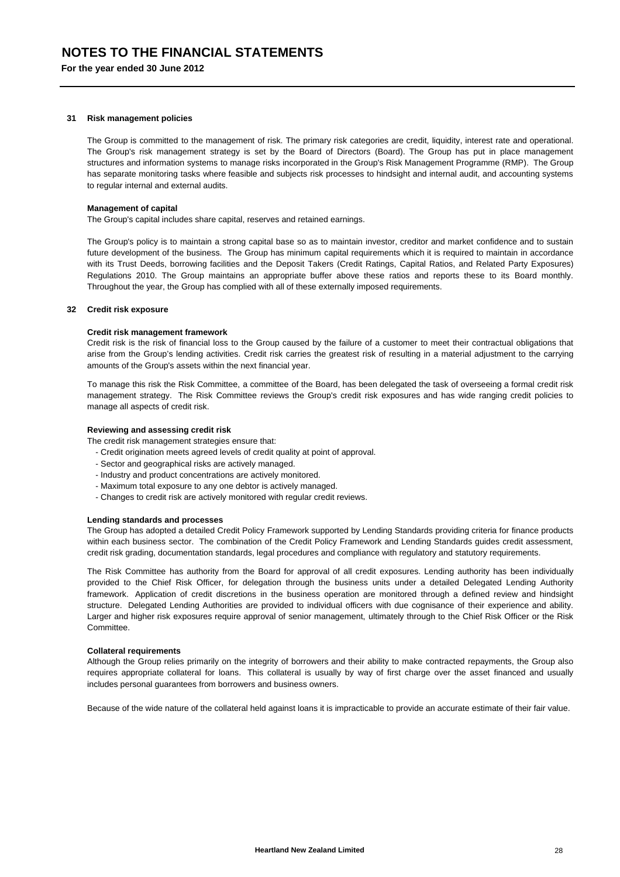#### **31 Risk management policies**

The Group is committed to the management of risk. The primary risk categories are credit, liquidity, interest rate and operational. The Group's risk management strategy is set by the Board of Directors (Board). The Group has put in place management structures and information systems to manage risks incorporated in the Group's Risk Management Programme (RMP). The Group has separate monitoring tasks where feasible and subjects risk processes to hindsight and internal audit, and accounting systems to regular internal and external audits.

#### **Management of capital**

The Group's capital includes share capital, reserves and retained earnings.

The Group's policy is to maintain a strong capital base so as to maintain investor, creditor and market confidence and to sustain future development of the business. The Group has minimum capital requirements which it is required to maintain in accordance with its Trust Deeds, borrowing facilities and the Deposit Takers (Credit Ratings, Capital Ratios, and Related Party Exposures) Regulations 2010. The Group maintains an appropriate buffer above these ratios and reports these to its Board monthly. Throughout the year, the Group has complied with all of these externally imposed requirements.

#### **32 Credit risk exposure**

#### **Credit risk management framework**

Credit risk is the risk of financial loss to the Group caused by the failure of a customer to meet their contractual obligations that arise from the Group's lending activities. Credit risk carries the greatest risk of resulting in a material adjustment to the carrying amounts of the Group's assets within the next financial year.

To manage this risk the Risk Committee, a committee of the Board, has been delegated the task of overseeing a formal credit risk management strategy. The Risk Committee reviews the Group's credit risk exposures and has wide ranging credit policies to manage all aspects of credit risk.

### **Reviewing and assessing credit risk**

The credit risk management strategies ensure that:

- Credit origination meets agreed levels of credit quality at point of approval.
- Sector and geographical risks are actively managed.
- Industry and product concentrations are actively monitored.
- Maximum total exposure to any one debtor is actively managed.
- Changes to credit risk are actively monitored with regular credit reviews.

#### **Lending standards and processes**

The Group has adopted a detailed Credit Policy Framework supported by Lending Standards providing criteria for finance products within each business sector. The combination of the Credit Policy Framework and Lending Standards guides credit assessment, credit risk grading, documentation standards, legal procedures and compliance with regulatory and statutory requirements.

The Risk Committee has authority from the Board for approval of all credit exposures. Lending authority has been individually provided to the Chief Risk Officer, for delegation through the business units under a detailed Delegated Lending Authority framework. Application of credit discretions in the business operation are monitored through a defined review and hindsight structure. Delegated Lending Authorities are provided to individual officers with due cognisance of their experience and ability. Larger and higher risk exposures require approval of senior management, ultimately through to the Chief Risk Officer or the Risk Committee.

#### **Collateral requirements**

Although the Group relies primarily on the integrity of borrowers and their ability to make contracted repayments, the Group also requires appropriate collateral for loans. This collateral is usually by way of first charge over the asset financed and usually includes personal guarantees from borrowers and business owners.

Because of the wide nature of the collateral held against loans it is impracticable to provide an accurate estimate of their fair value.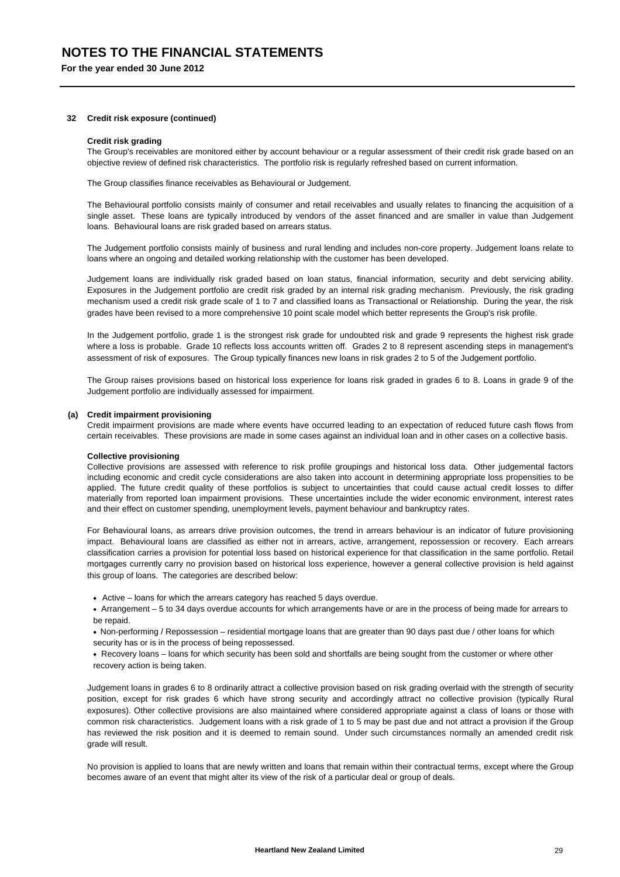#### **32 Credit risk exposure (continued)**

#### **Credit risk grading**

The Group's receivables are monitored either by account behaviour or a regular assessment of their credit risk grade based on an objective review of defined risk characteristics. The portfolio risk is regularly refreshed based on current information.

The Group classifies finance receivables as Behavioural or Judgement.

The Behavioural portfolio consists mainly of consumer and retail receivables and usually relates to financing the acquisition of a single asset. These loans are typically introduced by vendors of the asset financed and are smaller in value than Judgement loans. Behavioural loans are risk graded based on arrears status.

The Judgement portfolio consists mainly of business and rural lending and includes non-core property. Judgement loans relate to loans where an ongoing and detailed working relationship with the customer has been developed.

Judgement loans are individually risk graded based on loan status, financial information, security and debt servicing ability. Exposures in the Judgement portfolio are credit risk graded by an internal risk grading mechanism. Previously, the risk grading mechanism used a credit risk grade scale of 1 to 7 and classified loans as Transactional or Relationship. During the year, the risk grades have been revised to a more comprehensive 10 point scale model which better represents the Group's risk profile.

In the Judgement portfolio, grade 1 is the strongest risk grade for undoubted risk and grade 9 represents the highest risk grade where a loss is probable. Grade 10 reflects loss accounts written off. Grades 2 to 8 represent ascending steps in management's assessment of risk of exposures. The Group typically finances new loans in risk grades 2 to 5 of the Judgement portfolio.

The Group raises provisions based on historical loss experience for loans risk graded in grades 6 to 8. Loans in grade 9 of the Judgement portfolio are individually assessed for impairment.

#### **(a) Credit impairment provisioning**

Credit impairment provisions are made where events have occurred leading to an expectation of reduced future cash flows from certain receivables. These provisions are made in some cases against an individual loan and in other cases on a collective basis.

#### **Collective provisioning**

Collective provisions are assessed with reference to risk profile groupings and historical loss data. Other judgemental factors including economic and credit cycle considerations are also taken into account in determining appropriate loss propensities to be applied. The future credit quality of these portfolios is subject to uncertainties that could cause actual credit losses to differ materially from reported loan impairment provisions. These uncertainties include the wider economic environment, interest rates and their effect on customer spending, unemployment levels, payment behaviour and bankruptcy rates.

For Behavioural loans, as arrears drive provision outcomes, the trend in arrears behaviour is an indicator of future provisioning impact. Behavioural loans are classified as either not in arrears, active, arrangement, repossession or recovery. Each arrears classification carries a provision for potential loss based on historical experience for that classification in the same portfolio. Retail mortgages currently carry no provision based on historical loss experience, however a general collective provision is held against this group of loans. The categories are described below:

- Active loans for which the arrears category has reached 5 days overdue.
- Arrangement 5 to 34 days overdue accounts for which arrangements have or are in the process of being made for arrears to be repaid.
- Non-performing / Repossession residential mortgage loans that are greater than 90 days past due / other loans for which security has or is in the process of being repossessed.
- Recovery loans loans for which security has been sold and shortfalls are being sought from the customer or where other recovery action is being taken.

Judgement loans in grades 6 to 8 ordinarily attract a collective provision based on risk grading overlaid with the strength of security position, except for risk grades 6 which have strong security and accordingly attract no collective provision (typically Rural exposures). Other collective provisions are also maintained where considered appropriate against a class of loans or those with common risk characteristics. Judgement loans with a risk grade of 1 to 5 may be past due and not attract a provision if the Group has reviewed the risk position and it is deemed to remain sound. Under such circumstances normally an amended credit risk grade will result.

No provision is applied to loans that are newly written and loans that remain within their contractual terms, except where the Group becomes aware of an event that might alter its view of the risk of a particular deal or group of deals.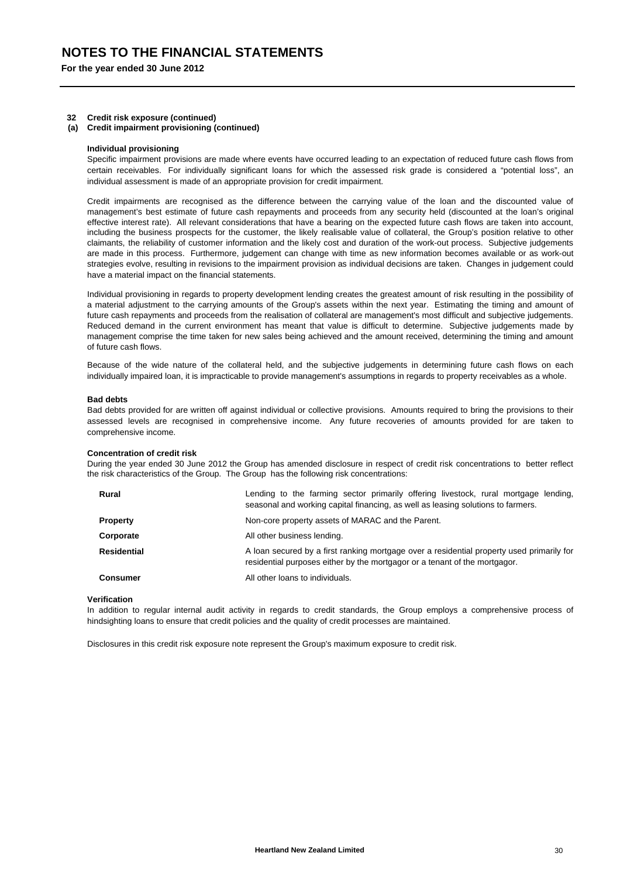#### **32 Credit risk exposure (continued)**

**(a) Credit impairment provisioning (continued)**

#### **Individual provisioning**

Specific impairment provisions are made where events have occurred leading to an expectation of reduced future cash flows from certain receivables. For individually significant loans for which the assessed risk grade is considered a "potential loss", an individual assessment is made of an appropriate provision for credit impairment.

Credit impairments are recognised as the difference between the carrying value of the loan and the discounted value of management's best estimate of future cash repayments and proceeds from any security held (discounted at the loan's original effective interest rate). All relevant considerations that have a bearing on the expected future cash flows are taken into account, including the business prospects for the customer, the likely realisable value of collateral, the Group's position relative to other claimants, the reliability of customer information and the likely cost and duration of the work-out process. Subjective judgements are made in this process. Furthermore, judgement can change with time as new information becomes available or as work-out strategies evolve, resulting in revisions to the impairment provision as individual decisions are taken. Changes in judgement could have a material impact on the financial statements.

Individual provisioning in regards to property development lending creates the greatest amount of risk resulting in the possibility of a material adjustment to the carrying amounts of the Group's assets within the next year. Estimating the timing and amount of future cash repayments and proceeds from the realisation of collateral are management's most difficult and subjective judgements. Reduced demand in the current environment has meant that value is difficult to determine. Subjective judgements made by management comprise the time taken for new sales being achieved and the amount received, determining the timing and amount of future cash flows.

Because of the wide nature of the collateral held, and the subjective judgements in determining future cash flows on each individually impaired loan, it is impracticable to provide management's assumptions in regards to property receivables as a whole.

#### **Bad debts**

Bad debts provided for are written off against individual or collective provisions. Amounts required to bring the provisions to their assessed levels are recognised in comprehensive income. Any future recoveries of amounts provided for are taken to comprehensive income.

#### **Concentration of credit risk**

During the year ended 30 June 2012 the Group has amended disclosure in respect of credit risk concentrations to better reflect the risk characteristics of the Group. The Group has the following risk concentrations:

| <b>Rural</b>       | Lending to the farming sector primarily offering livestock, rural mortgage lending,<br>seasonal and working capital financing, as well as leasing solutions to farmers. |  |  |  |  |  |
|--------------------|-------------------------------------------------------------------------------------------------------------------------------------------------------------------------|--|--|--|--|--|
| <b>Property</b>    | Non-core property assets of MARAC and the Parent.                                                                                                                       |  |  |  |  |  |
| Corporate          | All other business lending.                                                                                                                                             |  |  |  |  |  |
| <b>Residential</b> | A loan secured by a first ranking mortgage over a residential property used primarily for<br>residential purposes either by the mortgagor or a tenant of the mortgagor. |  |  |  |  |  |
| <b>Consumer</b>    | All other loans to individuals.                                                                                                                                         |  |  |  |  |  |

#### **Verification**

In addition to regular internal audit activity in regards to credit standards, the Group employs a comprehensive process of hindsighting loans to ensure that credit policies and the quality of credit processes are maintained.

Disclosures in this credit risk exposure note represent the Group's maximum exposure to credit risk.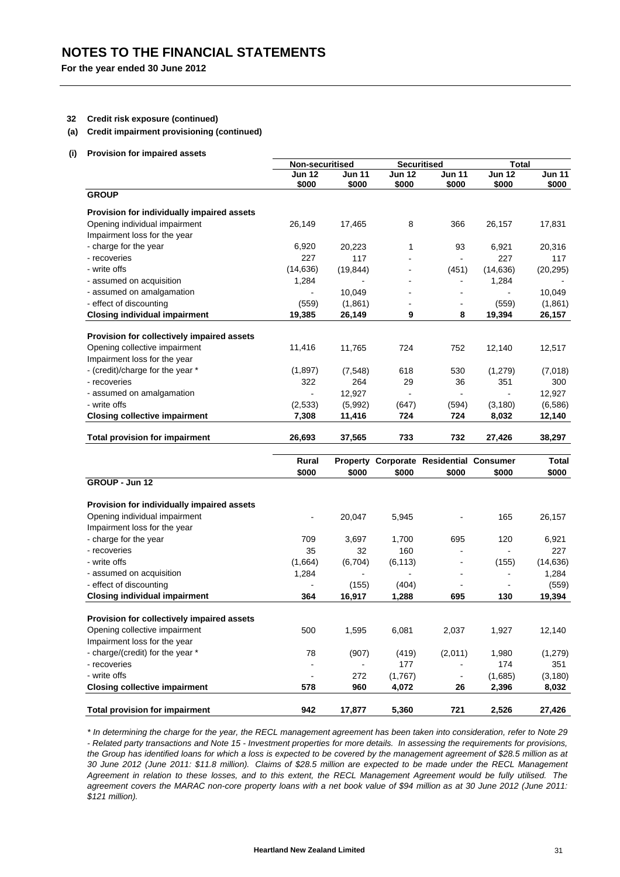## **32 Credit risk exposure (continued)**

## **(a) Credit impairment provisioning (continued)**

**(i) Provision for impaired assets**

|                                            | Non-securitised          |                        |                        | <b>Securitised</b>                      |                        | <b>Total</b>           |  |
|--------------------------------------------|--------------------------|------------------------|------------------------|-----------------------------------------|------------------------|------------------------|--|
|                                            | <b>Jun 12</b><br>\$000   | <b>Jun 11</b><br>\$000 | <b>Jun 12</b><br>\$000 | <b>Jun 11</b><br>\$000                  | <b>Jun 12</b><br>\$000 | <b>Jun 11</b><br>\$000 |  |
| <b>GROUP</b>                               |                          |                        |                        |                                         |                        |                        |  |
| Provision for individually impaired assets |                          |                        |                        |                                         |                        |                        |  |
| Opening individual impairment              | 26,149                   | 17,465                 | 8                      | 366                                     | 26,157                 | 17,831                 |  |
| Impairment loss for the year               |                          |                        |                        |                                         |                        |                        |  |
| - charge for the year                      | 6,920                    | 20,223                 | 1                      | 93                                      | 6,921                  | 20,316                 |  |
| - recoveries                               | 227                      | 117                    |                        |                                         | 227                    | 117                    |  |
| - write offs                               | (14, 636)                | (19, 844)              |                        | (451)                                   | (14, 636)              | (20, 295)              |  |
| - assumed on acquisition                   | 1,284                    |                        |                        | $\blacksquare$                          | 1,284                  |                        |  |
| - assumed on amalgamation                  |                          | 10,049                 |                        | $\blacksquare$                          |                        | 10,049                 |  |
| - effect of discounting                    | (559)                    | (1,861)                |                        | $\blacksquare$                          | (559)                  | (1,861)                |  |
| <b>Closing individual impairment</b>       | 19,385                   | 26,149                 | 9                      | 8                                       | 19,394                 | 26,157                 |  |
| Provision for collectively impaired assets |                          |                        |                        |                                         |                        |                        |  |
| Opening collective impairment              | 11,416                   | 11,765                 | 724                    | 752                                     | 12,140                 | 12,517                 |  |
| Impairment loss for the year               |                          |                        |                        |                                         |                        |                        |  |
| - (credit)/charge for the year *           | (1,897)                  | (7, 548)               | 618                    | 530                                     | (1,279)                | (7,018)                |  |
| - recoveries                               | 322                      | 264                    | 29                     | 36                                      | 351                    | 300                    |  |
| - assumed on amalgamation                  | $\blacksquare$           | 12,927                 | $\blacksquare$         | ä,                                      | $\sim$                 | 12,927                 |  |
| - write offs                               | (2,533)                  | (5,992)                | (647)                  | (594)                                   | (3, 180)               | (6,586)                |  |
| <b>Closing collective impairment</b>       | 7,308                    | 11,416                 | 724                    | 724                                     | 8,032                  | 12,140                 |  |
| <b>Total provision for impairment</b>      | 26,693                   | 37,565                 | 733                    | 732                                     | 27,426                 | 38,297                 |  |
|                                            |                          |                        |                        |                                         |                        |                        |  |
|                                            | Rural<br>\$000           | \$000                  |                        | Property Corporate Residential Consumer |                        | <b>Total</b>           |  |
| GROUP - Jun 12                             |                          |                        | \$000                  | \$000                                   | \$000                  | \$000                  |  |
| Provision for individually impaired assets |                          |                        |                        |                                         |                        |                        |  |
| Opening individual impairment              |                          | 20,047                 | 5,945                  |                                         | 165                    | 26,157                 |  |
| Impairment loss for the year               |                          |                        |                        |                                         |                        |                        |  |
| - charge for the year                      | 709                      | 3,697                  | 1,700                  | 695                                     | 120                    | 6,921                  |  |
| - recoveries                               | 35                       | 32                     | 160                    |                                         |                        | 227                    |  |
| - write offs                               | (1,664)                  | (6, 704)               | (6, 113)               | $\blacksquare$                          | (155)                  | (14, 636)              |  |
| - assumed on acquisition                   | 1,284                    |                        |                        | $\blacksquare$                          | $\blacksquare$         | 1,284                  |  |
| - effect of discounting                    | L.                       | (155)                  | (404)                  |                                         |                        | (559)                  |  |
| <b>Closing individual impairment</b>       | 364                      | 16,917                 | 1,288                  | 695                                     | 130                    | 19,394                 |  |
| Provision for collectively impaired assets |                          |                        |                        |                                         |                        |                        |  |
| Opening collective impairment              | 500                      | 1,595                  | 6,081                  | 2,037                                   | 1,927                  | 12,140                 |  |
| Impairment loss for the year               |                          |                        |                        |                                         |                        |                        |  |
| - charge/(credit) for the year *           | 78                       | (907)                  | (419)                  | (2,011)                                 | 1,980                  | (1, 279)               |  |
| - recoveries                               | $\overline{\phantom{a}}$ |                        | 177                    |                                         | 174                    | 351                    |  |
| - write offs                               | $\frac{1}{2}$            | 272                    |                        |                                         | (1,685)                |                        |  |
| <b>Closing collective impairment</b>       | 578                      | 960                    | (1,767)<br>4,072       | 26                                      | 2,396                  | (3, 180)<br>8,032      |  |
|                                            |                          |                        |                        |                                         |                        |                        |  |
| <b>Total provision for impairment</b>      | 942                      | 17,877                 | 5,360                  | 721                                     | 2,526                  | 27,426                 |  |

*\* In determining the charge for the year, the RECL management agreement has been taken into consideration, refer to Note 29 - Related party transactions and Note 15 - Investment properties for more details. In assessing the requirements for provisions, the Group has identified loans for which a loss is expected to be covered by the management agreement of \$28.5 million as at 30 June 2012 (June 2011: \$11.8 million). Claims of \$28.5 million are expected to be made under the RECL Management Agreement in relation to these losses, and to this extent, the RECL Management Agreement would be fully utilised. The agreement covers the MARAC non-core property loans with a net book value of \$94 million as at 30 June 2012 (June 2011: \$121 million).*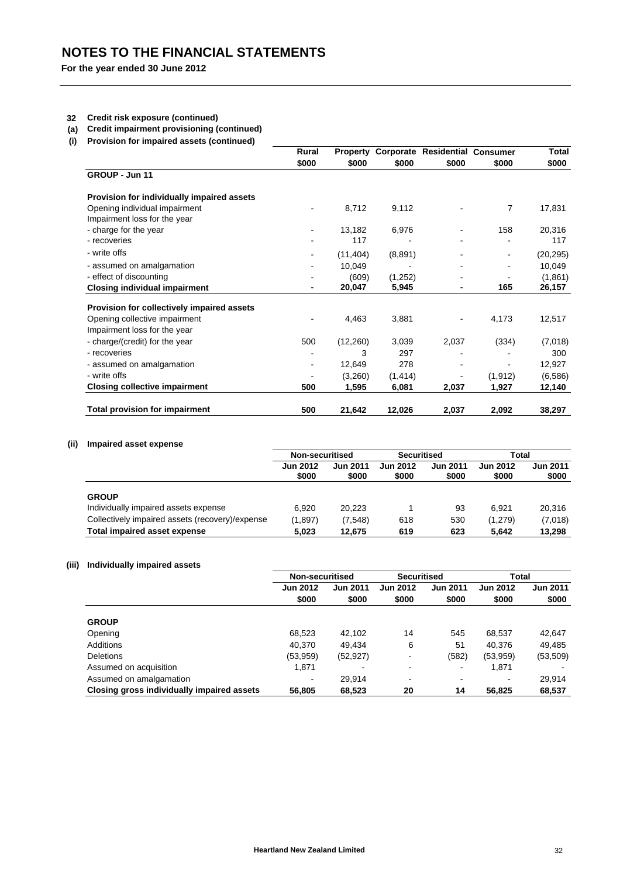## **32 Credit risk exposure (continued)**

- **(a) Credit impairment provisioning (continued)**
- **(i) Provision for impaired assets (continued)**

|                                            | Rural<br>\$000 | <b>Property</b> |          | Corporate Residential Consumer | \$000    | Total<br>\$000 |
|--------------------------------------------|----------------|-----------------|----------|--------------------------------|----------|----------------|
|                                            |                | \$000           | \$000    | \$000                          |          |                |
| GROUP - Jun 11                             |                |                 |          |                                |          |                |
| Provision for individually impaired assets |                |                 |          |                                |          |                |
| Opening individual impairment              | ۰              | 8,712           | 9,112    |                                | 7        | 17,831         |
| Impairment loss for the year               |                |                 |          |                                |          |                |
| - charge for the year                      | $\blacksquare$ | 13,182          | 6,976    |                                | 158      | 20,316         |
| - recoveries                               |                | 117             |          |                                |          | 117            |
| - write offs                               |                | (11, 404)       | (8,891)  |                                |          | (20, 295)      |
| - assumed on amalgamation                  | $\blacksquare$ | 10,049          |          |                                |          | 10,049         |
| - effect of discounting                    |                | (609)           | (1,252)  |                                |          | (1,861)        |
| <b>Closing individual impairment</b>       |                | 20,047          | 5,945    | ٠                              | 165      | 26,157         |
| Provision for collectively impaired assets |                |                 |          |                                |          |                |
| Opening collective impairment              |                | 4,463           | 3,881    |                                | 4,173    | 12,517         |
| Impairment loss for the year               |                |                 |          |                                |          |                |
| - charge/(credit) for the year             | 500            | (12,260)        | 3,039    | 2,037                          | (334)    | (7,018)        |
| - recoveries                               |                | 3               | 297      |                                |          | 300            |
| - assumed on amalgamation                  | $\blacksquare$ | 12,649          | 278      |                                |          | 12,927         |
| - write offs                               |                | (3,260)         | (1, 414) |                                | (1, 912) | (6,586)        |
| <b>Closing collective impairment</b>       | 500            | 1,595           | 6,081    | 2,037                          | 1,927    | 12,140         |
| <b>Total provision for impairment</b>      | 500            | 21,642          | 12,026   | 2,037                          | 2,092    | 38,297         |

## **(ii) Impaired asset expense**

|                                                 | Non-securitised          |                          | <b>Securitised</b>       |                          | Total                    |                          |
|-------------------------------------------------|--------------------------|--------------------------|--------------------------|--------------------------|--------------------------|--------------------------|
|                                                 | <b>Jun 2012</b><br>\$000 | <b>Jun 2011</b><br>\$000 | <b>Jun 2012</b><br>\$000 | <b>Jun 2011</b><br>\$000 | <b>Jun 2012</b><br>\$000 | <b>Jun 2011</b><br>\$000 |
| <b>GROUP</b>                                    |                          |                          |                          |                          |                          |                          |
| Individually impaired assets expense            | 6.920                    | 20.223                   |                          | 93                       | 6.921                    | 20.316                   |
| Collectively impaired assets (recovery)/expense | (1,897)                  | (7, 548)                 | 618                      | 530                      | (1,279)                  | (7,018)                  |
| <b>Total impaired asset expense</b>             | 5.023                    | 12,675                   | 619                      | 623                      | 5.642                    | 13.298                   |

## **(iii) Individually impaired assets**

|                                            | Non-securitised          |                 | <b>Securitised</b>       |                 | <b>Total</b>    |                 |
|--------------------------------------------|--------------------------|-----------------|--------------------------|-----------------|-----------------|-----------------|
|                                            | <b>Jun 2012</b>          | <b>Jun 2011</b> | <b>Jun 2012</b>          | <b>Jun 2011</b> | <b>Jun 2012</b> | <b>Jun 2011</b> |
|                                            | \$000                    | \$000           | \$000                    | \$000           | \$000           | \$000           |
| <b>GROUP</b>                               |                          |                 |                          |                 |                 |                 |
| Opening                                    | 68,523                   | 42.102          | 14                       | 545             | 68,537          | 42,647          |
| Additions                                  | 40.370                   | 49.434          | 6                        | 51              | 40,376          | 49.485          |
| <b>Deletions</b>                           | (53, 959)                | (52, 927)       |                          | (582)           | (53,959)        | (53, 509)       |
| Assumed on acquisition                     | 1,871                    |                 | ٠                        | $\blacksquare$  | 1,871           |                 |
| Assumed on amalgamation                    | $\overline{\phantom{0}}$ | 29.914          | $\overline{\phantom{a}}$ | -               |                 | 29,914          |
| Closing gross individually impaired assets | 56,805                   | 68,523          | 20                       | 14              | 56,825          | 68,537          |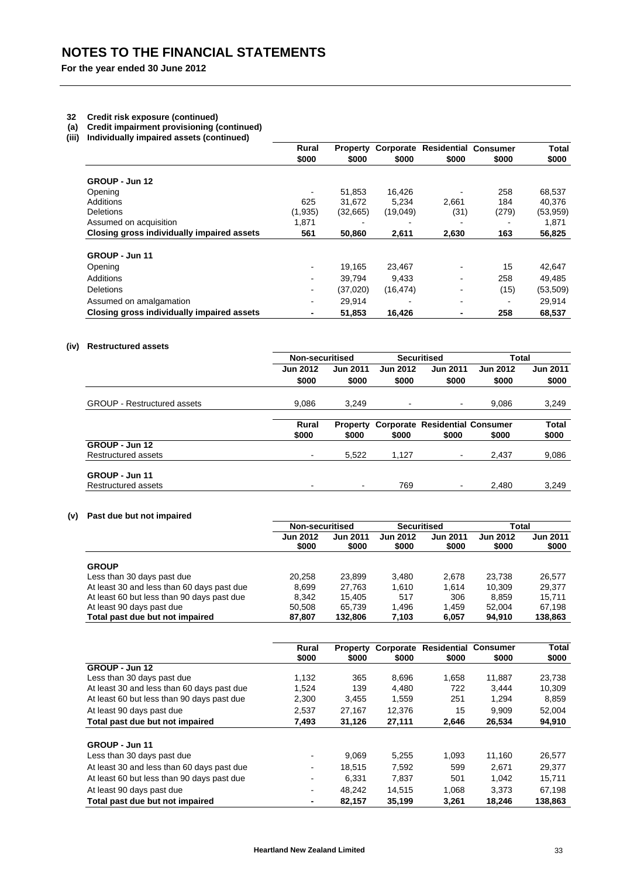#### **32 Credit risk exposure (continued)**

- **(a) Credit impairment provisioning (continued)**
- **(iii) Individually impaired assets (continued)**

|                                            | Rural<br>\$000           | <b>Property</b><br>\$000 |           | <b>Corporate Residential Consumer</b> |       | Total     |
|--------------------------------------------|--------------------------|--------------------------|-----------|---------------------------------------|-------|-----------|
|                                            |                          |                          | \$000     | \$000                                 | \$000 | \$000     |
| GROUP - Jun 12                             |                          |                          |           |                                       |       |           |
| Opening                                    | $\blacksquare$           | 51,853                   | 16.426    |                                       | 258   | 68,537    |
| Additions                                  | 625                      | 31.672                   | 5,234     | 2,661                                 | 184   | 40,376    |
| <b>Deletions</b>                           | (1,935)                  | (32,665)                 | (19,049)  | (31)                                  | (279) | (53, 959) |
| Assumed on acquisition                     | 1.871                    |                          |           |                                       |       | 1,871     |
| Closing gross individually impaired assets | 561                      | 50.860                   | 2,611     | 2,630                                 | 163   | 56,825    |
| GROUP - Jun 11                             |                          |                          |           |                                       |       |           |
| Opening                                    | $\overline{\phantom{a}}$ | 19,165                   | 23,467    | $\blacksquare$                        | 15    | 42,647    |
| Additions                                  | $\overline{\phantom{a}}$ | 39.794                   | 9.433     | $\blacksquare$                        | 258   | 49.485    |
| <b>Deletions</b>                           | ٠                        | (37,020)                 | (16, 474) | $\blacksquare$                        | (15)  | (53, 509) |
| Assumed on amalgamation                    | $\overline{\phantom{a}}$ | 29,914                   |           |                                       |       | 29,914    |
| Closing gross individually impaired assets | ٠                        | 51,853                   | 16,426    |                                       | 258   | 68,537    |

## **(iv) Restructured assets**

|                                    | Non-securitised       |                          |                 | <b>Securitised</b>                             | <b>Total</b>    |                       |
|------------------------------------|-----------------------|--------------------------|-----------------|------------------------------------------------|-----------------|-----------------------|
|                                    | <b>Jun 2012</b>       | <b>Jun 2011</b>          | <b>Jun 2012</b> | <b>Jun 2011</b>                                | <b>Jun 2012</b> | <b>Jun 2011</b>       |
|                                    | \$000                 | \$000                    | \$000           | \$000                                          | \$000           | \$000                 |
| <b>GROUP - Restructured assets</b> | 9,086                 | 3,249                    | $\blacksquare$  | $\sim$                                         | 9.086           | 3,249                 |
|                                    | <b>Rural</b><br>\$000 | <b>Property</b><br>\$000 | \$000           | <b>Corporate Residential Consumer</b><br>\$000 | \$000           | <b>Total</b><br>\$000 |
| GROUP - Jun 12                     |                       |                          |                 |                                                |                 |                       |
| Restructured assets                | $\blacksquare$        | 5,522                    | 1.127           | ۰.                                             | 2.437           | 9,086                 |
| GROUP - Jun 11                     |                       |                          |                 |                                                |                 |                       |
| Restructured assets                | ۰                     |                          | 769             | ۰.                                             | 2.480           | 3,249                 |

## **(v) Past due but not impaired**

|                                            | Non-securitised          |                          | <b>Securitised</b>       |                          | Total                    |                          |
|--------------------------------------------|--------------------------|--------------------------|--------------------------|--------------------------|--------------------------|--------------------------|
|                                            | <b>Jun 2012</b><br>\$000 | <b>Jun 2011</b><br>\$000 | <b>Jun 2012</b><br>\$000 | <b>Jun 2011</b><br>\$000 | <b>Jun 2012</b><br>\$000 | <b>Jun 2011</b><br>\$000 |
| <b>GROUP</b>                               |                          |                          |                          |                          |                          |                          |
| Less than 30 days past due                 | 20,258                   | 23,899                   | 3.480                    | 2,678                    | 23.738                   | 26.577                   |
| At least 30 and less than 60 days past due | 8,699                    | 27,763                   | 1,610                    | 1.614                    | 10.309                   | 29.377                   |
| At least 60 but less than 90 days past due | 8.342                    | 15.405                   | 517                      | 306                      | 8.859                    | 15.711                   |
| At least 90 days past due                  | 50.508                   | 65.739                   | 1.496                    | 1.459                    | 52.004                   | 67.198                   |
| Total past due but not impaired            | 87,807                   | 132,806                  | 7,103                    | 6,057                    | 94,910                   | 138,863                  |

|                                            | Rural | <b>Property</b> | Corporate | Residential | <b>Consumer</b> | Total   |
|--------------------------------------------|-------|-----------------|-----------|-------------|-----------------|---------|
|                                            | \$000 | \$000           | \$000     | \$000       | \$000           | \$000   |
| GROUP - Jun 12                             |       |                 |           |             |                 |         |
| Less than 30 days past due                 | 1.132 | 365             | 8.696     | 1.658       | 11.887          | 23,738  |
| At least 30 and less than 60 days past due | 1,524 | 139             | 4.480     | 722         | 3.444           | 10,309  |
| At least 60 but less than 90 days past due | 2,300 | 3,455           | 1,559     | 251         | 1.294           | 8,859   |
| At least 90 days past due                  | 2.537 | 27,167          | 12,376    | 15          | 9.909           | 52,004  |
| Total past due but not impaired            | 7.493 | 31,126          | 27,111    | 2,646       | 26,534          | 94,910  |
|                                            |       |                 |           |             |                 |         |
| GROUP - Jun 11                             |       |                 |           |             |                 |         |
| Less than 30 days past due                 | ۰     | 9.069           | 5.255     | 1.093       | 11.160          | 26,577  |
| At least 30 and less than 60 days past due |       | 18.515          | 7,592     | 599         | 2.671           | 29.377  |
| At least 60 but less than 90 days past due | ۰     | 6.331           | 7,837     | 501         | 1.042           | 15,711  |
| At least 90 days past due                  |       | 48.242          | 14.515    | 1.068       | 3.373           | 67,198  |
| Total past due but not impaired            |       | 82,157          | 35,199    | 3,261       | 18,246          | 138,863 |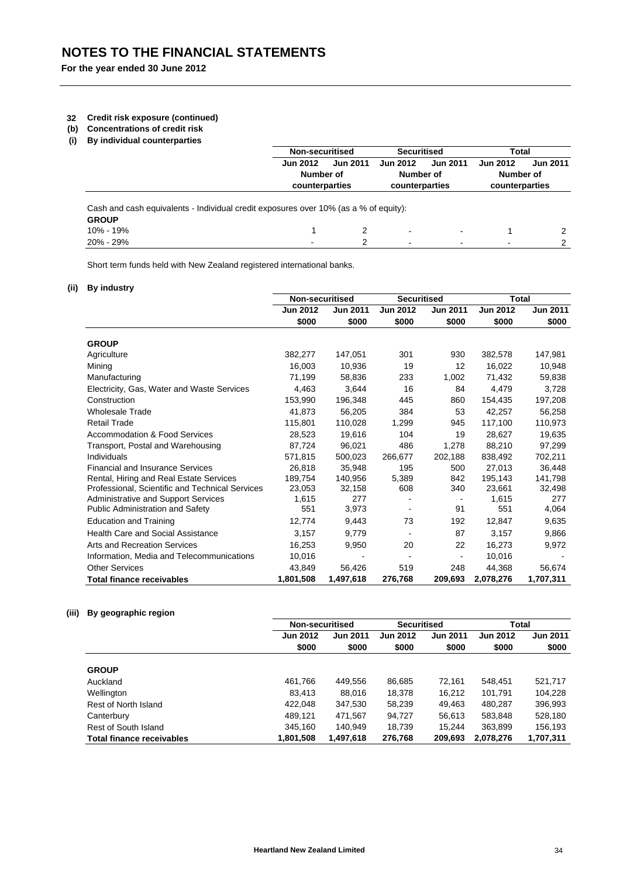## **32 Credit risk exposure (continued)**

- **(b) Concentrations of credit risk**
- **(i) By individual counterparties**

|                                                                                      |                 | Non-securitised |                          | <b>Securitised</b>           |                          | Total           |
|--------------------------------------------------------------------------------------|-----------------|-----------------|--------------------------|------------------------------|--------------------------|-----------------|
|                                                                                      | <b>Jun 2012</b> | <b>Jun 2011</b> | <b>Jun 2012</b>          | <b>Jun 2011</b>              | <b>Jun 2012</b>          | <b>Jun 2011</b> |
|                                                                                      |                 | Number of       |                          | Number of                    |                          | Number of       |
|                                                                                      | counterparties  |                 | counterparties           |                              | counterparties           |                 |
| Cash and cash equivalents - Individual credit exposures over 10% (as a % of equity): |                 |                 |                          |                              |                          |                 |
| <b>GROUP</b>                                                                         |                 |                 |                          |                              |                          |                 |
| 10% - 19%                                                                            |                 |                 | ٠                        | $\qquad \qquad \blacksquare$ |                          |                 |
| 20% - 29%                                                                            |                 | 2               | $\overline{\phantom{a}}$ |                              | $\overline{\phantom{0}}$ | 2               |

Short term funds held with New Zealand registered international banks.

## **(ii) By industry**

|                                                 | <b>Non-securitised</b> |                 | <b>Securitised</b> |                 | <b>Total</b>    |                 |
|-------------------------------------------------|------------------------|-----------------|--------------------|-----------------|-----------------|-----------------|
|                                                 | <b>Jun 2012</b>        | <b>Jun 2011</b> | <b>Jun 2012</b>    | <b>Jun 2011</b> | <b>Jun 2012</b> | <b>Jun 2011</b> |
|                                                 | \$000                  | \$000           | \$000              | \$000           | \$000           | \$000           |
| <b>GROUP</b>                                    |                        |                 |                    |                 |                 |                 |
| Agriculture                                     | 382,277                | 147,051         | 301                | 930             | 382,578         | 147,981         |
| Mining                                          | 16,003                 | 10,936          | 19                 | 12              | 16,022          | 10,948          |
| Manufacturing                                   | 71,199                 | 58,836          | 233                | 1,002           | 71,432          | 59,838          |
| Electricity, Gas, Water and Waste Services      | 4,463                  | 3,644           | 16                 | 84              | 4,479           | 3,728           |
| Construction                                    | 153.990                | 196,348         | 445                | 860             | 154,435         | 197,208         |
| <b>Wholesale Trade</b>                          | 41.873                 | 56,205          | 384                | 53              | 42,257          | 56,258          |
| <b>Retail Trade</b>                             | 115,801                | 110,028         | 1,299              | 945             | 117,100         | 110,973         |
| <b>Accommodation &amp; Food Services</b>        | 28,523                 | 19,616          | 104                | 19              | 28,627          | 19,635          |
| Transport, Postal and Warehousing               | 87.724                 | 96,021          | 486                | 1.278           | 88.210          | 97,299          |
| Individuals                                     | 571.815                | 500,023         | 266,677            | 202,188         | 838,492         | 702,211         |
| <b>Financial and Insurance Services</b>         | 26,818                 | 35,948          | 195                | 500             | 27,013          | 36,448          |
| Rental, Hiring and Real Estate Services         | 189,754                | 140,956         | 5,389              | 842             | 195,143         | 141,798         |
| Professional, Scientific and Technical Services | 23,053                 | 32,158          | 608                | 340             | 23,661          | 32,498          |
| Administrative and Support Services             | 1,615                  | 277             |                    |                 | 1,615           | 277             |
| Public Administration and Safety                | 551                    | 3,973           |                    | 91              | 551             | 4,064           |
| <b>Education and Training</b>                   | 12,774                 | 9,443           | 73                 | 192             | 12,847          | 9,635           |
| <b>Health Care and Social Assistance</b>        | 3,157                  | 9,779           |                    | 87              | 3,157           | 9,866           |
| Arts and Recreation Services                    | 16,253                 | 9,950           | 20                 | 22              | 16,273          | 9,972           |
| Information, Media and Telecommunications       | 10,016                 |                 |                    |                 | 10,016          |                 |
| <b>Other Services</b>                           | 43.849                 | 56,426          | 519                | 248             | 44,368          | 56,674          |
| <b>Total finance receivables</b>                | 1,801,508              | 1,497,618       | 276,768            | 209,693         | 2,078,276       | 1,707,311       |

## **(iii) By geographic region**

|                                  | Non-securitised |                 | <b>Securitised</b> |                 | Total           |                 |
|----------------------------------|-----------------|-----------------|--------------------|-----------------|-----------------|-----------------|
|                                  | <b>Jun 2012</b> | <b>Jun 2011</b> | <b>Jun 2012</b>    | <b>Jun 2011</b> | <b>Jun 2012</b> | <b>Jun 2011</b> |
|                                  | \$000           | \$000           | \$000              | \$000           | \$000           | \$000           |
|                                  |                 |                 |                    |                 |                 |                 |
| <b>GROUP</b>                     |                 |                 |                    |                 |                 |                 |
| Auckland                         | 461,766         | 449,556         | 86,685             | 72.161          | 548,451         | 521,717         |
| Wellington                       | 83,413          | 88,016          | 18,378             | 16.212          | 101,791         | 104.228         |
| Rest of North Island             | 422,048         | 347,530         | 58,239             | 49.463          | 480.287         | 396,993         |
| Canterbury                       | 489.121         | 471,567         | 94.727             | 56.613          | 583.848         | 528,180         |
| Rest of South Island             | 345,160         | 140.949         | 18,739             | 15.244          | 363,899         | 156,193         |
| <b>Total finance receivables</b> | 1,801,508       | 1.497.618       | 276.768            | 209.693         | 2.078.276       | 1,707,311       |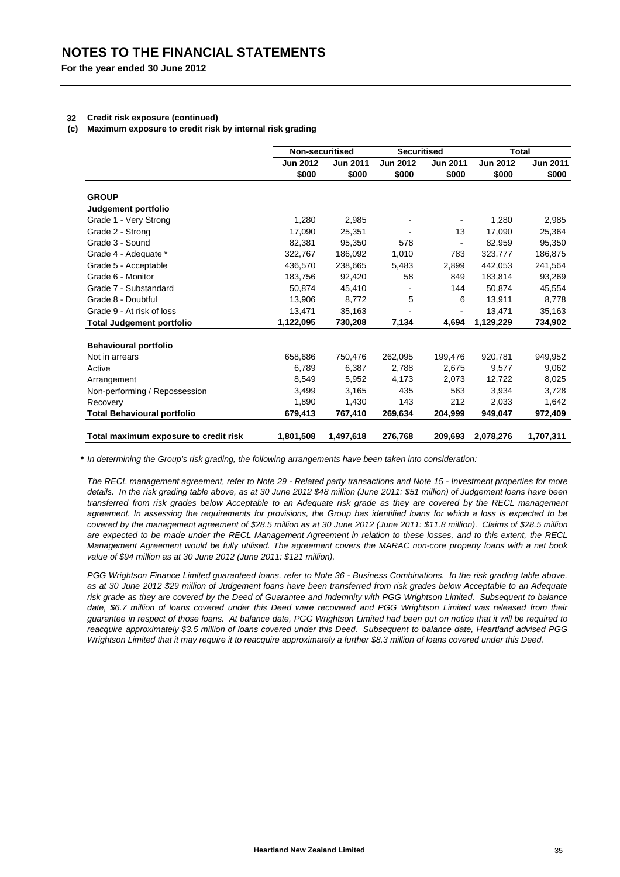### **32 Credit risk exposure (continued)**

## **(c) Maximum exposure to credit risk by internal risk grading**

|                                       | Non-securitised |                 | <b>Securitised</b>       |                 |                 | <b>Total</b>    |
|---------------------------------------|-----------------|-----------------|--------------------------|-----------------|-----------------|-----------------|
|                                       | <b>Jun 2012</b> | <b>Jun 2011</b> | <b>Jun 2012</b>          | <b>Jun 2011</b> | <b>Jun 2012</b> | <b>Jun 2011</b> |
|                                       | \$000           | \$000           | \$000                    | \$000           | \$000           | \$000           |
| <b>GROUP</b>                          |                 |                 |                          |                 |                 |                 |
| Judgement portfolio                   |                 |                 |                          |                 |                 |                 |
| Grade 1 - Very Strong                 | 1,280           | 2,985           |                          |                 | 1,280           | 2,985           |
| Grade 2 - Strong                      | 17,090          | 25,351          |                          | 13              | 17,090          | 25,364          |
| Grade 3 - Sound                       | 82,381          | 95,350          | 578                      | ÷,              | 82,959          | 95,350          |
| Grade 4 - Adequate *                  | 322,767         | 186,092         | 1,010                    | 783             | 323,777         | 186,875         |
| Grade 5 - Acceptable                  | 436,570         | 238,665         | 5,483                    | 2,899           | 442,053         | 241,564         |
| Grade 6 - Monitor                     | 183,756         | 92,420          | 58                       | 849             | 183,814         | 93,269          |
| Grade 7 - Substandard                 | 50,874          | 45,410          |                          | 144             | 50,874          | 45,554          |
| Grade 8 - Doubtful                    | 13,906          | 8,772           | 5                        | 6               | 13,911          | 8,778           |
| Grade 9 - At risk of loss             | 13,471          | 35,163          | $\overline{\phantom{a}}$ | -               | 13,471          | 35,163          |
| <b>Total Judgement portfolio</b>      | 1,122,095       | 730,208         | 7,134                    | 4,694           | 1,129,229       | 734,902         |
| <b>Behavioural portfolio</b>          |                 |                 |                          |                 |                 |                 |
| Not in arrears                        | 658,686         | 750,476         | 262,095                  | 199,476         | 920,781         | 949,952         |
| Active                                | 6,789           | 6,387           | 2,788                    | 2,675           | 9,577           | 9,062           |
| Arrangement                           | 8,549           | 5,952           | 4,173                    | 2,073           | 12,722          | 8,025           |
| Non-performing / Repossession         | 3,499           | 3,165           | 435                      | 563             | 3.934           | 3,728           |
| Recovery                              | 1,890           | 1.430           | 143                      | 212             | 2,033           | 1,642           |
| <b>Total Behavioural portfolio</b>    | 679,413         | 767,410         | 269,634                  | 204,999         | 949,047         | 972,409         |
|                                       |                 |                 |                          |                 |                 |                 |
| Total maximum exposure to credit risk | 1,801,508       | 1,497,618       | 276,768                  | 209,693         | 2,078,276       | 1,707,311       |

**\*** *In determining the Group's risk grading, the following arrangements have been taken into consideration:*

*The RECL management agreement, refer to Note 29 - Related party transactions and Note 15 - Investment properties for more details. In the risk grading table above, as at 30 June 2012 \$48 million (June 2011: \$51 million) of Judgement loans have been transferred from risk grades below Acceptable to an Adequate risk grade as they are covered by the RECL management agreement. In assessing the requirements for provisions, the Group has identified loans for which a loss is expected to be covered by the management agreement of \$28.5 million as at 30 June 2012 (June 2011: \$11.8 million). Claims of \$28.5 million are expected to be made under the RECL Management Agreement in relation to these losses, and to this extent, the RECL Management Agreement would be fully utilised. The agreement covers the MARAC non-core property loans with a net book value of \$94 million as at 30 June 2012 (June 2011: \$121 million).*

*PGG Wrightson Finance Limited guaranteed loans, refer to Note 36 - Business Combinations. In the risk grading table above, as at 30 June 2012 \$29 million of Judgement loans have been transferred from risk grades below Acceptable to an Adequate risk grade as they are covered by the Deed of Guarantee and Indemnity with PGG Wrightson Limited. Subsequent to balance date, \$6.7 million of loans covered under this Deed were recovered and PGG Wrightson Limited was released from their guarantee in respect of those loans. At balance date, PGG Wrightson Limited had been put on notice that it will be required to reacquire approximately \$3.5 million of loans covered under this Deed. Subsequent to balance date, Heartland advised PGG Wrightson Limited that it may require it to reacquire approximately a further \$8.3 million of loans covered under this Deed.*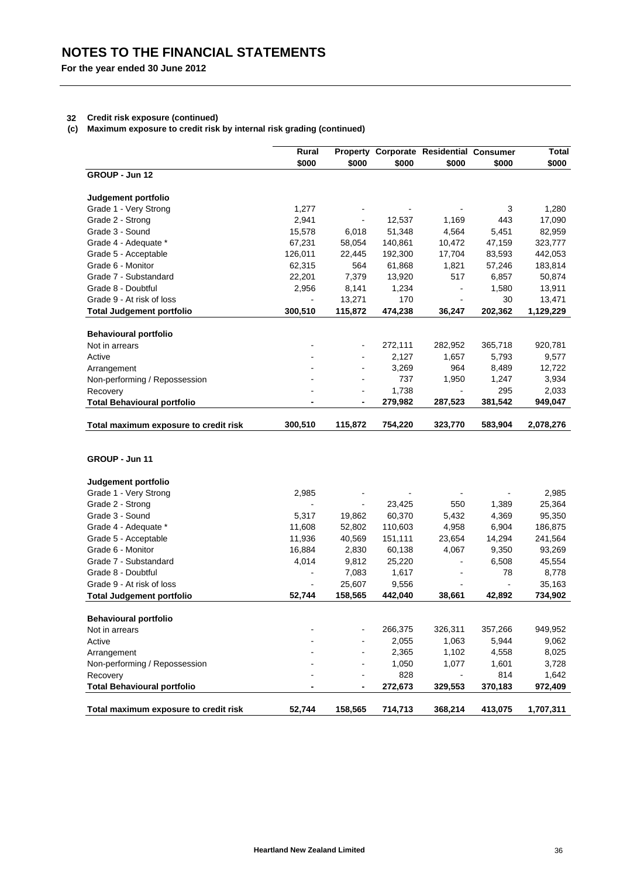## **32 Credit risk exposure (continued)**

**(c) Maximum exposure to credit risk by internal risk grading (continued)**

| Property Corporate Residential Consumer<br>Rural<br>\$000<br>\$000<br>\$000<br>\$000<br>\$000<br>\$000<br>GROUP - Jun 12<br>Judgement portfolio<br>Grade 1 - Very Strong<br>1,277<br>3<br>1,280<br>Grade 2 - Strong<br>2,941<br>12,537<br>1,169<br>443<br>17,090<br>Grade 3 - Sound<br>15,578<br>51,348<br>4,564<br>5,451<br>82,959<br>6,018<br>Grade 4 - Adequate *<br>67,231<br>58,054<br>140,861<br>10,472<br>47,159<br>323,777<br>Grade 5 - Acceptable<br>126,011<br>192,300<br>17,704<br>83,593<br>442,053<br>22,445<br>564<br>Grade 6 - Monitor<br>62,315<br>61,868<br>1,821<br>57,246<br>183,814<br>Grade 7 - Substandard<br>22,201<br>7,379<br>13,920<br>517<br>6,857<br>50,874<br>Grade 8 - Doubtful<br>2,956<br>8,141<br>1,234<br>1,580<br>13,911<br>$\blacksquare$<br>13,271<br>170<br>30<br>13,471<br>Grade 9 - At risk of loss<br>300,510<br>115,872<br>474,238<br>202,362<br><b>Total Judgement portfolio</b><br>36,247<br>1,129,229<br><b>Behavioural portfolio</b><br>272,111<br>Not in arrears<br>282,952<br>365,718<br>920,781<br>2,127<br>1,657<br>5,793<br>9,577<br>Active<br>3,269<br>964<br>8,489<br>12,722<br>Arrangement<br>737<br>1,950<br>1,247<br>3,934<br>Non-performing / Repossession<br>1,738<br>295<br>2,033<br>Recovery<br>279,982<br>287,523<br>381,542<br><b>Total Behavioural portfolio</b><br>949,047<br>Total maximum exposure to credit risk<br>300,510<br>115,872<br>754,220<br>323,770<br>583,904<br>2,078,276<br>GROUP - Jun 11<br>Judgement portfolio<br>Grade 1 - Very Strong<br>2,985<br>2,985<br>Grade 2 - Strong<br>23,425<br>550<br>1,389<br>25,364<br>L,<br>60,370<br>4,369<br>Grade 3 - Sound<br>5,317<br>5,432<br>95,350<br>19,862<br>Grade 4 - Adequate *<br>11,608<br>52,802<br>110,603<br>4,958<br>6,904<br>186,875<br>Grade 5 - Acceptable<br>11,936<br>40,569<br>151,111<br>23,654<br>14,294<br>241,564<br>9,350<br>Grade 6 - Monitor<br>16,884<br>2,830<br>60,138<br>4,067<br>93,269<br>Grade 7 - Substandard<br>4,014<br>9,812<br>25,220<br>6,508<br>45,554<br>Grade 8 - Doubtful<br>7,083<br>1,617<br>78<br>8,778<br>ä,<br>35,163<br>Grade 9 - At risk of loss<br>25,607<br>9,556<br>÷,<br>52,744<br>158,565<br>442,040<br>42,892<br>734,902<br>38,661<br><b>Total Judgement portfolio</b><br><b>Behavioural portfolio</b><br>266,375<br>326,311<br>357,266<br>949,952<br>Not in arrears<br>2,055<br>1,063<br>5,944<br>9,062<br>Active<br>2,365<br>1,102<br>4,558<br>8,025<br>Arrangement<br>1,050<br>1,077<br>1,601<br>3,728<br>Non-performing / Repossession<br>828<br>814<br>Recovery<br>1,642<br><b>Total Behavioural portfolio</b><br>272,673<br>329,553<br>370,183<br>52,744<br>158,565<br>714,713<br>368,214<br>413,075<br>Total maximum exposure to credit risk<br>1,707,311 |  |  |  |         |
|-------------------------------------------------------------------------------------------------------------------------------------------------------------------------------------------------------------------------------------------------------------------------------------------------------------------------------------------------------------------------------------------------------------------------------------------------------------------------------------------------------------------------------------------------------------------------------------------------------------------------------------------------------------------------------------------------------------------------------------------------------------------------------------------------------------------------------------------------------------------------------------------------------------------------------------------------------------------------------------------------------------------------------------------------------------------------------------------------------------------------------------------------------------------------------------------------------------------------------------------------------------------------------------------------------------------------------------------------------------------------------------------------------------------------------------------------------------------------------------------------------------------------------------------------------------------------------------------------------------------------------------------------------------------------------------------------------------------------------------------------------------------------------------------------------------------------------------------------------------------------------------------------------------------------------------------------------------------------------------------------------------------------------------------------------------------------------------------------------------------------------------------------------------------------------------------------------------------------------------------------------------------------------------------------------------------------------------------------------------------------------------------------------------------------------------------------------------------------------------------------------------------------------------------------------------------------------------------------------------------------------------------------------------------------------------------------------------------------------------------------|--|--|--|---------|
|                                                                                                                                                                                                                                                                                                                                                                                                                                                                                                                                                                                                                                                                                                                                                                                                                                                                                                                                                                                                                                                                                                                                                                                                                                                                                                                                                                                                                                                                                                                                                                                                                                                                                                                                                                                                                                                                                                                                                                                                                                                                                                                                                                                                                                                                                                                                                                                                                                                                                                                                                                                                                                                                                                                                                 |  |  |  | Total   |
|                                                                                                                                                                                                                                                                                                                                                                                                                                                                                                                                                                                                                                                                                                                                                                                                                                                                                                                                                                                                                                                                                                                                                                                                                                                                                                                                                                                                                                                                                                                                                                                                                                                                                                                                                                                                                                                                                                                                                                                                                                                                                                                                                                                                                                                                                                                                                                                                                                                                                                                                                                                                                                                                                                                                                 |  |  |  |         |
|                                                                                                                                                                                                                                                                                                                                                                                                                                                                                                                                                                                                                                                                                                                                                                                                                                                                                                                                                                                                                                                                                                                                                                                                                                                                                                                                                                                                                                                                                                                                                                                                                                                                                                                                                                                                                                                                                                                                                                                                                                                                                                                                                                                                                                                                                                                                                                                                                                                                                                                                                                                                                                                                                                                                                 |  |  |  |         |
|                                                                                                                                                                                                                                                                                                                                                                                                                                                                                                                                                                                                                                                                                                                                                                                                                                                                                                                                                                                                                                                                                                                                                                                                                                                                                                                                                                                                                                                                                                                                                                                                                                                                                                                                                                                                                                                                                                                                                                                                                                                                                                                                                                                                                                                                                                                                                                                                                                                                                                                                                                                                                                                                                                                                                 |  |  |  |         |
|                                                                                                                                                                                                                                                                                                                                                                                                                                                                                                                                                                                                                                                                                                                                                                                                                                                                                                                                                                                                                                                                                                                                                                                                                                                                                                                                                                                                                                                                                                                                                                                                                                                                                                                                                                                                                                                                                                                                                                                                                                                                                                                                                                                                                                                                                                                                                                                                                                                                                                                                                                                                                                                                                                                                                 |  |  |  |         |
|                                                                                                                                                                                                                                                                                                                                                                                                                                                                                                                                                                                                                                                                                                                                                                                                                                                                                                                                                                                                                                                                                                                                                                                                                                                                                                                                                                                                                                                                                                                                                                                                                                                                                                                                                                                                                                                                                                                                                                                                                                                                                                                                                                                                                                                                                                                                                                                                                                                                                                                                                                                                                                                                                                                                                 |  |  |  |         |
|                                                                                                                                                                                                                                                                                                                                                                                                                                                                                                                                                                                                                                                                                                                                                                                                                                                                                                                                                                                                                                                                                                                                                                                                                                                                                                                                                                                                                                                                                                                                                                                                                                                                                                                                                                                                                                                                                                                                                                                                                                                                                                                                                                                                                                                                                                                                                                                                                                                                                                                                                                                                                                                                                                                                                 |  |  |  |         |
|                                                                                                                                                                                                                                                                                                                                                                                                                                                                                                                                                                                                                                                                                                                                                                                                                                                                                                                                                                                                                                                                                                                                                                                                                                                                                                                                                                                                                                                                                                                                                                                                                                                                                                                                                                                                                                                                                                                                                                                                                                                                                                                                                                                                                                                                                                                                                                                                                                                                                                                                                                                                                                                                                                                                                 |  |  |  |         |
|                                                                                                                                                                                                                                                                                                                                                                                                                                                                                                                                                                                                                                                                                                                                                                                                                                                                                                                                                                                                                                                                                                                                                                                                                                                                                                                                                                                                                                                                                                                                                                                                                                                                                                                                                                                                                                                                                                                                                                                                                                                                                                                                                                                                                                                                                                                                                                                                                                                                                                                                                                                                                                                                                                                                                 |  |  |  |         |
|                                                                                                                                                                                                                                                                                                                                                                                                                                                                                                                                                                                                                                                                                                                                                                                                                                                                                                                                                                                                                                                                                                                                                                                                                                                                                                                                                                                                                                                                                                                                                                                                                                                                                                                                                                                                                                                                                                                                                                                                                                                                                                                                                                                                                                                                                                                                                                                                                                                                                                                                                                                                                                                                                                                                                 |  |  |  |         |
|                                                                                                                                                                                                                                                                                                                                                                                                                                                                                                                                                                                                                                                                                                                                                                                                                                                                                                                                                                                                                                                                                                                                                                                                                                                                                                                                                                                                                                                                                                                                                                                                                                                                                                                                                                                                                                                                                                                                                                                                                                                                                                                                                                                                                                                                                                                                                                                                                                                                                                                                                                                                                                                                                                                                                 |  |  |  |         |
|                                                                                                                                                                                                                                                                                                                                                                                                                                                                                                                                                                                                                                                                                                                                                                                                                                                                                                                                                                                                                                                                                                                                                                                                                                                                                                                                                                                                                                                                                                                                                                                                                                                                                                                                                                                                                                                                                                                                                                                                                                                                                                                                                                                                                                                                                                                                                                                                                                                                                                                                                                                                                                                                                                                                                 |  |  |  |         |
|                                                                                                                                                                                                                                                                                                                                                                                                                                                                                                                                                                                                                                                                                                                                                                                                                                                                                                                                                                                                                                                                                                                                                                                                                                                                                                                                                                                                                                                                                                                                                                                                                                                                                                                                                                                                                                                                                                                                                                                                                                                                                                                                                                                                                                                                                                                                                                                                                                                                                                                                                                                                                                                                                                                                                 |  |  |  |         |
|                                                                                                                                                                                                                                                                                                                                                                                                                                                                                                                                                                                                                                                                                                                                                                                                                                                                                                                                                                                                                                                                                                                                                                                                                                                                                                                                                                                                                                                                                                                                                                                                                                                                                                                                                                                                                                                                                                                                                                                                                                                                                                                                                                                                                                                                                                                                                                                                                                                                                                                                                                                                                                                                                                                                                 |  |  |  |         |
|                                                                                                                                                                                                                                                                                                                                                                                                                                                                                                                                                                                                                                                                                                                                                                                                                                                                                                                                                                                                                                                                                                                                                                                                                                                                                                                                                                                                                                                                                                                                                                                                                                                                                                                                                                                                                                                                                                                                                                                                                                                                                                                                                                                                                                                                                                                                                                                                                                                                                                                                                                                                                                                                                                                                                 |  |  |  |         |
|                                                                                                                                                                                                                                                                                                                                                                                                                                                                                                                                                                                                                                                                                                                                                                                                                                                                                                                                                                                                                                                                                                                                                                                                                                                                                                                                                                                                                                                                                                                                                                                                                                                                                                                                                                                                                                                                                                                                                                                                                                                                                                                                                                                                                                                                                                                                                                                                                                                                                                                                                                                                                                                                                                                                                 |  |  |  |         |
|                                                                                                                                                                                                                                                                                                                                                                                                                                                                                                                                                                                                                                                                                                                                                                                                                                                                                                                                                                                                                                                                                                                                                                                                                                                                                                                                                                                                                                                                                                                                                                                                                                                                                                                                                                                                                                                                                                                                                                                                                                                                                                                                                                                                                                                                                                                                                                                                                                                                                                                                                                                                                                                                                                                                                 |  |  |  |         |
|                                                                                                                                                                                                                                                                                                                                                                                                                                                                                                                                                                                                                                                                                                                                                                                                                                                                                                                                                                                                                                                                                                                                                                                                                                                                                                                                                                                                                                                                                                                                                                                                                                                                                                                                                                                                                                                                                                                                                                                                                                                                                                                                                                                                                                                                                                                                                                                                                                                                                                                                                                                                                                                                                                                                                 |  |  |  |         |
|                                                                                                                                                                                                                                                                                                                                                                                                                                                                                                                                                                                                                                                                                                                                                                                                                                                                                                                                                                                                                                                                                                                                                                                                                                                                                                                                                                                                                                                                                                                                                                                                                                                                                                                                                                                                                                                                                                                                                                                                                                                                                                                                                                                                                                                                                                                                                                                                                                                                                                                                                                                                                                                                                                                                                 |  |  |  |         |
|                                                                                                                                                                                                                                                                                                                                                                                                                                                                                                                                                                                                                                                                                                                                                                                                                                                                                                                                                                                                                                                                                                                                                                                                                                                                                                                                                                                                                                                                                                                                                                                                                                                                                                                                                                                                                                                                                                                                                                                                                                                                                                                                                                                                                                                                                                                                                                                                                                                                                                                                                                                                                                                                                                                                                 |  |  |  |         |
|                                                                                                                                                                                                                                                                                                                                                                                                                                                                                                                                                                                                                                                                                                                                                                                                                                                                                                                                                                                                                                                                                                                                                                                                                                                                                                                                                                                                                                                                                                                                                                                                                                                                                                                                                                                                                                                                                                                                                                                                                                                                                                                                                                                                                                                                                                                                                                                                                                                                                                                                                                                                                                                                                                                                                 |  |  |  |         |
|                                                                                                                                                                                                                                                                                                                                                                                                                                                                                                                                                                                                                                                                                                                                                                                                                                                                                                                                                                                                                                                                                                                                                                                                                                                                                                                                                                                                                                                                                                                                                                                                                                                                                                                                                                                                                                                                                                                                                                                                                                                                                                                                                                                                                                                                                                                                                                                                                                                                                                                                                                                                                                                                                                                                                 |  |  |  |         |
|                                                                                                                                                                                                                                                                                                                                                                                                                                                                                                                                                                                                                                                                                                                                                                                                                                                                                                                                                                                                                                                                                                                                                                                                                                                                                                                                                                                                                                                                                                                                                                                                                                                                                                                                                                                                                                                                                                                                                                                                                                                                                                                                                                                                                                                                                                                                                                                                                                                                                                                                                                                                                                                                                                                                                 |  |  |  |         |
|                                                                                                                                                                                                                                                                                                                                                                                                                                                                                                                                                                                                                                                                                                                                                                                                                                                                                                                                                                                                                                                                                                                                                                                                                                                                                                                                                                                                                                                                                                                                                                                                                                                                                                                                                                                                                                                                                                                                                                                                                                                                                                                                                                                                                                                                                                                                                                                                                                                                                                                                                                                                                                                                                                                                                 |  |  |  |         |
|                                                                                                                                                                                                                                                                                                                                                                                                                                                                                                                                                                                                                                                                                                                                                                                                                                                                                                                                                                                                                                                                                                                                                                                                                                                                                                                                                                                                                                                                                                                                                                                                                                                                                                                                                                                                                                                                                                                                                                                                                                                                                                                                                                                                                                                                                                                                                                                                                                                                                                                                                                                                                                                                                                                                                 |  |  |  |         |
|                                                                                                                                                                                                                                                                                                                                                                                                                                                                                                                                                                                                                                                                                                                                                                                                                                                                                                                                                                                                                                                                                                                                                                                                                                                                                                                                                                                                                                                                                                                                                                                                                                                                                                                                                                                                                                                                                                                                                                                                                                                                                                                                                                                                                                                                                                                                                                                                                                                                                                                                                                                                                                                                                                                                                 |  |  |  |         |
|                                                                                                                                                                                                                                                                                                                                                                                                                                                                                                                                                                                                                                                                                                                                                                                                                                                                                                                                                                                                                                                                                                                                                                                                                                                                                                                                                                                                                                                                                                                                                                                                                                                                                                                                                                                                                                                                                                                                                                                                                                                                                                                                                                                                                                                                                                                                                                                                                                                                                                                                                                                                                                                                                                                                                 |  |  |  |         |
|                                                                                                                                                                                                                                                                                                                                                                                                                                                                                                                                                                                                                                                                                                                                                                                                                                                                                                                                                                                                                                                                                                                                                                                                                                                                                                                                                                                                                                                                                                                                                                                                                                                                                                                                                                                                                                                                                                                                                                                                                                                                                                                                                                                                                                                                                                                                                                                                                                                                                                                                                                                                                                                                                                                                                 |  |  |  |         |
|                                                                                                                                                                                                                                                                                                                                                                                                                                                                                                                                                                                                                                                                                                                                                                                                                                                                                                                                                                                                                                                                                                                                                                                                                                                                                                                                                                                                                                                                                                                                                                                                                                                                                                                                                                                                                                                                                                                                                                                                                                                                                                                                                                                                                                                                                                                                                                                                                                                                                                                                                                                                                                                                                                                                                 |  |  |  |         |
|                                                                                                                                                                                                                                                                                                                                                                                                                                                                                                                                                                                                                                                                                                                                                                                                                                                                                                                                                                                                                                                                                                                                                                                                                                                                                                                                                                                                                                                                                                                                                                                                                                                                                                                                                                                                                                                                                                                                                                                                                                                                                                                                                                                                                                                                                                                                                                                                                                                                                                                                                                                                                                                                                                                                                 |  |  |  |         |
|                                                                                                                                                                                                                                                                                                                                                                                                                                                                                                                                                                                                                                                                                                                                                                                                                                                                                                                                                                                                                                                                                                                                                                                                                                                                                                                                                                                                                                                                                                                                                                                                                                                                                                                                                                                                                                                                                                                                                                                                                                                                                                                                                                                                                                                                                                                                                                                                                                                                                                                                                                                                                                                                                                                                                 |  |  |  |         |
|                                                                                                                                                                                                                                                                                                                                                                                                                                                                                                                                                                                                                                                                                                                                                                                                                                                                                                                                                                                                                                                                                                                                                                                                                                                                                                                                                                                                                                                                                                                                                                                                                                                                                                                                                                                                                                                                                                                                                                                                                                                                                                                                                                                                                                                                                                                                                                                                                                                                                                                                                                                                                                                                                                                                                 |  |  |  |         |
|                                                                                                                                                                                                                                                                                                                                                                                                                                                                                                                                                                                                                                                                                                                                                                                                                                                                                                                                                                                                                                                                                                                                                                                                                                                                                                                                                                                                                                                                                                                                                                                                                                                                                                                                                                                                                                                                                                                                                                                                                                                                                                                                                                                                                                                                                                                                                                                                                                                                                                                                                                                                                                                                                                                                                 |  |  |  |         |
|                                                                                                                                                                                                                                                                                                                                                                                                                                                                                                                                                                                                                                                                                                                                                                                                                                                                                                                                                                                                                                                                                                                                                                                                                                                                                                                                                                                                                                                                                                                                                                                                                                                                                                                                                                                                                                                                                                                                                                                                                                                                                                                                                                                                                                                                                                                                                                                                                                                                                                                                                                                                                                                                                                                                                 |  |  |  |         |
|                                                                                                                                                                                                                                                                                                                                                                                                                                                                                                                                                                                                                                                                                                                                                                                                                                                                                                                                                                                                                                                                                                                                                                                                                                                                                                                                                                                                                                                                                                                                                                                                                                                                                                                                                                                                                                                                                                                                                                                                                                                                                                                                                                                                                                                                                                                                                                                                                                                                                                                                                                                                                                                                                                                                                 |  |  |  |         |
|                                                                                                                                                                                                                                                                                                                                                                                                                                                                                                                                                                                                                                                                                                                                                                                                                                                                                                                                                                                                                                                                                                                                                                                                                                                                                                                                                                                                                                                                                                                                                                                                                                                                                                                                                                                                                                                                                                                                                                                                                                                                                                                                                                                                                                                                                                                                                                                                                                                                                                                                                                                                                                                                                                                                                 |  |  |  |         |
|                                                                                                                                                                                                                                                                                                                                                                                                                                                                                                                                                                                                                                                                                                                                                                                                                                                                                                                                                                                                                                                                                                                                                                                                                                                                                                                                                                                                                                                                                                                                                                                                                                                                                                                                                                                                                                                                                                                                                                                                                                                                                                                                                                                                                                                                                                                                                                                                                                                                                                                                                                                                                                                                                                                                                 |  |  |  |         |
|                                                                                                                                                                                                                                                                                                                                                                                                                                                                                                                                                                                                                                                                                                                                                                                                                                                                                                                                                                                                                                                                                                                                                                                                                                                                                                                                                                                                                                                                                                                                                                                                                                                                                                                                                                                                                                                                                                                                                                                                                                                                                                                                                                                                                                                                                                                                                                                                                                                                                                                                                                                                                                                                                                                                                 |  |  |  |         |
|                                                                                                                                                                                                                                                                                                                                                                                                                                                                                                                                                                                                                                                                                                                                                                                                                                                                                                                                                                                                                                                                                                                                                                                                                                                                                                                                                                                                                                                                                                                                                                                                                                                                                                                                                                                                                                                                                                                                                                                                                                                                                                                                                                                                                                                                                                                                                                                                                                                                                                                                                                                                                                                                                                                                                 |  |  |  |         |
|                                                                                                                                                                                                                                                                                                                                                                                                                                                                                                                                                                                                                                                                                                                                                                                                                                                                                                                                                                                                                                                                                                                                                                                                                                                                                                                                                                                                                                                                                                                                                                                                                                                                                                                                                                                                                                                                                                                                                                                                                                                                                                                                                                                                                                                                                                                                                                                                                                                                                                                                                                                                                                                                                                                                                 |  |  |  |         |
|                                                                                                                                                                                                                                                                                                                                                                                                                                                                                                                                                                                                                                                                                                                                                                                                                                                                                                                                                                                                                                                                                                                                                                                                                                                                                                                                                                                                                                                                                                                                                                                                                                                                                                                                                                                                                                                                                                                                                                                                                                                                                                                                                                                                                                                                                                                                                                                                                                                                                                                                                                                                                                                                                                                                                 |  |  |  | 972,409 |
|                                                                                                                                                                                                                                                                                                                                                                                                                                                                                                                                                                                                                                                                                                                                                                                                                                                                                                                                                                                                                                                                                                                                                                                                                                                                                                                                                                                                                                                                                                                                                                                                                                                                                                                                                                                                                                                                                                                                                                                                                                                                                                                                                                                                                                                                                                                                                                                                                                                                                                                                                                                                                                                                                                                                                 |  |  |  |         |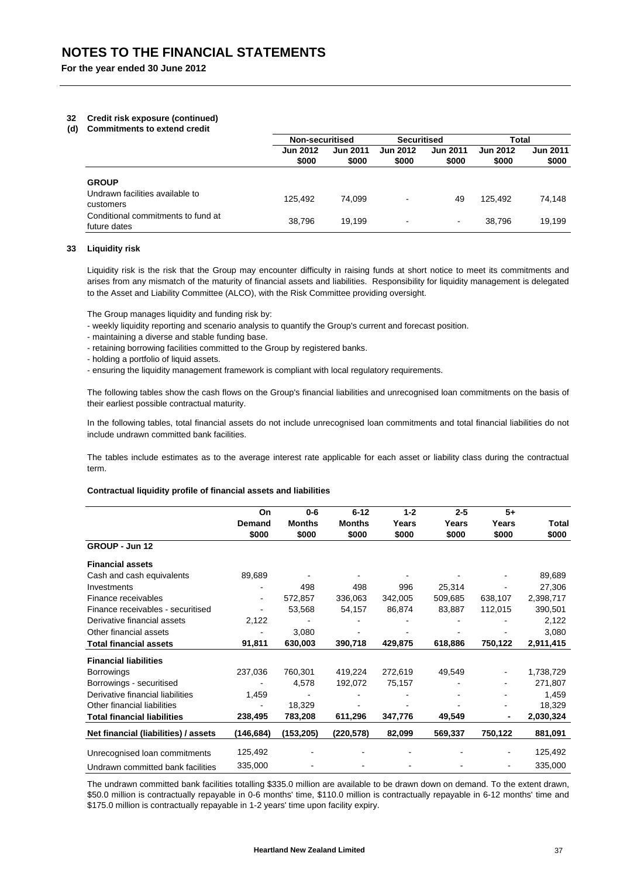## **32 Credit risk exposure (continued)**

#### **(d) Commitments to extend credit**

|                                                              | Non-securitised          |                          | <b>Securitised</b>       |                          | Total                    |                          |
|--------------------------------------------------------------|--------------------------|--------------------------|--------------------------|--------------------------|--------------------------|--------------------------|
|                                                              | <b>Jun 2012</b><br>\$000 | <b>Jun 2011</b><br>\$000 | <b>Jun 2012</b><br>\$000 | <b>Jun 2011</b><br>\$000 | <b>Jun 2012</b><br>\$000 | <b>Jun 2011</b><br>\$000 |
| <b>GROUP</b><br>Undrawn facilities available to<br>customers | 125.492                  | 74.099                   | $\,$ $\,$                | 49                       | 125.492                  | 74,148                   |
| Conditional commitments to fund at<br>future dates           | 38.796                   | 19.199                   | $\,$ $\,$                | $\overline{\phantom{a}}$ | 38.796                   | 19.199                   |

## **33 Liquidity risk**

Liquidity risk is the risk that the Group may encounter difficulty in raising funds at short notice to meet its commitments and arises from any mismatch of the maturity of financial assets and liabilities. Responsibility for liquidity management is delegated to the Asset and Liability Committee (ALCO), with the Risk Committee providing oversight.

The Group manages liquidity and funding risk by:

- weekly liquidity reporting and scenario analysis to quantify the Group's current and forecast position.
- maintaining a diverse and stable funding base.
- retaining borrowing facilities committed to the Group by registered banks.
- holding a portfolio of liquid assets.
- ensuring the liquidity management framework is compliant with local regulatory requirements.

The following tables show the cash flows on the Group's financial liabilities and unrecognised loan commitments on the basis of their earliest possible contractual maturity.

In the following tables, total financial assets do not include unrecognised loan commitments and total financial liabilities do not include undrawn committed bank facilities.

The tables include estimates as to the average interest rate applicable for each asset or liability class during the contractual term.

#### **Contractual liquidity profile of financial assets and liabilities**

|                                      | On             | $0 - 6$       | $6 - 12$      | $1 - 2$ | $2 - 5$ | $5+$    |           |
|--------------------------------------|----------------|---------------|---------------|---------|---------|---------|-----------|
|                                      | <b>Demand</b>  | <b>Months</b> | <b>Months</b> | Years   | Years   | Years   | Total     |
|                                      | \$000          | \$000         | \$000         | \$000   | \$000   | \$000   | \$000     |
| GROUP - Jun 12                       |                |               |               |         |         |         |           |
| <b>Financial assets</b>              |                |               |               |         |         |         |           |
| Cash and cash equivalents            | 89,689         |               |               |         |         |         | 89,689    |
| Investments                          |                | 498           | 498           | 996     | 25,314  |         | 27,306    |
| Finance receivables                  | $\blacksquare$ | 572,857       | 336,063       | 342,005 | 509,685 | 638,107 | 2,398,717 |
| Finance receivables - securitised    | $\blacksquare$ | 53,568        | 54,157        | 86,874  | 83,887  | 112,015 | 390,501   |
| Derivative financial assets          | 2,122          |               |               |         |         |         | 2,122     |
| Other financial assets               |                | 3,080         |               |         |         |         | 3,080     |
| <b>Total financial assets</b>        | 91,811         | 630,003       | 390,718       | 429,875 | 618,886 | 750,122 | 2,911,415 |
| <b>Financial liabilities</b>         |                |               |               |         |         |         |           |
| <b>Borrowings</b>                    | 237,036        | 760,301       | 419,224       | 272,619 | 49,549  |         | 1,738,729 |
| Borrowings - securitised             |                | 4,578         | 192,072       | 75,157  |         |         | 271,807   |
| Derivative financial liabilities     | 1,459          |               |               |         |         |         | 1,459     |
| Other financial liabilities          | ٠              | 18,329        |               |         |         |         | 18,329    |
| <b>Total financial liabilities</b>   | 238,495        | 783,208       | 611,296       | 347,776 | 49,549  | ۰       | 2,030,324 |
| Net financial (liabilities) / assets | (146,684)      | (153, 205)    | (220, 578)    | 82,099  | 569,337 | 750,122 | 881,091   |
| Unrecognised Ioan commitments        | 125,492        |               |               |         |         |         | 125,492   |
| Undrawn committed bank facilities    | 335,000        |               |               |         |         |         | 335,000   |

The undrawn committed bank facilities totalling \$335.0 million are available to be drawn down on demand. To the extent drawn, \$50.0 million is contractually repayable in 0-6 months' time, \$110.0 million is contractually repayable in 6-12 months' time and \$175.0 million is contractually repayable in 1-2 years' time upon facility expiry.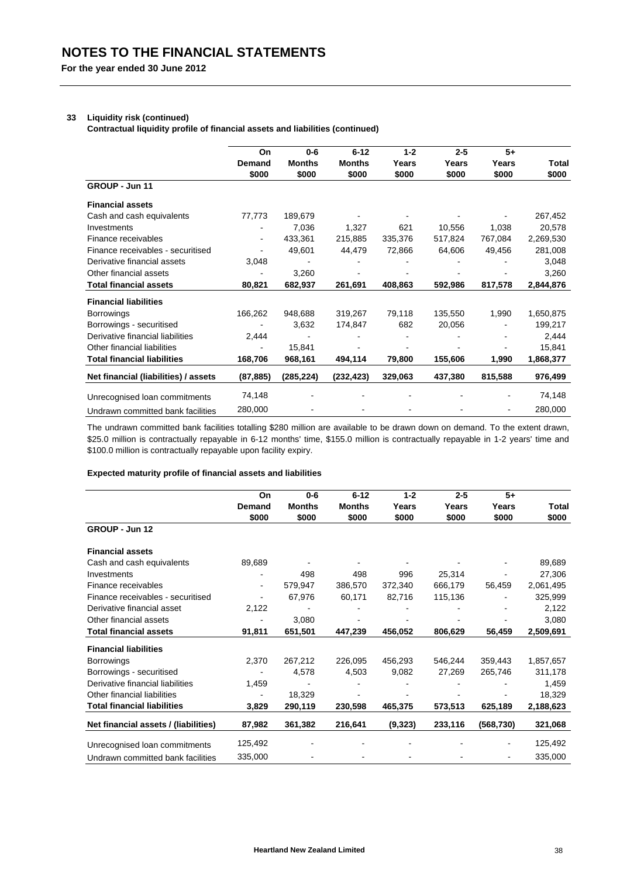## **33 Liquidity risk (continued)**

**Contractual liquidity profile of financial assets and liabilities (continued)**

|                                      | On                     | $0 - 6$       | $6 - 12$      | $1 - 2$ | $2 - 5$ | $5+$    |              |
|--------------------------------------|------------------------|---------------|---------------|---------|---------|---------|--------------|
|                                      | <b>Demand</b><br>\$000 | <b>Months</b> | <b>Months</b> | Years   | Years   | Years   | <b>Total</b> |
|                                      |                        | \$000         | \$000         | \$000   | \$000   | \$000   | \$000        |
| GROUP - Jun 11                       |                        |               |               |         |         |         |              |
| <b>Financial assets</b>              |                        |               |               |         |         |         |              |
| Cash and cash equivalents            | 77,773                 | 189,679       |               |         |         |         | 267,452      |
| Investments                          |                        | 7,036         | 1,327         | 621     | 10,556  | 1,038   | 20,578       |
| Finance receivables                  | $\blacksquare$         | 433,361       | 215,885       | 335,376 | 517,824 | 767,084 | 2,269,530    |
| Finance receivables - securitised    |                        | 49,601        | 44,479        | 72,866  | 64,606  | 49,456  | 281,008      |
| Derivative financial assets          | 3,048                  |               |               |         |         |         | 3,048        |
| Other financial assets               |                        | 3,260         |               |         |         |         | 3,260        |
| <b>Total financial assets</b>        | 80,821                 | 682,937       | 261,691       | 408,863 | 592,986 | 817,578 | 2,844,876    |
| <b>Financial liabilities</b>         |                        |               |               |         |         |         |              |
| <b>Borrowings</b>                    | 166,262                | 948,688       | 319,267       | 79,118  | 135,550 | 1,990   | 1,650,875    |
| Borrowings - securitised             |                        | 3,632         | 174,847       | 682     | 20,056  |         | 199,217      |
| Derivative financial liabilities     | 2,444                  |               |               |         |         |         | 2,444        |
| Other financial liabilities          | $\blacksquare$         | 15,841        |               |         |         |         | 15,841       |
| <b>Total financial liabilities</b>   | 168,706                | 968,161       | 494,114       | 79,800  | 155,606 | 1,990   | 1,868,377    |
| Net financial (liabilities) / assets | (87, 885)              | (285, 224)    | (232, 423)    | 329,063 | 437,380 | 815,588 | 976,499      |
| Unrecognised Ioan commitments        | 74,148                 |               |               |         |         |         | 74,148       |
| Undrawn committed bank facilities    | 280,000                |               |               |         |         |         | 280,000      |

The undrawn committed bank facilities totalling \$280 million are available to be drawn down on demand. To the extent drawn, \$25.0 million is contractually repayable in 6-12 months' time, \$155.0 million is contractually repayable in 1-2 years' time and \$100.0 million is contractually repayable upon facility expiry.

## **Expected maturity profile of financial assets and liabilities**

|                                      | On                       | $0 - 6$       | $6 - 12$      | $1 - 2$ | $2 - 5$ | $5+$       |           |
|--------------------------------------|--------------------------|---------------|---------------|---------|---------|------------|-----------|
|                                      | Demand                   | <b>Months</b> | <b>Months</b> | Years   | Years   | Years      | Total     |
|                                      | \$000                    | \$000         | \$000         | \$000   | \$000   | \$000      | \$000     |
| GROUP - Jun 12                       |                          |               |               |         |         |            |           |
| <b>Financial assets</b>              |                          |               |               |         |         |            |           |
| Cash and cash equivalents            | 89,689                   |               |               |         |         |            | 89,689    |
| Investments                          |                          | 498           | 498           | 996     | 25,314  |            | 27,306    |
| Finance receivables                  | $\blacksquare$           | 579,947       | 386,570       | 372,340 | 666,179 | 56,459     | 2,061,495 |
| Finance receivables - securitised    | $\overline{\phantom{a}}$ | 67,976        | 60,171        | 82,716  | 115,136 |            | 325,999   |
| Derivative financial asset           | 2,122                    |               |               |         |         |            | 2,122     |
| Other financial assets               |                          | 3,080         |               |         |         |            | 3,080     |
| <b>Total financial assets</b>        | 91,811                   | 651,501       | 447,239       | 456,052 | 806,629 | 56,459     | 2,509,691 |
| <b>Financial liabilities</b>         |                          |               |               |         |         |            |           |
| <b>Borrowings</b>                    | 2,370                    | 267,212       | 226,095       | 456,293 | 546,244 | 359,443    | 1,857,657 |
| Borrowings - securitised             |                          | 4,578         | 4,503         | 9,082   | 27,269  | 265,746    | 311,178   |
| Derivative financial liabilities     | 1,459                    |               |               |         |         |            | 1,459     |
| Other financial liabilities          | $\overline{\phantom{a}}$ | 18,329        |               |         |         |            | 18,329    |
| <b>Total financial liabilities</b>   | 3,829                    | 290,119       | 230,598       | 465,375 | 573,513 | 625,189    | 2,188,623 |
| Net financial assets / (liabilities) | 87,982                   | 361,382       | 216,641       | (9,323) | 233,116 | (568, 730) | 321,068   |
| Unrecognised loan commitments        | 125,492                  |               |               |         |         |            | 125,492   |
| Undrawn committed bank facilities    | 335,000                  |               |               |         |         |            | 335,000   |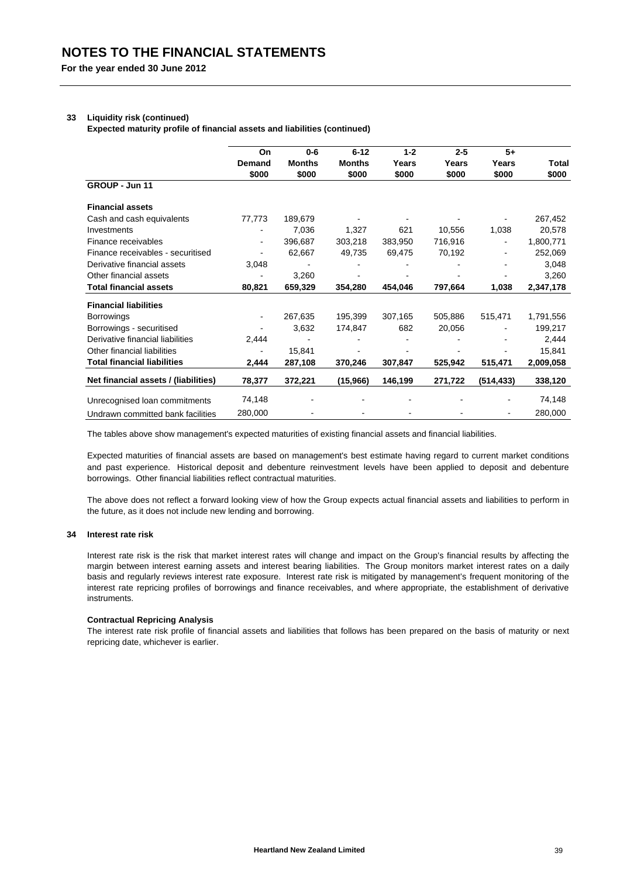## **33 Liquidity risk (continued)**

**Expected maturity profile of financial assets and liabilities (continued)**

|                                      | On             | $0 - 6$       | $6 - 12$      | $1 - 2$ | $2 - 5$ | $5+$       |           |
|--------------------------------------|----------------|---------------|---------------|---------|---------|------------|-----------|
|                                      | Demand         | <b>Months</b> | <b>Months</b> | Years   | Years   | Years      | Total     |
|                                      | \$000          | \$000         | \$000         | \$000   | \$000   | \$000      | \$000     |
| GROUP - Jun 11                       |                |               |               |         |         |            |           |
| <b>Financial assets</b>              |                |               |               |         |         |            |           |
| Cash and cash equivalents            | 77,773         | 189,679       |               |         |         |            | 267,452   |
| Investments                          |                | 7,036         | 1,327         | 621     | 10,556  | 1,038      | 20,578    |
| Finance receivables                  | $\blacksquare$ | 396,687       | 303,218       | 383.950 | 716,916 |            | 1,800,771 |
| Finance receivables - securitised    | $\blacksquare$ | 62,667        | 49,735        | 69,475  | 70,192  |            | 252,069   |
| Derivative financial assets          | 3,048          |               |               |         |         |            | 3,048     |
| Other financial assets               |                | 3,260         |               |         |         |            | 3,260     |
| <b>Total financial assets</b>        | 80,821         | 659,329       | 354,280       | 454,046 | 797,664 | 1,038      | 2,347,178 |
| <b>Financial liabilities</b>         |                |               |               |         |         |            |           |
| <b>Borrowings</b>                    |                | 267,635       | 195.399       | 307,165 | 505.886 | 515,471    | 1,791,556 |
| Borrowings - securitised             |                | 3,632         | 174,847       | 682     | 20,056  |            | 199,217   |
| Derivative financial liabilities     | 2,444          |               |               |         |         |            | 2,444     |
| Other financial liabilities          | ٠              | 15,841        |               |         |         |            | 15,841    |
| <b>Total financial liabilities</b>   | 2,444          | 287,108       | 370,246       | 307,847 | 525,942 | 515,471    | 2,009,058 |
| Net financial assets / (liabilities) | 78,377         | 372,221       | (15,966)      | 146,199 | 271,722 | (514, 433) | 338,120   |
| Unrecognised Ioan commitments        | 74,148         |               |               |         |         |            | 74,148    |
| Undrawn committed bank facilities    | 280,000        |               |               |         |         |            | 280,000   |

The tables above show management's expected maturities of existing financial assets and financial liabilities.

Expected maturities of financial assets are based on management's best estimate having regard to current market conditions and past experience. Historical deposit and debenture reinvestment levels have been applied to deposit and debenture borrowings. Other financial liabilities reflect contractual maturities.

The above does not reflect a forward looking view of how the Group expects actual financial assets and liabilities to perform in the future, as it does not include new lending and borrowing.

#### **34 Interest rate risk**

Interest rate risk is the risk that market interest rates will change and impact on the Group's financial results by affecting the margin between interest earning assets and interest bearing liabilities. The Group monitors market interest rates on a daily basis and regularly reviews interest rate exposure. Interest rate risk is mitigated by management's frequent monitoring of the interest rate repricing profiles of borrowings and finance receivables, and where appropriate, the establishment of derivative instruments.

#### **Contractual Repricing Analysis**

The interest rate risk profile of financial assets and liabilities that follows has been prepared on the basis of maturity or next repricing date, whichever is earlier.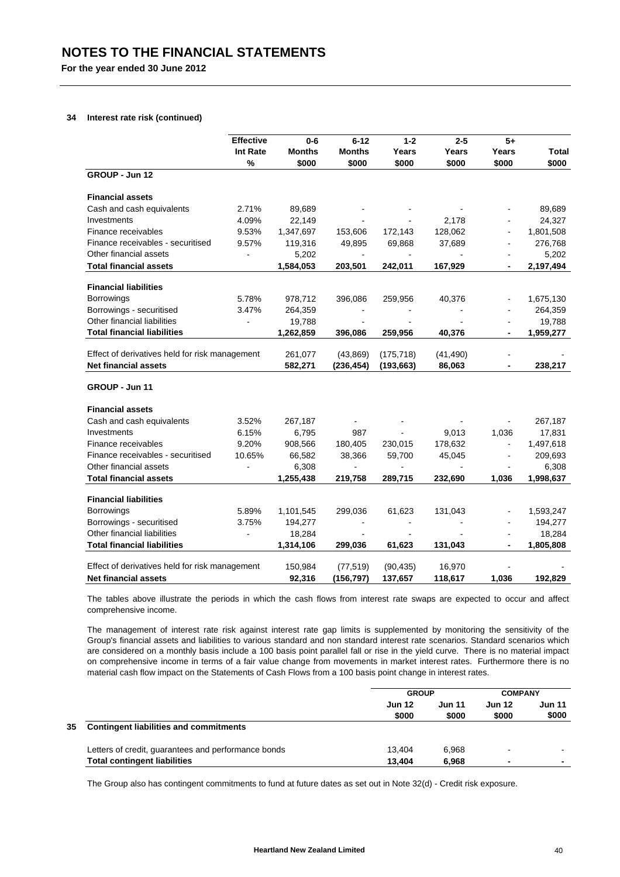## **34 Interest rate risk (continued)**

|                                                | <b>Effective</b> | $0 - 6$       | $6 - 12$       | $1 - 2$        | $2 - 5$   | $5+$           |           |
|------------------------------------------------|------------------|---------------|----------------|----------------|-----------|----------------|-----------|
|                                                | Int Rate         | <b>Months</b> | <b>Months</b>  | Years          | Years     | Years          | Total     |
|                                                | $\%$             | \$000         | \$000          | \$000          | \$000     | \$000          | \$000     |
| GROUP - Jun 12                                 |                  |               |                |                |           |                |           |
| <b>Financial assets</b>                        |                  |               |                |                |           |                |           |
| Cash and cash equivalents                      | 2.71%            | 89,689        |                |                |           |                | 89,689    |
| Investments                                    | 4.09%            | 22,149        |                |                | 2,178     |                | 24,327    |
| Finance receivables                            | 9.53%            | 1,347,697     | 153,606        | 172,143        | 128,062   |                | 1,801,508 |
| Finance receivables - securitised              | 9.57%            | 119,316       | 49,895         | 69,868         | 37,689    | ä,             | 276,768   |
| Other financial assets                         | $\blacksquare$   | 5,202         | $\sim$         | $\blacksquare$ |           |                | 5,202     |
| <b>Total financial assets</b>                  |                  | 1,584,053     | 203,501        | 242,011        | 167.929   | $\blacksquare$ | 2,197,494 |
| <b>Financial liabilities</b>                   |                  |               |                |                |           |                |           |
| <b>Borrowings</b>                              | 5.78%            | 978,712       | 396,086        | 259,956        | 40,376    |                | 1,675,130 |
| Borrowings - securitised                       | 3.47%            | 264,359       |                |                |           |                | 264,359   |
| Other financial liabilities                    | $\blacksquare$   | 19,788        | L.             |                |           |                | 19,788    |
| <b>Total financial liabilities</b>             |                  | 1,262,859     | 396,086        | 259,956        | 40,376    | $\blacksquare$ | 1,959,277 |
| Effect of derivatives held for risk management |                  | 261,077       | (43, 869)      | (175, 718)     | (41, 490) | $\blacksquare$ |           |
| <b>Net financial assets</b>                    |                  | 582,271       | (236, 454)     | (193, 663)     | 86,063    |                | 238,217   |
|                                                |                  |               |                |                |           |                |           |
| GROUP - Jun 11                                 |                  |               |                |                |           |                |           |
| <b>Financial assets</b>                        |                  |               |                |                |           |                |           |
| Cash and cash equivalents                      | 3.52%            | 267,187       |                |                |           |                | 267,187   |
| Investments                                    | 6.15%            | 6,795         | 987            | $\mathbf{r}$   | 9,013     | 1,036          | 17,831    |
| Finance receivables                            | 9.20%            | 908,566       | 180,405        | 230,015        | 178,632   | $\blacksquare$ | 1,497,618 |
| Finance receivables - securitised              | 10.65%           | 66,582        | 38,366         | 59,700         | 45,045    | $\blacksquare$ | 209,693   |
| Other financial assets                         | $\blacksquare$   | 6,308         |                |                |           | $\sim$         | 6,308     |
| <b>Total financial assets</b>                  |                  | 1,255,438     | 219,758        | 289,715        | 232,690   | 1,036          | 1,998,637 |
| <b>Financial liabilities</b>                   |                  |               |                |                |           |                |           |
| <b>Borrowings</b>                              | 5.89%            | 1,101,545     | 299,036        | 61,623         | 131,043   |                | 1,593,247 |
| Borrowings - securitised                       | 3.75%            | 194,277       |                |                |           |                | 194,277   |
| Other financial liabilities                    | $\blacksquare$   | 18,284        | $\blacksquare$ |                |           | $\blacksquare$ | 18,284    |
| <b>Total financial liabilities</b>             |                  | 1,314,106     | 299,036        | 61,623         | 131,043   |                | 1,805,808 |
|                                                |                  |               |                |                |           |                |           |
| Effect of derivatives held for risk management |                  | 150,984       | (77, 519)      | (90, 435)      | 16,970    |                |           |
| <b>Net financial assets</b>                    |                  | 92,316        | (156, 797)     | 137,657        | 118,617   | 1,036          | 192,829   |

The tables above illustrate the periods in which the cash flows from interest rate swaps are expected to occur and affect comprehensive income.

The management of interest rate risk against interest rate gap limits is supplemented by monitoring the sensitivity of the Group's financial assets and liabilities to various standard and non standard interest rate scenarios. Standard scenarios which are considered on a monthly basis include a 100 basis point parallel fall or rise in the yield curve. There is no material impact on comprehensive income in terms of a fair value change from movements in market interest rates. Furthermore there is no material cash flow impact on the Statements of Cash Flows from a 100 basis point change in interest rates.

|    |                                                     | <b>GROUP</b>           |                        | <b>COMPANY</b>  |                 |
|----|-----------------------------------------------------|------------------------|------------------------|-----------------|-----------------|
|    |                                                     | <b>Jun 12</b><br>\$000 | <b>Jun 11</b><br>\$000 | Jun 12<br>\$000 | Jun 11<br>\$000 |
| 35 | <b>Contingent liabilities and commitments</b>       |                        |                        |                 |                 |
|    | Letters of credit, guarantees and performance bonds | 13.404                 | 6.968                  | -               |                 |
|    | <b>Total contingent liabilities</b>                 | 13.404                 | 6.968                  | ٠               | ٠               |

The Group also has contingent commitments to fund at future dates as set out in Note 32(d) - Credit risk exposure.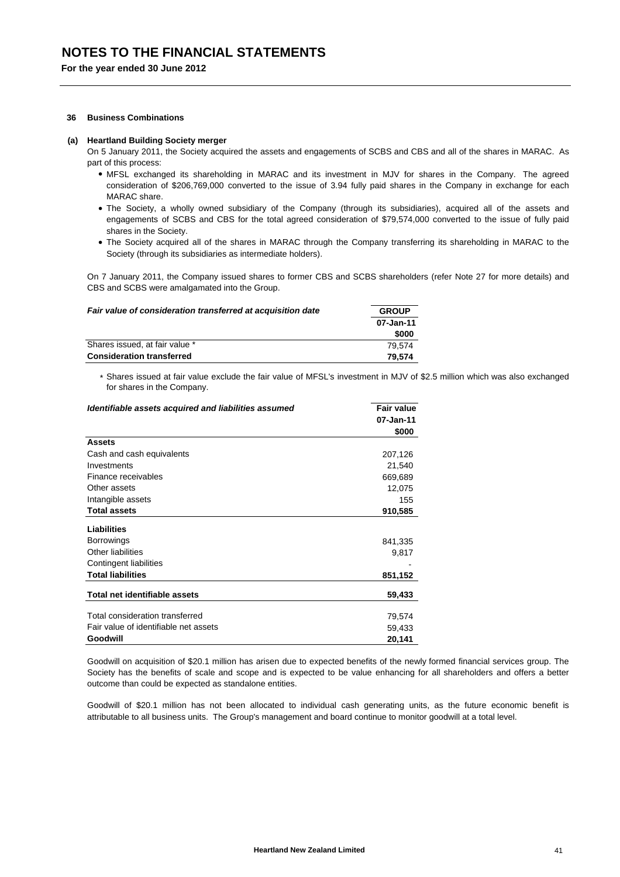#### **36 Business Combinations**

#### **(a) Heartland Building Society merger**

On 5 January 2011, the Society acquired the assets and engagements of SCBS and CBS and all of the shares in MARAC. As part of this process:

- MFSL exchanged its shareholding in MARAC and its investment in MJV for shares in the Company. The agreed consideration of \$206,769,000 converted to the issue of 3.94 fully paid shares in the Company in exchange for each MARAC share
- The Society, a wholly owned subsidiary of the Company (through its subsidiaries), acquired all of the assets and engagements of SCBS and CBS for the total agreed consideration of \$79,574,000 converted to the issue of fully paid shares in the Society.
- The Society acquired all of the shares in MARAC through the Company transferring its shareholding in MARAC to the Society (through its subsidiaries as intermediate holders).

On 7 January 2011, the Company issued shares to former CBS and SCBS shareholders (refer Note 27 for more details) and CBS and SCBS were amalgamated into the Group.

| Fair value of consideration transferred at acquisition date | <b>GROUP</b> |  |
|-------------------------------------------------------------|--------------|--|
|                                                             | 07-Jan-11    |  |
|                                                             | \$000        |  |
| Shares issued, at fair value *                              | 79.574       |  |
| <b>Consideration transferred</b>                            | 79.574       |  |

\* Shares issued at fair value exclude the fair value of MFSL's investment in MJV of \$2.5 million which was also exchanged for shares in the Company.

| Identifiable assets acquired and liabilities assumed | <b>Fair value</b> |
|------------------------------------------------------|-------------------|
|                                                      | 07-Jan-11         |
|                                                      | \$000             |
| Assets                                               |                   |
| Cash and cash equivalents                            | 207,126           |
| Investments                                          | 21,540            |
| Finance receivables                                  | 669,689           |
| Other assets                                         | 12,075            |
| Intangible assets                                    | 155               |
| <b>Total assets</b>                                  | 910,585           |
| Liabilities                                          |                   |
| <b>Borrowings</b>                                    | 841,335           |
| <b>Other liabilities</b>                             | 9,817             |
| Contingent liabilities                               |                   |
| <b>Total liabilities</b>                             | 851,152           |
| Total net identifiable assets                        | 59,433            |
| Total consideration transferred                      | 79,574            |
| Fair value of identifiable net assets                | 59,433            |
| Goodwill                                             | 20,141            |

Goodwill on acquisition of \$20.1 million has arisen due to expected benefits of the newly formed financial services group. The Society has the benefits of scale and scope and is expected to be value enhancing for all shareholders and offers a better outcome than could be expected as standalone entities.

Goodwill of \$20.1 million has not been allocated to individual cash generating units, as the future economic benefit is attributable to all business units. The Group's management and board continue to monitor goodwill at a total level.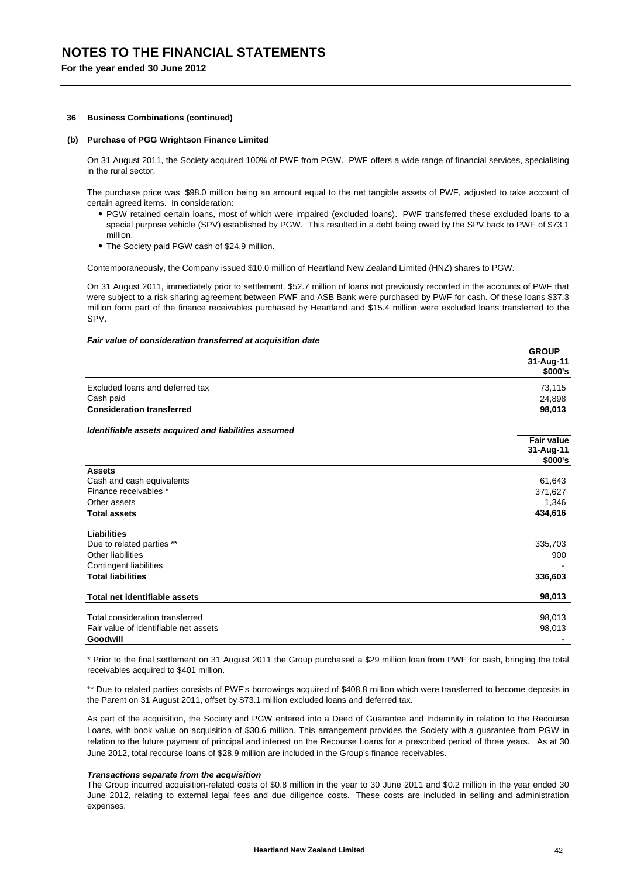#### **36 Business Combinations (continued)**

## **(b) Purchase of PGG Wrightson Finance Limited**

On 31 August 2011, the Society acquired 100% of PWF from PGW. PWF offers a wide range of financial services, specialising in the rural sector.

The purchase price was \$98.0 million being an amount equal to the net tangible assets of PWF, adjusted to take account of certain agreed items. In consideration:

- PGW retained certain loans, most of which were impaired (excluded loans). PWF transferred these excluded loans to a special purpose vehicle (SPV) established by PGW. This resulted in a debt being owed by the SPV back to PWF of \$73.1 million.
- The Society paid PGW cash of \$24.9 million.

Contemporaneously, the Company issued \$10.0 million of Heartland New Zealand Limited (HNZ) shares to PGW.

On 31 August 2011, immediately prior to settlement, \$52.7 million of loans not previously recorded in the accounts of PWF that were subject to a risk sharing agreement between PWF and ASB Bank were purchased by PWF for cash. Of these loans \$37.3 million form part of the finance receivables purchased by Heartland and \$15.4 million were excluded loans transferred to the SPV.

#### *Fair value of consideration transferred at acquisition date*

|                                                      | ייטייט                             |
|------------------------------------------------------|------------------------------------|
|                                                      | 31-Aug-11                          |
|                                                      | \$000's                            |
| Excluded loans and deferred tax                      | 73,115                             |
| Cash paid                                            | 24,898                             |
| <b>Consideration transferred</b>                     | 98,013                             |
| Identifiable assets acquired and liabilities assumed |                                    |
|                                                      | Fair value<br>31-Aug-11<br>\$000's |
| <b>Assets</b>                                        |                                    |
| Cash and cash equivalents                            | 61,643                             |
| Finance receivables *                                | 371,627                            |
| Other assets                                         | 1,346                              |
| <b>Total assets</b>                                  | 434,616                            |
| Liabilities                                          |                                    |
| Due to related parties **                            | 335,703                            |
| Other liabilities                                    | 900                                |
| Contingent liabilities                               |                                    |
| <b>Total liabilities</b>                             | 336,603                            |
| Total net identifiable assets                        | 98,013                             |
|                                                      |                                    |
| Total consideration transferred                      | 98,013                             |
| Fair value of identifiable net assets                | 98,013                             |
| Goodwill                                             |                                    |
|                                                      |                                    |

\* Prior to the final settlement on 31 August 2011 the Group purchased a \$29 million loan from PWF for cash, bringing the total receivables acquired to \$401 million.

\*\* Due to related parties consists of PWF's borrowings acquired of \$408.8 million which were transferred to become deposits in the Parent on 31 August 2011, offset by \$73.1 million excluded loans and deferred tax.

As part of the acquisition, the Society and PGW entered into a Deed of Guarantee and Indemnity in relation to the Recourse Loans, with book value on acquisition of \$30.6 million. This arrangement provides the Society with a guarantee from PGW in relation to the future payment of principal and interest on the Recourse Loans for a prescribed period of three years. As at 30 June 2012, total recourse loans of \$28.9 million are included in the Group's finance receivables.

#### *Transactions separate from the acquisition*

The Group incurred acquisition-related costs of \$0.8 million in the year to 30 June 2011 and \$0.2 million in the year ended 30 June 2012, relating to external legal fees and due diligence costs. These costs are included in selling and administration expenses.

**GROUP**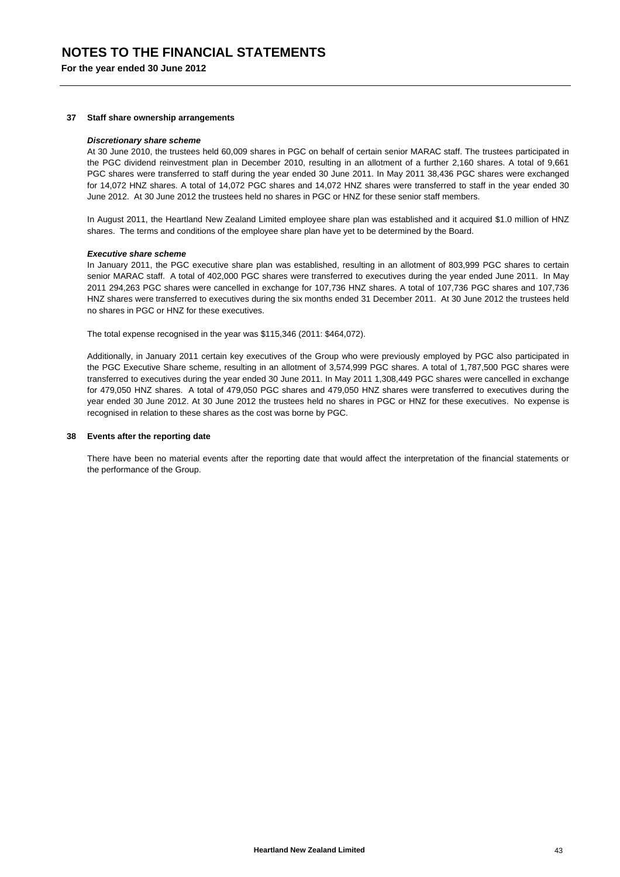#### **37 Staff share ownership arrangements**

#### *Discretionary share scheme*

At 30 June 2010, the trustees held 60,009 shares in PGC on behalf of certain senior MARAC staff. The trustees participated in the PGC dividend reinvestment plan in December 2010, resulting in an allotment of a further 2,160 shares. A total of 9,661 PGC shares were transferred to staff during the year ended 30 June 2011. In May 2011 38,436 PGC shares were exchanged for 14,072 HNZ shares. A total of 14,072 PGC shares and 14,072 HNZ shares were transferred to staff in the year ended 30 June 2012. At 30 June 2012 the trustees held no shares in PGC or HNZ for these senior staff members.

In August 2011, the Heartland New Zealand Limited employee share plan was established and it acquired \$1.0 million of HNZ shares. The terms and conditions of the employee share plan have yet to be determined by the Board.

#### *Executive share scheme*

In January 2011, the PGC executive share plan was established, resulting in an allotment of 803,999 PGC shares to certain senior MARAC staff. A total of 402,000 PGC shares were transferred to executives during the year ended June 2011. In May 2011 294,263 PGC shares were cancelled in exchange for 107,736 HNZ shares. A total of 107,736 PGC shares and 107,736 HNZ shares were transferred to executives during the six months ended 31 December 2011. At 30 June 2012 the trustees held no shares in PGC or HNZ for these executives.

The total expense recognised in the year was \$115,346 (2011: \$464,072).

Additionally, in January 2011 certain key executives of the Group who were previously employed by PGC also participated in the PGC Executive Share scheme, resulting in an allotment of 3,574,999 PGC shares. A total of 1,787,500 PGC shares were transferred to executives during the year ended 30 June 2011. In May 2011 1,308,449 PGC shares were cancelled in exchange for 479,050 HNZ shares. A total of 479,050 PGC shares and 479,050 HNZ shares were transferred to executives during the year ended 30 June 2012. At 30 June 2012 the trustees held no shares in PGC or HNZ for these executives. No expense is recognised in relation to these shares as the cost was borne by PGC.

#### **38 Events after the reporting date**

There have been no material events after the reporting date that would affect the interpretation of the financial statements or the performance of the Group.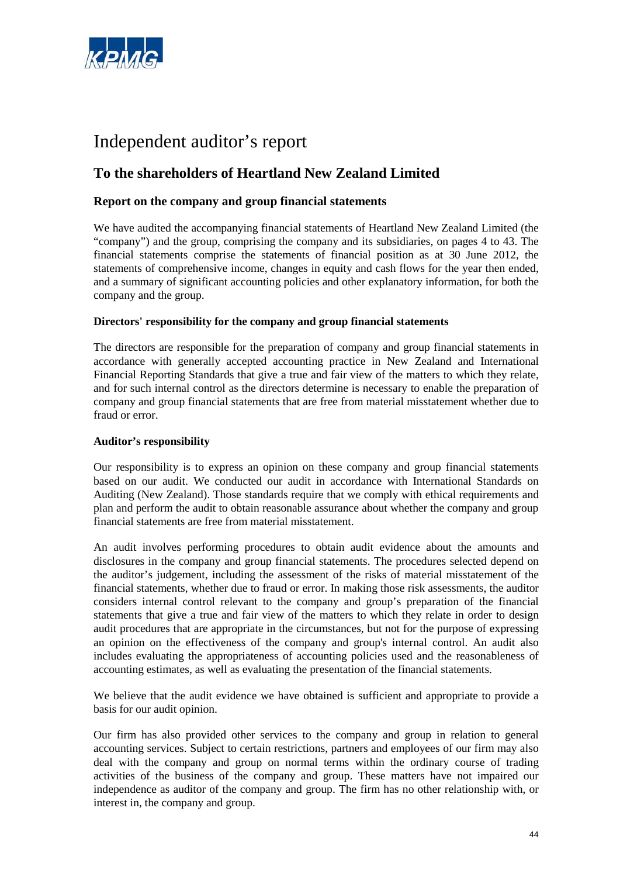

# Independent auditor's report

# **To the shareholders of Heartland New Zealand Limited**

## **Report on the company and group financial statements**

We have audited the accompanying financial statements of Heartland New Zealand Limited (the "company") and the group, comprising the company and its subsidiaries, on pages 4 to 43. The financial statements comprise the statements of financial position as at 30 June 2012, the statements of comprehensive income, changes in equity and cash flows for the year then ended, and a summary of significant accounting policies and other explanatory information, for both the company and the group.

## **Directors' responsibility for the company and group financial statements**

The directors are responsible for the preparation of company and group financial statements in accordance with generally accepted accounting practice in New Zealand and International Financial Reporting Standards that give a true and fair view of the matters to which they relate, and for such internal control as the directors determine is necessary to enable the preparation of company and group financial statements that are free from material misstatement whether due to fraud or error.

## **Auditor's responsibility**

Our responsibility is to express an opinion on these company and group financial statements based on our audit. We conducted our audit in accordance with International Standards on Auditing (New Zealand). Those standards require that we comply with ethical requirements and plan and perform the audit to obtain reasonable assurance about whether the company and group financial statements are free from material misstatement.

An audit involves performing procedures to obtain audit evidence about the amounts and disclosures in the company and group financial statements. The procedures selected depend on the auditor's judgement, including the assessment of the risks of material misstatement of the financial statements, whether due to fraud or error. In making those risk assessments, the auditor considers internal control relevant to the company and group's preparation of the financial statements that give a true and fair view of the matters to which they relate in order to design audit procedures that are appropriate in the circumstances, but not for the purpose of expressing an opinion on the effectiveness of the company and group's internal control. An audit also includes evaluating the appropriateness of accounting policies used and the reasonableness of accounting estimates, as well as evaluating the presentation of the financial statements.

We believe that the audit evidence we have obtained is sufficient and appropriate to provide a basis for our audit opinion.

Our firm has also provided other services to the company and group in relation to general accounting services. Subject to certain restrictions, partners and employees of our firm may also deal with the company and group on normal terms within the ordinary course of trading activities of the business of the company and group. These matters have not impaired our independence as auditor of the company and group. The firm has no other relationship with, or interest in, the company and group.